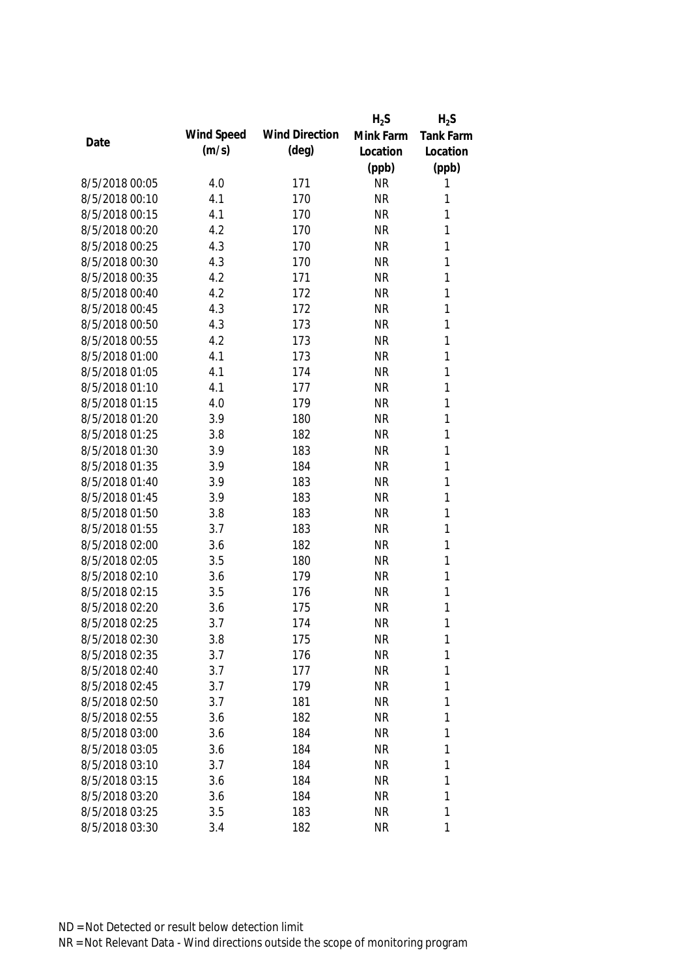|                |            |                       | $H_2S$    | $H_2S$           |
|----------------|------------|-----------------------|-----------|------------------|
| Date           | Wind Speed | <b>Wind Direction</b> | Mink Farm | <b>Tank Farm</b> |
|                | (m/s)      | $(\text{deg})$        | Location  | Location         |
|                |            |                       | (ppb)     | (ppb)            |
| 8/5/2018 00:05 | 4.0        | 171                   | <b>NR</b> | 1                |
| 8/5/2018 00:10 | 4.1        | 170                   | <b>NR</b> | 1                |
| 8/5/2018 00:15 | 4.1        | 170                   | <b>NR</b> | 1                |
| 8/5/2018 00:20 | 4.2        | 170                   | <b>NR</b> | 1                |
| 8/5/2018 00:25 | 4.3        | 170                   | <b>NR</b> | 1                |
| 8/5/2018 00:30 | 4.3        | 170                   | <b>NR</b> | $\mathbf{1}$     |
| 8/5/2018 00:35 | 4.2        | 171                   | <b>NR</b> | $\mathbf{1}$     |
| 8/5/2018 00:40 | 4.2        | 172                   | <b>NR</b> | $\mathbf{1}$     |
| 8/5/2018 00:45 | 4.3        | 172                   | <b>NR</b> | $\mathbf{1}$     |
| 8/5/2018 00:50 | 4.3        | 173                   | <b>NR</b> | $\mathbf{1}$     |
| 8/5/2018 00:55 | 4.2        | 173                   | <b>NR</b> | $\mathbf{1}$     |
| 8/5/2018 01:00 | 4.1        | 173                   | <b>NR</b> | $\mathbf{1}$     |
| 8/5/2018 01:05 | 4.1        | 174                   | <b>NR</b> | $\mathbf{1}$     |
| 8/5/2018 01:10 | 4.1        | 177                   | <b>NR</b> | $\mathbf{1}$     |
| 8/5/2018 01:15 | 4.0        | 179                   | <b>NR</b> | $\mathbf{1}$     |
| 8/5/2018 01:20 | 3.9        | 180                   | <b>NR</b> | $\mathbf{1}$     |
| 8/5/2018 01:25 | 3.8        | 182                   | <b>NR</b> | 1                |
| 8/5/2018 01:30 | 3.9        | 183                   | <b>NR</b> | 1                |
| 8/5/2018 01:35 | 3.9        | 184                   | <b>NR</b> | 1                |
| 8/5/2018 01:40 | 3.9        | 183                   | <b>NR</b> | 1                |
| 8/5/2018 01:45 | 3.9        | 183                   | <b>NR</b> | 1                |
| 8/5/2018 01:50 | 3.8        | 183                   | <b>NR</b> | $\mathbf{1}$     |
| 8/5/2018 01:55 | 3.7        | 183                   | <b>NR</b> | $\mathbf{1}$     |
| 8/5/2018 02:00 | 3.6        | 182                   | <b>NR</b> | $\mathbf{1}$     |
| 8/5/2018 02:05 | 3.5        | 180                   | <b>NR</b> | 1                |
| 8/5/2018 02:10 | 3.6        | 179                   | <b>NR</b> | $\mathbf{1}$     |
| 8/5/2018 02:15 | 3.5        | 176                   | <b>NR</b> | 1                |
| 8/5/2018 02:20 | 3.6        | 175                   | <b>NR</b> | 1                |
| 8/5/2018 02:25 | 3.7        | 174                   | <b>NR</b> | 1                |
| 8/5/2018 02:30 | 3.8        | 175                   | <b>NR</b> | 1                |
| 8/5/2018 02:35 | 3.7        | 176                   | <b>NR</b> | 1                |
| 8/5/2018 02:40 | 3.7        | 177                   | <b>NR</b> | 1                |
| 8/5/2018 02:45 | 3.7        | 179                   | <b>NR</b> | 1                |
| 8/5/2018 02:50 | 3.7        | 181                   | <b>NR</b> | 1                |
| 8/5/2018 02:55 | 3.6        | 182                   | <b>NR</b> | 1                |
| 8/5/2018 03:00 | 3.6        | 184                   | <b>NR</b> | 1                |
| 8/5/2018 03:05 | 3.6        | 184                   | <b>NR</b> | 1                |
| 8/5/2018 03:10 | 3.7        | 184                   | <b>NR</b> | 1                |
| 8/5/2018 03:15 | 3.6        | 184                   | <b>NR</b> | 1                |
| 8/5/2018 03:20 | 3.6        | 184                   | <b>NR</b> | 1                |
| 8/5/2018 03:25 | 3.5        | 183                   | <b>NR</b> | 1                |
| 8/5/2018 03:30 | 3.4        | 182                   | <b>NR</b> | 1                |
|                |            |                       |           |                  |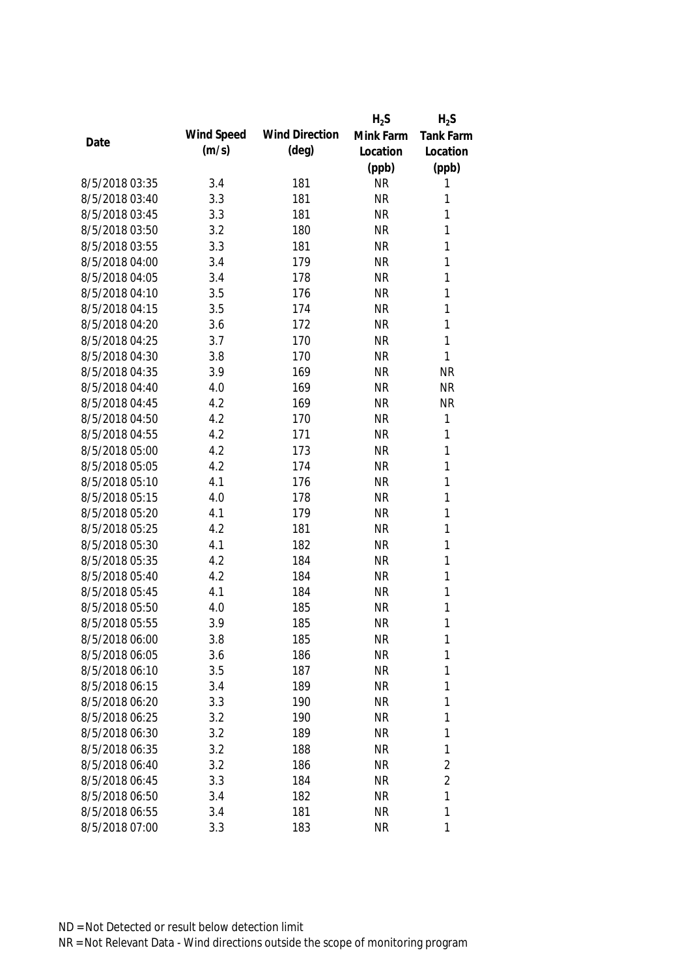|                |            |                       | $H_2S$    | $H_2S$         |
|----------------|------------|-----------------------|-----------|----------------|
|                | Wind Speed | <b>Wind Direction</b> | Mink Farm | Tank Farm      |
| Date           | (m/s)      | (deg)                 | Location  | Location       |
|                |            |                       | (ppb)     | (ppb)          |
| 8/5/2018 03:35 | 3.4        | 181                   | <b>NR</b> | 1              |
| 8/5/2018 03:40 | 3.3        | 181                   | <b>NR</b> | 1              |
| 8/5/2018 03:45 | 3.3        | 181                   | <b>NR</b> | $\mathbf{1}$   |
| 8/5/2018 03:50 | 3.2        | 180                   | <b>NR</b> | $\mathbf{1}$   |
| 8/5/2018 03:55 | 3.3        | 181                   | <b>NR</b> | 1              |
| 8/5/2018 04:00 | 3.4        | 179                   | <b>NR</b> | 1              |
| 8/5/2018 04:05 | 3.4        | 178                   | <b>NR</b> | $\mathbf{1}$   |
| 8/5/2018 04:10 | 3.5        | 176                   | <b>NR</b> | $\mathbf{1}$   |
| 8/5/2018 04:15 | 3.5        | 174                   | <b>NR</b> | $\mathbf{1}$   |
| 8/5/2018 04:20 | 3.6        | 172                   | <b>NR</b> | 1              |
| 8/5/2018 04:25 | 3.7        | 170                   | <b>NR</b> | $\mathbf{1}$   |
| 8/5/2018 04:30 | 3.8        | 170                   | <b>NR</b> | $\mathbf{1}$   |
| 8/5/2018 04:35 | 3.9        | 169                   | <b>NR</b> | <b>NR</b>      |
| 8/5/2018 04:40 | 4.0        | 169                   | <b>NR</b> | <b>NR</b>      |
| 8/5/2018 04:45 | 4.2        | 169                   | <b>NR</b> | <b>NR</b>      |
| 8/5/2018 04:50 | 4.2        | 170                   | <b>NR</b> | $\mathbf{1}$   |
| 8/5/2018 04:55 | 4.2        | 171                   | <b>NR</b> | $\mathbf{1}$   |
| 8/5/2018 05:00 | 4.2        | 173                   | <b>NR</b> | $\mathbf{1}$   |
| 8/5/2018 05:05 | 4.2        | 174                   | <b>NR</b> | $\mathbf{1}$   |
| 8/5/2018 05:10 | 4.1        | 176                   | <b>NR</b> | $\mathbf{1}$   |
| 8/5/2018 05:15 | 4.0        | 178                   | <b>NR</b> | $\mathbf{1}$   |
| 8/5/2018 05:20 | 4.1        | 179                   | <b>NR</b> | $\mathbf{1}$   |
| 8/5/2018 05:25 | 4.2        | 181                   | <b>NR</b> | $\mathbf{1}$   |
| 8/5/2018 05:30 | 4.1        | 182                   | <b>NR</b> | $\mathbf{1}$   |
| 8/5/2018 05:35 | 4.2        | 184                   | <b>NR</b> | $\mathbf{1}$   |
| 8/5/2018 05:40 | 4.2        | 184                   | <b>NR</b> | $\mathbf{1}$   |
| 8/5/2018 05:45 | 4.1        | 184                   | <b>NR</b> | $\mathbf{1}$   |
| 8/5/2018 05:50 | 4.0        | 185                   | <b>NR</b> | 1              |
| 8/5/2018 05:55 | 3.9        | 185                   | <b>NR</b> | 1              |
| 8/5/2018 06:00 | 3.8        | 185                   | <b>NR</b> | 1              |
| 8/5/2018 06:05 | 3.6        | 186                   | <b>NR</b> | 1              |
| 8/5/2018 06:10 | 3.5        | 187                   | <b>NR</b> | 1              |
| 8/5/2018 06:15 | 3.4        | 189                   | <b>NR</b> | 1              |
| 8/5/2018 06:20 | 3.3        | 190                   | <b>NR</b> | 1              |
| 8/5/2018 06:25 | 3.2        | 190                   | <b>NR</b> | $\mathbf{1}$   |
| 8/5/2018 06:30 | 3.2        | 189                   | <b>NR</b> | 1              |
| 8/5/2018 06:35 | 3.2        | 188                   | <b>NR</b> | $\mathbf{1}$   |
| 8/5/2018 06:40 | 3.2        | 186                   | <b>NR</b> | $\overline{2}$ |
| 8/5/2018 06:45 | 3.3        | 184                   | <b>NR</b> | $\overline{2}$ |
| 8/5/2018 06:50 | 3.4        | 182                   | <b>NR</b> | 1              |
| 8/5/2018 06:55 | 3.4        | 181                   | <b>NR</b> | 1              |
| 8/5/2018 07:00 | 3.3        | 183                   | <b>NR</b> | 1              |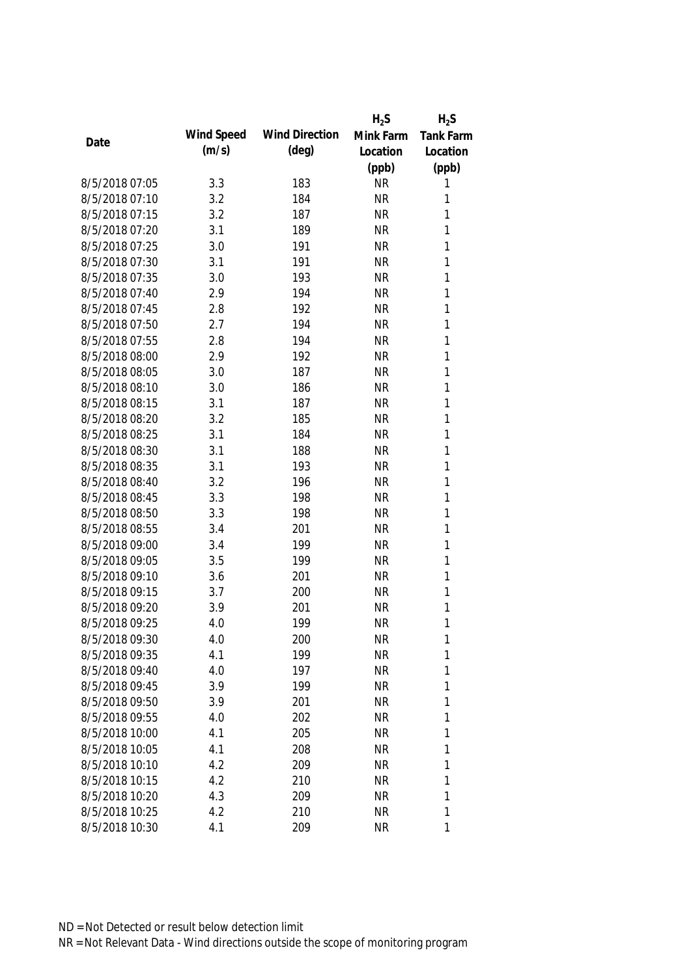|                |            |                       | $H_2S$    | $H_2S$           |
|----------------|------------|-----------------------|-----------|------------------|
| Date           | Wind Speed | <b>Wind Direction</b> | Mink Farm | <b>Tank Farm</b> |
|                | (m/s)      | $(\text{deg})$        | Location  | Location         |
|                |            |                       | (ppb)     | (ppb)            |
| 8/5/2018 07:05 | 3.3        | 183                   | <b>NR</b> | 1                |
| 8/5/2018 07:10 | 3.2        | 184                   | <b>NR</b> | 1                |
| 8/5/2018 07:15 | 3.2        | 187                   | <b>NR</b> | 1                |
| 8/5/2018 07:20 | 3.1        | 189                   | <b>NR</b> | 1                |
| 8/5/2018 07:25 | 3.0        | 191                   | <b>NR</b> | 1                |
| 8/5/2018 07:30 | 3.1        | 191                   | <b>NR</b> | 1                |
| 8/5/2018 07:35 | 3.0        | 193                   | <b>NR</b> | $\mathbf{1}$     |
| 8/5/2018 07:40 | 2.9        | 194                   | <b>NR</b> | $\mathbf{1}$     |
| 8/5/2018 07:45 | 2.8        | 192                   | <b>NR</b> | $\mathbf{1}$     |
| 8/5/2018 07:50 | 2.7        | 194                   | <b>NR</b> | 1                |
| 8/5/2018 07:55 | 2.8        | 194                   | <b>NR</b> | $\mathbf{1}$     |
| 8/5/2018 08:00 | 2.9        | 192                   | <b>NR</b> | 1                |
| 8/5/2018 08:05 | 3.0        | 187                   | <b>NR</b> | $\mathbf{1}$     |
| 8/5/2018 08:10 | 3.0        | 186                   | <b>NR</b> | $\mathbf{1}$     |
| 8/5/2018 08:15 | 3.1        | 187                   | <b>NR</b> | $\mathbf{1}$     |
| 8/5/2018 08:20 | 3.2        | 185                   | <b>NR</b> | $\mathbf{1}$     |
| 8/5/2018 08:25 | 3.1        | 184                   | <b>NR</b> | $\mathbf{1}$     |
| 8/5/2018 08:30 | 3.1        | 188                   | <b>NR</b> | $\mathbf{1}$     |
| 8/5/2018 08:35 | 3.1        | 193                   | <b>NR</b> | $\mathbf{1}$     |
| 8/5/2018 08:40 | 3.2        | 196                   | <b>NR</b> | $\mathbf{1}$     |
| 8/5/2018 08:45 | 3.3        | 198                   | <b>NR</b> | $\mathbf{1}$     |
| 8/5/2018 08:50 | 3.3        | 198                   | <b>NR</b> | $\mathbf{1}$     |
| 8/5/2018 08:55 | 3.4        | 201                   | <b>NR</b> | $\mathbf{1}$     |
| 8/5/2018 09:00 | 3.4        | 199                   | <b>NR</b> | 1                |
| 8/5/2018 09:05 | 3.5        | 199                   | <b>NR</b> | 1                |
| 8/5/2018 09:10 | 3.6        | 201                   | <b>NR</b> | 1                |
| 8/5/2018 09:15 | 3.7        | 200                   | <b>NR</b> | 1                |
| 8/5/2018 09:20 | 3.9        | 201                   | <b>NR</b> | 1                |
| 8/5/2018 09:25 | 4.0        | 199                   | <b>NR</b> | 1                |
| 8/5/2018 09:30 | 4.0        | 200                   | <b>NR</b> | 1                |
| 8/5/2018 09:35 | 4.1        | 199                   | <b>NR</b> | 1                |
| 8/5/2018 09:40 | 4.0        | 197                   | <b>NR</b> | 1                |
| 8/5/2018 09:45 | 3.9        | 199                   | <b>NR</b> | 1                |
| 8/5/2018 09:50 | 3.9        | 201                   | <b>NR</b> | 1                |
| 8/5/2018 09:55 | 4.0        | 202                   | <b>NR</b> | 1                |
| 8/5/2018 10:00 | 4.1        | 205                   | <b>NR</b> | 1                |
| 8/5/2018 10:05 | 4.1        | 208                   | <b>NR</b> | 1                |
| 8/5/2018 10:10 | 4.2        | 209                   | <b>NR</b> | 1                |
| 8/5/2018 10:15 | 4.2        | 210                   | <b>NR</b> | 1                |
| 8/5/2018 10:20 | 4.3        | 209                   | <b>NR</b> | 1                |
| 8/5/2018 10:25 | 4.2        | 210                   | <b>NR</b> | 1                |
| 8/5/2018 10:30 | 4.1        | 209                   | <b>NR</b> | 1                |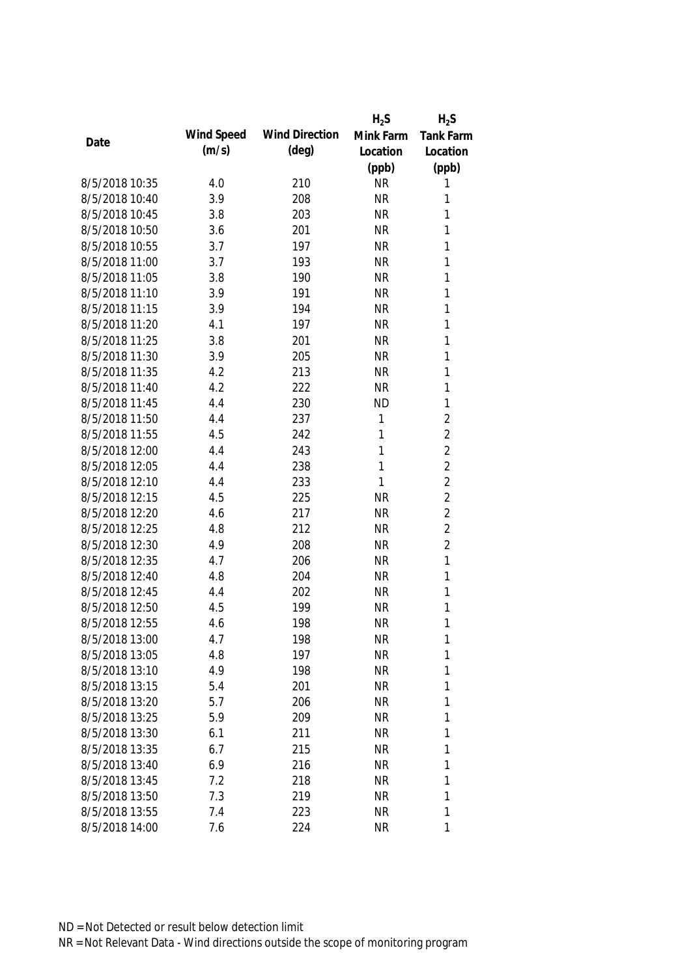|                |            |                       | $H_2S$    | $H_2S$           |
|----------------|------------|-----------------------|-----------|------------------|
| Date           | Wind Speed | <b>Wind Direction</b> | Mink Farm | <b>Tank Farm</b> |
|                | (m/s)      | $(\text{deg})$        | Location  | Location         |
|                |            |                       | (ppb)     | (ppb)            |
| 8/5/2018 10:35 | 4.0        | 210                   | <b>NR</b> | 1                |
| 8/5/2018 10:40 | 3.9        | 208                   | <b>NR</b> | 1                |
| 8/5/2018 10:45 | 3.8        | 203                   | <b>NR</b> | 1                |
| 8/5/2018 10:50 | 3.6        | 201                   | <b>NR</b> | 1                |
| 8/5/2018 10:55 | 3.7        | 197                   | <b>NR</b> | 1                |
| 8/5/2018 11:00 | 3.7        | 193                   | <b>NR</b> | 1                |
| 8/5/2018 11:05 | 3.8        | 190                   | <b>NR</b> | 1                |
| 8/5/2018 11:10 | 3.9        | 191                   | <b>NR</b> | 1                |
| 8/5/2018 11:15 | 3.9        | 194                   | <b>NR</b> | $\mathbf{1}$     |
| 8/5/2018 11:20 | 4.1        | 197                   | <b>NR</b> | 1                |
| 8/5/2018 11:25 | 3.8        | 201                   | <b>NR</b> | $\mathbf{1}$     |
| 8/5/2018 11:30 | 3.9        | 205                   | <b>NR</b> | 1                |
| 8/5/2018 11:35 | 4.2        | 213                   | <b>NR</b> | 1                |
| 8/5/2018 11:40 | 4.2        | 222                   | <b>NR</b> | 1                |
| 8/5/2018 11:45 | 4.4        | 230                   | <b>ND</b> | $\mathbf{1}$     |
| 8/5/2018 11:50 | 4.4        | 237                   | 1         | $\overline{2}$   |
| 8/5/2018 11:55 | 4.5        | 242                   | 1         | $\overline{2}$   |
| 8/5/2018 12:00 | 4.4        | 243                   | 1         | $\overline{2}$   |
| 8/5/2018 12:05 | 4.4        | 238                   | 1         | $\overline{2}$   |
| 8/5/2018 12:10 | 4.4        | 233                   | 1         | $\overline{2}$   |
| 8/5/2018 12:15 | 4.5        | 225                   | <b>NR</b> | $\overline{2}$   |
| 8/5/2018 12:20 | 4.6        | 217                   | <b>NR</b> | $\overline{2}$   |
| 8/5/2018 12:25 | 4.8        | 212                   | <b>NR</b> | $\overline{2}$   |
| 8/5/2018 12:30 | 4.9        | 208                   | <b>NR</b> | $\overline{2}$   |
| 8/5/2018 12:35 | 4.7        | 206                   | <b>NR</b> | 1                |
| 8/5/2018 12:40 | 4.8        | 204                   | <b>NR</b> | 1                |
| 8/5/2018 12:45 | 4.4        | 202                   | <b>NR</b> | 1                |
| 8/5/2018 12:50 | 4.5        | 199                   | <b>NR</b> | 1                |
| 8/5/2018 12:55 | 4.6        | 198                   | <b>NR</b> | 1                |
| 8/5/2018 13:00 | 4.7        | 198                   | <b>NR</b> | 1                |
| 8/5/2018 13:05 | 4.8        | 197                   | <b>NR</b> | $\mathbf{1}$     |
| 8/5/2018 13:10 | 4.9        | 198                   | <b>NR</b> | 1                |
| 8/5/2018 13:15 | 5.4        | 201                   | <b>NR</b> | 1                |
| 8/5/2018 13:20 | 5.7        | 206                   | <b>NR</b> | 1                |
| 8/5/2018 13:25 | 5.9        | 209                   | <b>NR</b> | 1                |
| 8/5/2018 13:30 | 6.1        | 211                   | <b>NR</b> | 1                |
| 8/5/2018 13:35 | 6.7        | 215                   | <b>NR</b> | 1                |
| 8/5/2018 13:40 | 6.9        | 216                   | <b>NR</b> | 1                |
| 8/5/2018 13:45 | 7.2        | 218                   | <b>NR</b> | 1                |
| 8/5/2018 13:50 | 7.3        | 219                   | <b>NR</b> | 1                |
| 8/5/2018 13:55 | 7.4        | 223                   | <b>NR</b> | 1                |
| 8/5/2018 14:00 | 7.6        | 224                   | <b>NR</b> | 1                |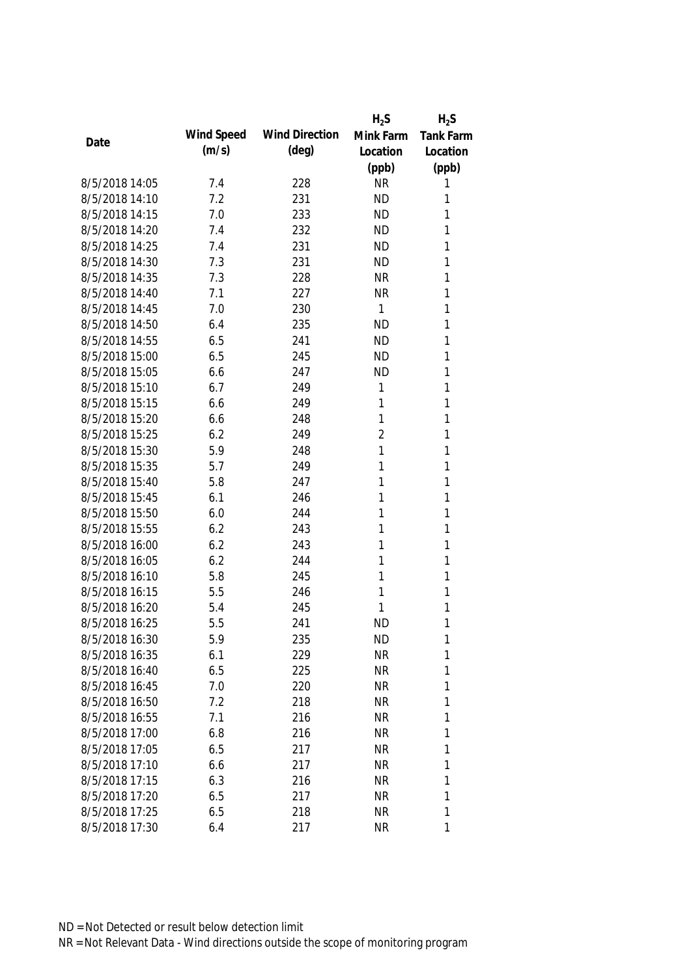|                |            |                       | $H_2S$         | $H_2S$           |
|----------------|------------|-----------------------|----------------|------------------|
| Date           | Wind Speed | <b>Wind Direction</b> | Mink Farm      | <b>Tank Farm</b> |
|                | (m/s)      | $(\text{deg})$        | Location       | Location         |
|                |            |                       | (ppb)          | (ppb)            |
| 8/5/2018 14:05 | 7.4        | 228                   | <b>NR</b>      | 1                |
| 8/5/2018 14:10 | 7.2        | 231                   | <b>ND</b>      | 1                |
| 8/5/2018 14:15 | 7.0        | 233                   | <b>ND</b>      | 1                |
| 8/5/2018 14:20 | 7.4        | 232                   | <b>ND</b>      | 1                |
| 8/5/2018 14:25 | 7.4        | 231                   | <b>ND</b>      | 1                |
| 8/5/2018 14:30 | 7.3        | 231                   | <b>ND</b>      | 1                |
| 8/5/2018 14:35 | 7.3        | 228                   | <b>NR</b>      | 1                |
| 8/5/2018 14:40 | 7.1        | 227                   | <b>NR</b>      | $\mathbf{1}$     |
| 8/5/2018 14:45 | 7.0        | 230                   | 1              | 1                |
| 8/5/2018 14:50 | 6.4        | 235                   | <b>ND</b>      | 1                |
| 8/5/2018 14:55 | 6.5        | 241                   | <b>ND</b>      | 1                |
| 8/5/2018 15:00 | 6.5        | 245                   | <b>ND</b>      | 1                |
| 8/5/2018 15:05 | 6.6        | 247                   | <b>ND</b>      | 1                |
| 8/5/2018 15:10 | 6.7        | 249                   | 1              | 1                |
| 8/5/2018 15:15 | 6.6        | 249                   | 1              | 1                |
| 8/5/2018 15:20 | 6.6        | 248                   | 1              | 1                |
| 8/5/2018 15:25 | 6.2        | 249                   | $\overline{2}$ | 1                |
| 8/5/2018 15:30 | 5.9        | 248                   | 1              | 1                |
| 8/5/2018 15:35 | 5.7        | 249                   | 1              | 1                |
| 8/5/2018 15:40 | 5.8        | 247                   | 1              | 1                |
| 8/5/2018 15:45 | 6.1        | 246                   | 1              | 1                |
| 8/5/2018 15:50 | 6.0        | 244                   | 1              | 1                |
| 8/5/2018 15:55 | 6.2        | 243                   | 1              | 1                |
| 8/5/2018 16:00 | 6.2        | 243                   | 1              | 1                |
| 8/5/2018 16:05 | 6.2        | 244                   | 1              | 1                |
| 8/5/2018 16:10 | 5.8        | 245                   | 1              | 1                |
| 8/5/2018 16:15 | 5.5        | 246                   | 1              | 1                |
| 8/5/2018 16:20 | 5.4        | 245                   | 1              | 1                |
| 8/5/2018 16:25 | 5.5        | 241                   | <b>ND</b>      | 1                |
| 8/5/2018 16:30 | 5.9        | 235                   | <b>ND</b>      | 1                |
| 8/5/2018 16:35 | 6.1        | 229                   | <b>NR</b>      | $\mathbf{1}$     |
| 8/5/2018 16:40 | 6.5        | 225                   | <b>NR</b>      | 1                |
| 8/5/2018 16:45 | 7.0        | 220                   | <b>NR</b>      | 1                |
| 8/5/2018 16:50 | 7.2        | 218                   | <b>NR</b>      | 1                |
| 8/5/2018 16:55 | 7.1        | 216                   | <b>NR</b>      | 1                |
| 8/5/2018 17:00 | 6.8        | 216                   | <b>NR</b>      | 1                |
| 8/5/2018 17:05 | 6.5        | 217                   | <b>NR</b>      | 1                |
| 8/5/2018 17:10 | 6.6        | 217                   | <b>NR</b>      | 1                |
| 8/5/2018 17:15 | 6.3        | 216                   | <b>NR</b>      | 1                |
| 8/5/2018 17:20 | 6.5        | 217                   | <b>NR</b>      | 1                |
| 8/5/2018 17:25 | 6.5        | 218                   | <b>NR</b>      | 1                |
| 8/5/2018 17:30 | 6.4        | 217                   | <b>NR</b>      | 1                |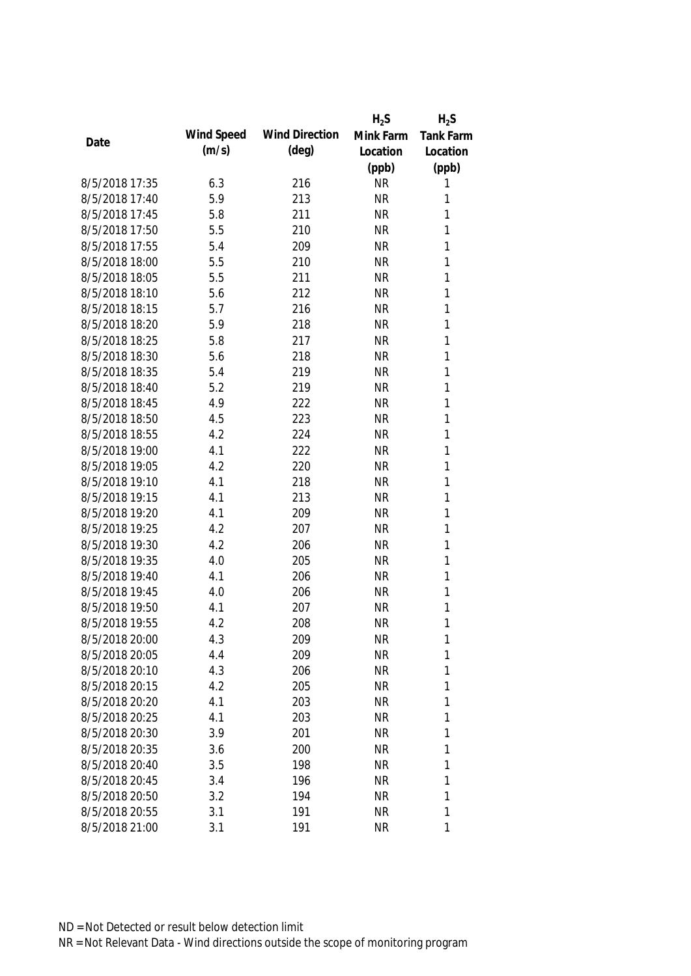|                |            |                       | $H_2S$    | $H_2S$           |
|----------------|------------|-----------------------|-----------|------------------|
| Date           | Wind Speed | <b>Wind Direction</b> | Mink Farm | <b>Tank Farm</b> |
|                | (m/s)      | $(\text{deg})$        | Location  | Location         |
|                |            |                       | (ppb)     | (ppb)            |
| 8/5/2018 17:35 | 6.3        | 216                   | <b>NR</b> | 1                |
| 8/5/2018 17:40 | 5.9        | 213                   | <b>NR</b> | 1                |
| 8/5/2018 17:45 | 5.8        | 211                   | <b>NR</b> | 1                |
| 8/5/2018 17:50 | 5.5        | 210                   | <b>NR</b> | 1                |
| 8/5/2018 17:55 | 5.4        | 209                   | <b>NR</b> | 1                |
| 8/5/2018 18:00 | 5.5        | 210                   | <b>NR</b> | 1                |
| 8/5/2018 18:05 | 5.5        | 211                   | <b>NR</b> | 1                |
| 8/5/2018 18:10 | 5.6        | 212                   | <b>NR</b> | 1                |
| 8/5/2018 18:15 | 5.7        | 216                   | <b>NR</b> | $\mathbf{1}$     |
| 8/5/2018 18:20 | 5.9        | 218                   | <b>NR</b> | 1                |
| 8/5/2018 18:25 | 5.8        | 217                   | <b>NR</b> | 1                |
| 8/5/2018 18:30 | 5.6        | 218                   | <b>NR</b> | 1                |
| 8/5/2018 18:35 | 5.4        | 219                   | <b>NR</b> | 1                |
| 8/5/2018 18:40 | 5.2        | 219                   | <b>NR</b> | 1                |
| 8/5/2018 18:45 | 4.9        | 222                   | <b>NR</b> | $\mathbf{1}$     |
| 8/5/2018 18:50 | 4.5        | 223                   | <b>NR</b> | $\mathbf{1}$     |
| 8/5/2018 18:55 | 4.2        | 224                   | <b>NR</b> | 1                |
| 8/5/2018 19:00 | 4.1        | 222                   | <b>NR</b> | $\mathbf{1}$     |
| 8/5/2018 19:05 | 4.2        | 220                   | <b>NR</b> | $\mathbf{1}$     |
| 8/5/2018 19:10 | 4.1        | 218                   | <b>NR</b> | $\mathbf{1}$     |
| 8/5/2018 19:15 | 4.1        | 213                   | <b>NR</b> | 1                |
| 8/5/2018 19:20 | 4.1        | 209                   | <b>NR</b> | $\mathbf{1}$     |
| 8/5/2018 19:25 | 4.2        | 207                   | <b>NR</b> | 1                |
| 8/5/2018 19:30 | 4.2        | 206                   | <b>NR</b> | 1                |
| 8/5/2018 19:35 | 4.0        | 205                   | <b>NR</b> | 1                |
| 8/5/2018 19:40 | 4.1        | 206                   | <b>NR</b> | 1                |
| 8/5/2018 19:45 | 4.0        | 206                   | <b>NR</b> | 1                |
| 8/5/2018 19:50 | 4.1        | 207                   | <b>NR</b> | 1                |
| 8/5/2018 19:55 | 4.2        | 208                   | <b>NR</b> | 1                |
| 8/5/2018 20:00 | 4.3        | 209                   | <b>NR</b> | 1                |
| 8/5/2018 20:05 | 4.4        | 209                   | <b>NR</b> | 1                |
| 8/5/2018 20:10 | 4.3        | 206                   | <b>NR</b> | 1                |
| 8/5/2018 20:15 | 4.2        | 205                   | <b>NR</b> | 1                |
| 8/5/2018 20:20 | 4.1        | 203                   | <b>NR</b> | 1                |
| 8/5/2018 20:25 | 4.1        | 203                   | <b>NR</b> | 1                |
| 8/5/2018 20:30 | 3.9        | 201                   | <b>NR</b> | 1                |
| 8/5/2018 20:35 | 3.6        | 200                   | <b>NR</b> | 1                |
| 8/5/2018 20:40 | 3.5        | 198                   | <b>NR</b> | 1                |
| 8/5/2018 20:45 | 3.4        | 196                   | <b>NR</b> | 1                |
| 8/5/2018 20:50 | 3.2        | 194                   | <b>NR</b> | 1                |
| 8/5/2018 20:55 | 3.1        | 191                   | <b>NR</b> | 1                |
| 8/5/2018 21:00 | 3.1        | 191                   | <b>NR</b> | 1                |
|                |            |                       |           |                  |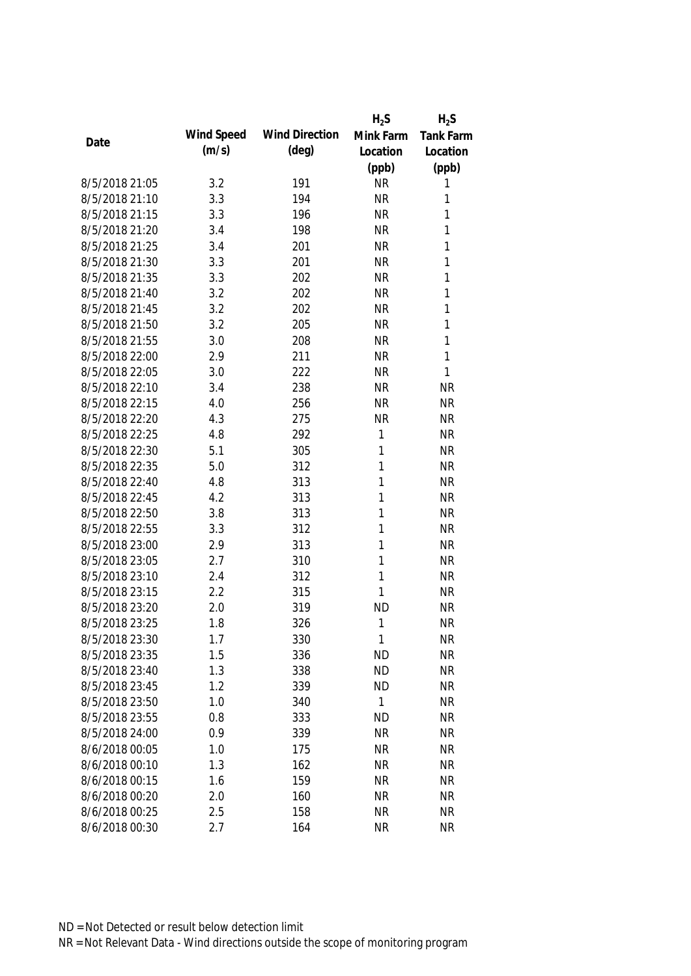|                |            |                       | $H_2S$    | $H_2S$           |
|----------------|------------|-----------------------|-----------|------------------|
| Date           | Wind Speed | <b>Wind Direction</b> | Mink Farm | <b>Tank Farm</b> |
|                | (m/s)      | $(\text{deg})$        | Location  | Location         |
|                |            |                       | (ppb)     | (ppb)            |
| 8/5/2018 21:05 | 3.2        | 191                   | <b>NR</b> | 1                |
| 8/5/2018 21:10 | 3.3        | 194                   | <b>NR</b> | 1                |
| 8/5/2018 21:15 | 3.3        | 196                   | <b>NR</b> | 1                |
| 8/5/2018 21:20 | 3.4        | 198                   | <b>NR</b> | 1                |
| 8/5/2018 21:25 | 3.4        | 201                   | <b>NR</b> | 1                |
| 8/5/2018 21:30 | 3.3        | 201                   | <b>NR</b> | 1                |
| 8/5/2018 21:35 | 3.3        | 202                   | <b>NR</b> | 1                |
| 8/5/2018 21:40 | 3.2        | 202                   | <b>NR</b> | 1                |
| 8/5/2018 21:45 | 3.2        | 202                   | <b>NR</b> | 1                |
| 8/5/2018 21:50 | 3.2        | 205                   | <b>NR</b> | 1                |
| 8/5/2018 21:55 | 3.0        | 208                   | <b>NR</b> | 1                |
| 8/5/2018 22:00 | 2.9        | 211                   | <b>NR</b> | 1                |
| 8/5/2018 22:05 | 3.0        | 222                   | <b>NR</b> | 1                |
| 8/5/2018 22:10 | 3.4        | 238                   | <b>NR</b> | <b>NR</b>        |
| 8/5/2018 22:15 | 4.0        | 256                   | <b>NR</b> | <b>NR</b>        |
| 8/5/2018 22:20 | 4.3        | 275                   | <b>NR</b> | <b>NR</b>        |
| 8/5/2018 22:25 | 4.8        | 292                   | 1         | <b>NR</b>        |
| 8/5/2018 22:30 | 5.1        | 305                   | 1         | <b>NR</b>        |
| 8/5/2018 22:35 | 5.0        | 312                   | 1         | <b>NR</b>        |
| 8/5/2018 22:40 | 4.8        | 313                   | 1         | <b>NR</b>        |
| 8/5/2018 22:45 | 4.2        | 313                   | 1         | <b>NR</b>        |
| 8/5/2018 22:50 | 3.8        | 313                   | 1         | <b>NR</b>        |
| 8/5/2018 22:55 | 3.3        | 312                   | 1         | <b>NR</b>        |
| 8/5/2018 23:00 | 2.9        | 313                   | 1         | <b>NR</b>        |
| 8/5/2018 23:05 | 2.7        | 310                   | 1         | <b>NR</b>        |
| 8/5/2018 23:10 | 2.4        | 312                   | 1         | <b>NR</b>        |
| 8/5/2018 23:15 | 2.2        | 315                   | 1         | <b>NR</b>        |
| 8/5/2018 23:20 | 2.0        | 319                   | <b>ND</b> | <b>NR</b>        |
| 8/5/2018 23:25 | 1.8        | 326                   | 1         | <b>NR</b>        |
| 8/5/2018 23:30 | 1.7        | 330                   | 1         | <b>NR</b>        |
| 8/5/2018 23:35 | 1.5        | 336                   | <b>ND</b> | <b>NR</b>        |
| 8/5/2018 23:40 | 1.3        | 338                   | <b>ND</b> | <b>NR</b>        |
| 8/5/2018 23:45 | 1.2        | 339                   | <b>ND</b> | <b>NR</b>        |
| 8/5/2018 23:50 | 1.0        | 340                   | 1         | <b>NR</b>        |
| 8/5/2018 23:55 | 0.8        | 333                   | <b>ND</b> | <b>NR</b>        |
| 8/5/2018 24:00 | 0.9        | 339                   | <b>NR</b> | <b>NR</b>        |
| 8/6/2018 00:05 | 1.0        | 175                   | <b>NR</b> | <b>NR</b>        |
| 8/6/2018 00:10 | 1.3        | 162                   | <b>NR</b> | <b>NR</b>        |
| 8/6/2018 00:15 | 1.6        | 159                   | <b>NR</b> | <b>NR</b>        |
| 8/6/2018 00:20 | 2.0        | 160                   | <b>NR</b> | <b>NR</b>        |
| 8/6/2018 00:25 | 2.5        | 158                   | <b>NR</b> | <b>NR</b>        |
| 8/6/2018 00:30 | 2.7        | 164                   | <b>NR</b> | <b>NR</b>        |
|                |            |                       |           |                  |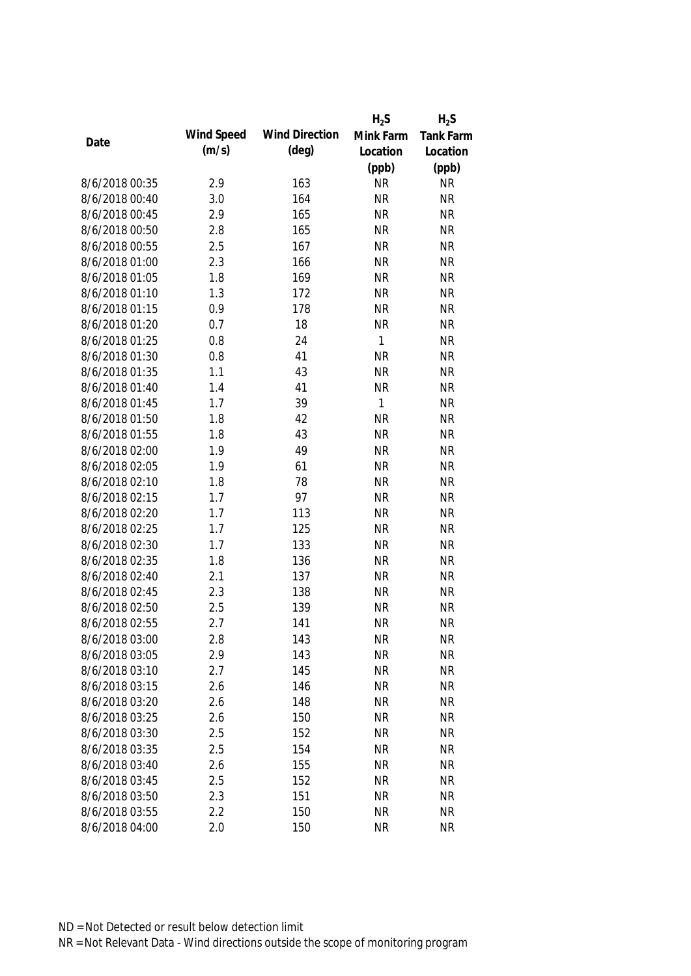|                |            |                       | $H_2S$       | $H_2S$    |
|----------------|------------|-----------------------|--------------|-----------|
|                | Wind Speed | <b>Wind Direction</b> | Mink Farm    | Tank Farm |
| Date           | (m/s)      | $(\text{deg})$        | Location     | Location  |
|                |            |                       | (ppb)        | (ppb)     |
| 8/6/2018 00:35 | 2.9        | 163                   | <b>NR</b>    | <b>NR</b> |
| 8/6/2018 00:40 | 3.0        | 164                   | <b>NR</b>    | <b>NR</b> |
| 8/6/2018 00:45 | 2.9        | 165                   | <b>NR</b>    | <b>NR</b> |
| 8/6/2018 00:50 | 2.8        | 165                   | <b>NR</b>    | <b>NR</b> |
| 8/6/2018 00:55 | 2.5        | 167                   | <b>NR</b>    | <b>NR</b> |
| 8/6/2018 01:00 | 2.3        | 166                   | <b>NR</b>    | <b>NR</b> |
| 8/6/2018 01:05 | 1.8        | 169                   | <b>NR</b>    | <b>NR</b> |
| 8/6/2018 01:10 | 1.3        | 172                   | <b>NR</b>    | <b>NR</b> |
| 8/6/2018 01:15 | 0.9        | 178                   | <b>NR</b>    | <b>NR</b> |
| 8/6/2018 01:20 | 0.7        | 18                    | <b>NR</b>    | <b>NR</b> |
| 8/6/2018 01:25 | 0.8        | 24                    | $\mathbf{1}$ | <b>NR</b> |
| 8/6/2018 01:30 | 0.8        | 41                    | <b>NR</b>    | <b>NR</b> |
| 8/6/2018 01:35 | 1.1        | 43                    | <b>NR</b>    | <b>NR</b> |
| 8/6/2018 01:40 | 1.4        | 41                    | <b>NR</b>    | <b>NR</b> |
| 8/6/2018 01:45 | 1.7        | 39                    | $\mathbf{1}$ | <b>NR</b> |
| 8/6/2018 01:50 | 1.8        | 42                    | <b>NR</b>    | <b>NR</b> |
| 8/6/2018 01:55 | 1.8        | 43                    | <b>NR</b>    | <b>NR</b> |
| 8/6/2018 02:00 | 1.9        | 49                    | <b>NR</b>    | <b>NR</b> |
| 8/6/2018 02:05 | 1.9        | 61                    | <b>NR</b>    | <b>NR</b> |
| 8/6/2018 02:10 | 1.8        | 78                    | <b>NR</b>    | <b>NR</b> |
| 8/6/2018 02:15 | 1.7        | 97                    | <b>NR</b>    | <b>NR</b> |
| 8/6/2018 02:20 | 1.7        | 113                   | <b>NR</b>    | <b>NR</b> |
| 8/6/2018 02:25 | 1.7        | 125                   | <b>NR</b>    | <b>NR</b> |
| 8/6/2018 02:30 | 1.7        | 133                   | <b>NR</b>    | <b>NR</b> |
| 8/6/2018 02:35 | 1.8        | 136                   | <b>NR</b>    | <b>NR</b> |
| 8/6/2018 02:40 | 2.1        | 137                   | <b>NR</b>    | <b>NR</b> |
| 8/6/2018 02:45 | 2.3        | 138                   | <b>NR</b>    | <b>NR</b> |
| 8/6/2018 02:50 | 2.5        | 139                   | <b>NR</b>    | <b>NR</b> |
| 8/6/2018 02:55 | 2.7        | 141                   | <b>NR</b>    | <b>NR</b> |
| 8/6/2018 03:00 | 2.8        | 143                   | <b>NR</b>    | <b>NR</b> |
| 8/6/2018 03:05 | 2.9        | 143                   | <b>NR</b>    | <b>NR</b> |
| 8/6/2018 03:10 | 2.7        | 145                   | <b>NR</b>    | <b>NR</b> |
| 8/6/2018 03:15 | 2.6        | 146                   | <b>NR</b>    | <b>NR</b> |
| 8/6/2018 03:20 | 2.6        | 148                   | <b>NR</b>    | <b>NR</b> |
| 8/6/2018 03:25 | 2.6        | 150                   | <b>NR</b>    | <b>NR</b> |
| 8/6/2018 03:30 | 2.5        | 152                   | <b>NR</b>    | <b>NR</b> |
| 8/6/2018 03:35 | 2.5        | 154                   | <b>NR</b>    | <b>NR</b> |
| 8/6/2018 03:40 | 2.6        | 155                   | <b>NR</b>    | <b>NR</b> |
| 8/6/2018 03:45 | 2.5        | 152                   | <b>NR</b>    | <b>NR</b> |
| 8/6/2018 03:50 | 2.3        | 151                   | <b>NR</b>    | <b>NR</b> |
| 8/6/2018 03:55 | 2.2        | 150                   | <b>NR</b>    | <b>NR</b> |
| 8/6/2018 04:00 | 2.0        | 150                   | <b>NR</b>    | <b>NR</b> |
|                |            |                       |              |           |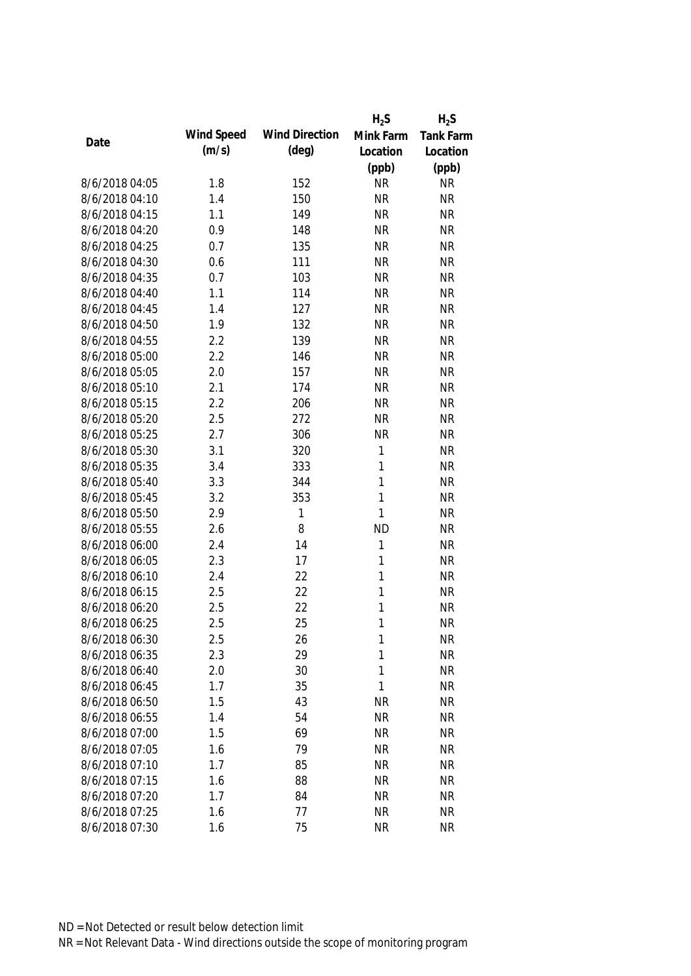|                |            |                       | $H_2S$       | $H_2S$           |
|----------------|------------|-----------------------|--------------|------------------|
|                | Wind Speed | <b>Wind Direction</b> | Mink Farm    | <b>Tank Farm</b> |
| Date           | (m/s)      | $(\text{deg})$        | Location     | Location         |
|                |            |                       | (ppb)        | (ppb)            |
| 8/6/2018 04:05 | 1.8        | 152                   | <b>NR</b>    | <b>NR</b>        |
| 8/6/2018 04:10 | 1.4        | 150                   | <b>NR</b>    | <b>NR</b>        |
| 8/6/2018 04:15 | 1.1        | 149                   | <b>NR</b>    | <b>NR</b>        |
| 8/6/2018 04:20 | 0.9        | 148                   | <b>NR</b>    | <b>NR</b>        |
| 8/6/2018 04:25 | 0.7        | 135                   | <b>NR</b>    | <b>NR</b>        |
| 8/6/2018 04:30 | 0.6        | 111                   | <b>NR</b>    | <b>NR</b>        |
| 8/6/2018 04:35 | 0.7        | 103                   | <b>NR</b>    | <b>NR</b>        |
| 8/6/2018 04:40 | 1.1        | 114                   | <b>NR</b>    | <b>NR</b>        |
| 8/6/2018 04:45 | 1.4        | 127                   | <b>NR</b>    | <b>NR</b>        |
| 8/6/2018 04:50 | 1.9        | 132                   | <b>NR</b>    | <b>NR</b>        |
| 8/6/2018 04:55 | 2.2        | 139                   | <b>NR</b>    | <b>NR</b>        |
| 8/6/2018 05:00 | 2.2        | 146                   | <b>NR</b>    | <b>NR</b>        |
| 8/6/2018 05:05 | 2.0        | 157                   | <b>NR</b>    | <b>NR</b>        |
| 8/6/2018 05:10 | 2.1        | 174                   | <b>NR</b>    | <b>NR</b>        |
| 8/6/2018 05:15 | 2.2        | 206                   | <b>NR</b>    | <b>NR</b>        |
| 8/6/2018 05:20 | 2.5        | 272                   | <b>NR</b>    | <b>NR</b>        |
| 8/6/2018 05:25 | 2.7        | 306                   | <b>NR</b>    | <b>NR</b>        |
| 8/6/2018 05:30 | 3.1        | 320                   | 1            | <b>NR</b>        |
| 8/6/2018 05:35 | 3.4        | 333                   | 1            | <b>NR</b>        |
| 8/6/2018 05:40 | 3.3        | 344                   | $\mathbf{1}$ | <b>NR</b>        |
| 8/6/2018 05:45 | 3.2        | 353                   | $\mathbf{1}$ | <b>NR</b>        |
| 8/6/2018 05:50 | 2.9        | 1                     | $\mathbf{1}$ | <b>NR</b>        |
| 8/6/2018 05:55 | 2.6        | 8                     | <b>ND</b>    | <b>NR</b>        |
| 8/6/2018 06:00 | 2.4        | 14                    | $\mathbf{1}$ | <b>NR</b>        |
| 8/6/2018 06:05 | 2.3        | 17                    | 1            | <b>NR</b>        |
| 8/6/2018 06:10 | 2.4        | 22                    | 1            | <b>NR</b>        |
| 8/6/2018 06:15 | 2.5        | 22                    | 1            | <b>NR</b>        |
| 8/6/2018 06:20 | 2.5        | 22                    | 1            | <b>NR</b>        |
| 8/6/2018 06:25 | 2.5        | 25                    | $\mathbf{1}$ | <b>NR</b>        |
| 8/6/2018 06:30 | 2.5        | 26                    | 1            | <b>NR</b>        |
| 8/6/2018 06:35 | 2.3        | 29                    | 1            | <b>NR</b>        |
| 8/6/2018 06:40 | 2.0        | 30                    | 1            | <b>NR</b>        |
| 8/6/2018 06:45 | 1.7        | 35                    | 1            | <b>NR</b>        |
| 8/6/2018 06:50 | 1.5        | 43                    | <b>NR</b>    | <b>NR</b>        |
| 8/6/2018 06:55 | 1.4        | 54                    | <b>NR</b>    | <b>NR</b>        |
| 8/6/2018 07:00 | 1.5        | 69                    | <b>NR</b>    | <b>NR</b>        |
| 8/6/2018 07:05 | 1.6        | 79                    | <b>NR</b>    | <b>NR</b>        |
| 8/6/2018 07:10 | 1.7        | 85                    | <b>NR</b>    | <b>NR</b>        |
| 8/6/2018 07:15 | 1.6        | 88                    | <b>NR</b>    | <b>NR</b>        |
| 8/6/2018 07:20 | 1.7        | 84                    | <b>NR</b>    | <b>NR</b>        |
| 8/6/2018 07:25 | 1.6        | 77                    | <b>NR</b>    | <b>NR</b>        |
| 8/6/2018 07:30 | 1.6        | 75                    | <b>NR</b>    | <b>NR</b>        |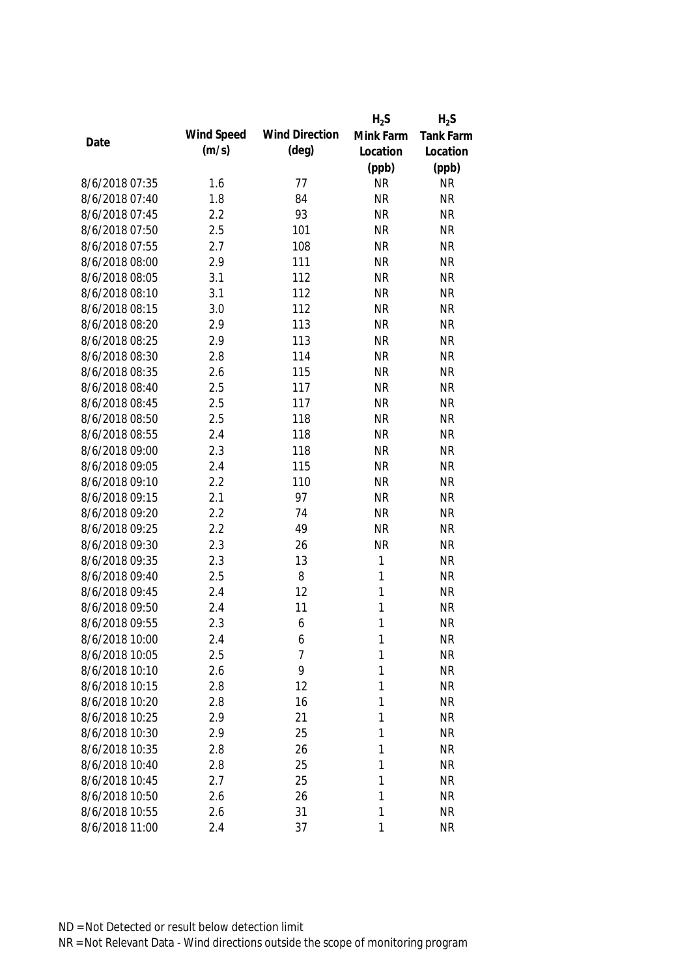|                |            |                       | $H_2S$       | $H_2S$    |
|----------------|------------|-----------------------|--------------|-----------|
|                | Wind Speed | <b>Wind Direction</b> | Mink Farm    | Tank Farm |
| Date           | (m/s)      | $(\text{deg})$        | Location     | Location  |
|                |            |                       | (ppb)        | (ppb)     |
| 8/6/2018 07:35 | 1.6        | 77                    | <b>NR</b>    | <b>NR</b> |
| 8/6/2018 07:40 | 1.8        | 84                    | <b>NR</b>    | <b>NR</b> |
| 8/6/2018 07:45 | 2.2        | 93                    | <b>NR</b>    | <b>NR</b> |
| 8/6/2018 07:50 | 2.5        | 101                   | <b>NR</b>    | <b>NR</b> |
| 8/6/2018 07:55 | 2.7        | 108                   | <b>NR</b>    | <b>NR</b> |
| 8/6/2018 08:00 | 2.9        | 111                   | <b>NR</b>    | <b>NR</b> |
| 8/6/2018 08:05 | 3.1        | 112                   | <b>NR</b>    | <b>NR</b> |
| 8/6/2018 08:10 | 3.1        | 112                   | <b>NR</b>    | <b>NR</b> |
| 8/6/2018 08:15 | 3.0        | 112                   | <b>NR</b>    | <b>NR</b> |
| 8/6/2018 08:20 | 2.9        | 113                   | <b>NR</b>    | <b>NR</b> |
| 8/6/2018 08:25 | 2.9        | 113                   | <b>NR</b>    | <b>NR</b> |
| 8/6/2018 08:30 | 2.8        | 114                   | <b>NR</b>    | <b>NR</b> |
| 8/6/2018 08:35 | 2.6        | 115                   | <b>NR</b>    | <b>NR</b> |
| 8/6/2018 08:40 | 2.5        | 117                   | <b>NR</b>    | <b>NR</b> |
| 8/6/2018 08:45 | 2.5        | 117                   | <b>NR</b>    | <b>NR</b> |
| 8/6/2018 08:50 | 2.5        | 118                   | <b>NR</b>    | <b>NR</b> |
| 8/6/2018 08:55 | 2.4        | 118                   | <b>NR</b>    | <b>NR</b> |
| 8/6/2018 09:00 | 2.3        | 118                   | <b>NR</b>    | <b>NR</b> |
| 8/6/2018 09:05 | 2.4        | 115                   | <b>NR</b>    | <b>NR</b> |
| 8/6/2018 09:10 | 2.2        | 110                   | <b>NR</b>    | <b>NR</b> |
| 8/6/2018 09:15 | 2.1        | 97                    | <b>NR</b>    | <b>NR</b> |
| 8/6/2018 09:20 | 2.2        | 74                    | <b>NR</b>    | <b>NR</b> |
| 8/6/2018 09:25 | 2.2        | 49                    | <b>NR</b>    | <b>NR</b> |
| 8/6/2018 09:30 | 2.3        | 26                    | <b>NR</b>    | <b>NR</b> |
| 8/6/2018 09:35 | 2.3        | 13                    | $\mathbf{1}$ | <b>NR</b> |
| 8/6/2018 09:40 | 2.5        | 8                     | 1            | <b>NR</b> |
| 8/6/2018 09:45 | 2.4        | 12                    | 1            | <b>NR</b> |
| 8/6/2018 09:50 | 2.4        | 11                    | 1            | <b>NR</b> |
| 8/6/2018 09:55 | 2.3        | 6                     | 1            | <b>NR</b> |
| 8/6/2018 10:00 | 2.4        | 6                     | 1            | <b>NR</b> |
| 8/6/2018 10:05 | 2.5        | 7                     | 1            | <b>NR</b> |
| 8/6/2018 10:10 | 2.6        | 9                     | 1            | <b>NR</b> |
| 8/6/2018 10:15 | 2.8        | 12                    | 1            | <b>NR</b> |
| 8/6/2018 10:20 | 2.8        | 16                    | 1            | <b>NR</b> |
| 8/6/2018 10:25 | 2.9        | 21                    | 1            | <b>NR</b> |
| 8/6/2018 10:30 | 2.9        | 25                    | 1            | <b>NR</b> |
| 8/6/2018 10:35 | 2.8        | 26                    | 1            | <b>NR</b> |
| 8/6/2018 10:40 | 2.8        | 25                    | 1            | <b>NR</b> |
| 8/6/2018 10:45 | 2.7        | 25                    | 1            | <b>NR</b> |
| 8/6/2018 10:50 | 2.6        | 26                    | 1            | <b>NR</b> |
| 8/6/2018 10:55 | 2.6        | 31                    | 1            | <b>NR</b> |
| 8/6/2018 11:00 | 2.4        | 37                    | 1            | <b>NR</b> |
|                |            |                       |              |           |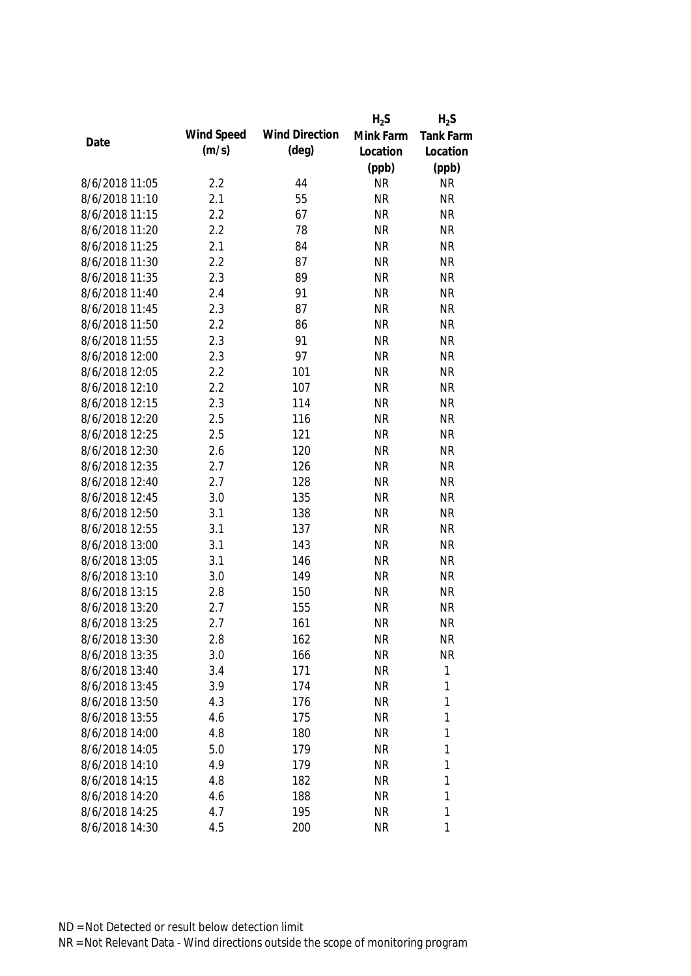|      |                |            |                       | $H_2S$    | $H_2S$    |
|------|----------------|------------|-----------------------|-----------|-----------|
|      |                | Wind Speed | <b>Wind Direction</b> | Mink Farm | Tank Farm |
| Date |                | (m/s)      | (deg)                 | Location  | Location  |
|      |                |            |                       | (ppb)     | (ppb)     |
|      | 8/6/2018 11:05 | 2.2        | 44                    | <b>NR</b> | <b>NR</b> |
|      | 8/6/2018 11:10 | 2.1        | 55                    | <b>NR</b> | <b>NR</b> |
|      | 8/6/2018 11:15 | 2.2        | 67                    | <b>NR</b> | <b>NR</b> |
|      | 8/6/2018 11:20 | 2.2        | 78                    | <b>NR</b> | <b>NR</b> |
|      | 8/6/2018 11:25 | 2.1        | 84                    | <b>NR</b> | <b>NR</b> |
|      | 8/6/2018 11:30 | 2.2        | 87                    | <b>NR</b> | <b>NR</b> |
|      | 8/6/2018 11:35 | 2.3        | 89                    | <b>NR</b> | <b>NR</b> |
|      | 8/6/2018 11:40 | 2.4        | 91                    | <b>NR</b> | <b>NR</b> |
|      | 8/6/2018 11:45 | 2.3        | 87                    | <b>NR</b> | <b>NR</b> |
|      | 8/6/2018 11:50 | 2.2        | 86                    | <b>NR</b> | <b>NR</b> |
|      | 8/6/2018 11:55 | 2.3        | 91                    | <b>NR</b> | <b>NR</b> |
|      | 8/6/2018 12:00 | 2.3        | 97                    | <b>NR</b> | <b>NR</b> |
|      | 8/6/2018 12:05 | 2.2        | 101                   | <b>NR</b> | <b>NR</b> |
|      | 8/6/2018 12:10 | 2.2        | 107                   | <b>NR</b> | <b>NR</b> |
|      | 8/6/2018 12:15 | 2.3        | 114                   | <b>NR</b> | <b>NR</b> |
|      | 8/6/2018 12:20 | 2.5        | 116                   | <b>NR</b> | <b>NR</b> |
|      | 8/6/2018 12:25 | 2.5        | 121                   | <b>NR</b> | <b>NR</b> |
|      | 8/6/2018 12:30 | 2.6        | 120                   | <b>NR</b> | <b>NR</b> |
|      | 8/6/2018 12:35 | 2.7        | 126                   | <b>NR</b> | <b>NR</b> |
|      | 8/6/2018 12:40 | 2.7        | 128                   | <b>NR</b> | <b>NR</b> |
|      | 8/6/2018 12:45 | 3.0        | 135                   | <b>NR</b> | <b>NR</b> |
|      | 8/6/2018 12:50 | 3.1        | 138                   | <b>NR</b> | <b>NR</b> |
|      | 8/6/2018 12:55 | 3.1        | 137                   | <b>NR</b> | <b>NR</b> |
|      | 8/6/2018 13:00 | 3.1        | 143                   | <b>NR</b> | <b>NR</b> |
|      | 8/6/2018 13:05 | 3.1        | 146                   | <b>NR</b> | <b>NR</b> |
|      | 8/6/2018 13:10 | 3.0        | 149                   | <b>NR</b> | <b>NR</b> |
|      | 8/6/2018 13:15 | 2.8        | 150                   | <b>NR</b> | <b>NR</b> |
|      | 8/6/2018 13:20 | 2.7        | 155                   | <b>NR</b> | <b>NR</b> |
|      | 8/6/2018 13:25 | 2.7        | 161                   | <b>NR</b> | <b>NR</b> |
|      | 8/6/2018 13:30 | 2.8        | 162                   | <b>NR</b> | <b>NR</b> |
|      | 8/6/2018 13:35 | 3.0        | 166                   | <b>NR</b> | <b>NR</b> |
|      | 8/6/2018 13:40 | 3.4        | 171                   | <b>NR</b> | 1         |
|      | 8/6/2018 13:45 | 3.9        | 174                   | <b>NR</b> | 1         |
|      | 8/6/2018 13:50 | 4.3        | 176                   | <b>NR</b> | 1         |
|      | 8/6/2018 13:55 | 4.6        | 175                   | <b>NR</b> | 1         |
|      | 8/6/2018 14:00 | 4.8        | 180                   | <b>NR</b> | 1         |
|      | 8/6/2018 14:05 | 5.0        | 179                   | <b>NR</b> | 1         |
|      | 8/6/2018 14:10 | 4.9        | 179                   | <b>NR</b> | 1         |
|      | 8/6/2018 14:15 | 4.8        | 182                   | <b>NR</b> | 1         |
|      | 8/6/2018 14:20 | 4.6        | 188                   | <b>NR</b> | 1         |
|      | 8/6/2018 14:25 | 4.7        | 195                   | <b>NR</b> | 1         |
|      | 8/6/2018 14:30 | 4.5        | 200                   | <b>NR</b> | 1         |
|      |                |            |                       |           |           |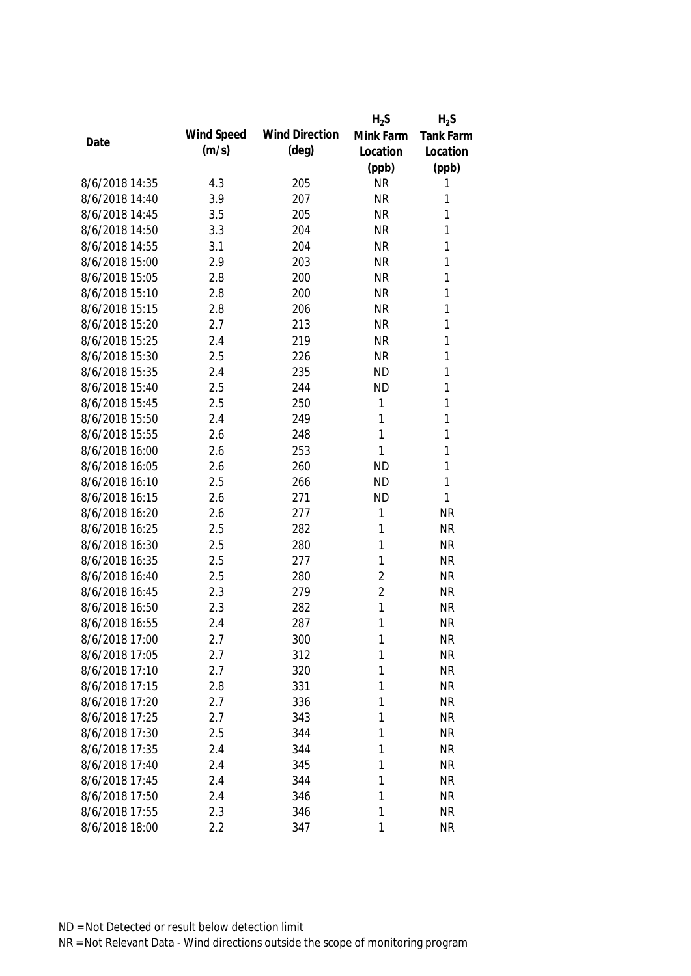|                |            |                       | $H_2S$         | $H_2S$           |
|----------------|------------|-----------------------|----------------|------------------|
|                | Wind Speed | <b>Wind Direction</b> | Mink Farm      | <b>Tank Farm</b> |
| Date           | (m/s)      | $(\text{deg})$        | Location       | Location         |
|                |            |                       | (ppb)          | (ppb)            |
| 8/6/2018 14:35 | 4.3        | 205                   | <b>NR</b>      | 1                |
| 8/6/2018 14:40 | 3.9        | 207                   | <b>NR</b>      | 1                |
| 8/6/2018 14:45 | 3.5        | 205                   | <b>NR</b>      | 1                |
| 8/6/2018 14:50 | 3.3        | 204                   | <b>NR</b>      | 1                |
| 8/6/2018 14:55 | 3.1        | 204                   | <b>NR</b>      | 1                |
| 8/6/2018 15:00 | 2.9        | 203                   | <b>NR</b>      | 1                |
| 8/6/2018 15:05 | 2.8        | 200                   | <b>NR</b>      | 1                |
| 8/6/2018 15:10 | 2.8        | 200                   | <b>NR</b>      | 1                |
| 8/6/2018 15:15 | 2.8        | 206                   | <b>NR</b>      | 1                |
| 8/6/2018 15:20 | 2.7        | 213                   | <b>NR</b>      | 1                |
| 8/6/2018 15:25 | 2.4        | 219                   | <b>NR</b>      | 1                |
| 8/6/2018 15:30 | 2.5        | 226                   | <b>NR</b>      | 1                |
| 8/6/2018 15:35 | 2.4        | 235                   | <b>ND</b>      | 1                |
| 8/6/2018 15:40 | 2.5        | 244                   | <b>ND</b>      | 1                |
| 8/6/2018 15:45 | 2.5        | 250                   | 1              | 1                |
| 8/6/2018 15:50 | 2.4        | 249                   | 1              | 1                |
| 8/6/2018 15:55 | 2.6        | 248                   | 1              | 1                |
| 8/6/2018 16:00 | 2.6        | 253                   | 1              | 1                |
| 8/6/2018 16:05 | 2.6        | 260                   | <b>ND</b>      | 1                |
| 8/6/2018 16:10 | 2.5        | 266                   | <b>ND</b>      | 1                |
| 8/6/2018 16:15 | 2.6        | 271                   | <b>ND</b>      | 1                |
| 8/6/2018 16:20 | 2.6        | 277                   | 1              | <b>NR</b>        |
| 8/6/2018 16:25 | 2.5        | 282                   | 1              | <b>NR</b>        |
| 8/6/2018 16:30 | 2.5        | 280                   | 1              | <b>NR</b>        |
| 8/6/2018 16:35 | 2.5        | 277                   | 1              | <b>NR</b>        |
| 8/6/2018 16:40 | 2.5        | 280                   | $\overline{2}$ | <b>NR</b>        |
| 8/6/2018 16:45 | 2.3        | 279                   | $\overline{2}$ | <b>NR</b>        |
| 8/6/2018 16:50 | 2.3        | 282                   | 1              | <b>NR</b>        |
| 8/6/2018 16:55 | 2.4        | 287                   | 1              | <b>NR</b>        |
| 8/6/2018 17:00 | 2.7        | 300                   | 1              | <b>NR</b>        |
| 8/6/2018 17:05 | 2.7        | 312                   | 1              | <b>NR</b>        |
| 8/6/2018 17:10 | 2.7        | 320                   | 1              | <b>NR</b>        |
| 8/6/2018 17:15 | 2.8        | 331                   | 1              | <b>NR</b>        |
| 8/6/2018 17:20 | 2.7        | 336                   | 1              | <b>NR</b>        |
| 8/6/2018 17:25 | 2.7        | 343                   | 1              | <b>NR</b>        |
| 8/6/2018 17:30 | 2.5        | 344                   | 1              | <b>NR</b>        |
| 8/6/2018 17:35 | 2.4        | 344                   | 1              | <b>NR</b>        |
| 8/6/2018 17:40 | 2.4        | 345                   | 1              | <b>NR</b>        |
| 8/6/2018 17:45 | 2.4        | 344                   | 1              | <b>NR</b>        |
| 8/6/2018 17:50 | 2.4        | 346                   | 1              | <b>NR</b>        |
| 8/6/2018 17:55 | 2.3        | 346                   | 1              | <b>NR</b>        |
| 8/6/2018 18:00 | 2.2        | 347                   | 1              | <b>NR</b>        |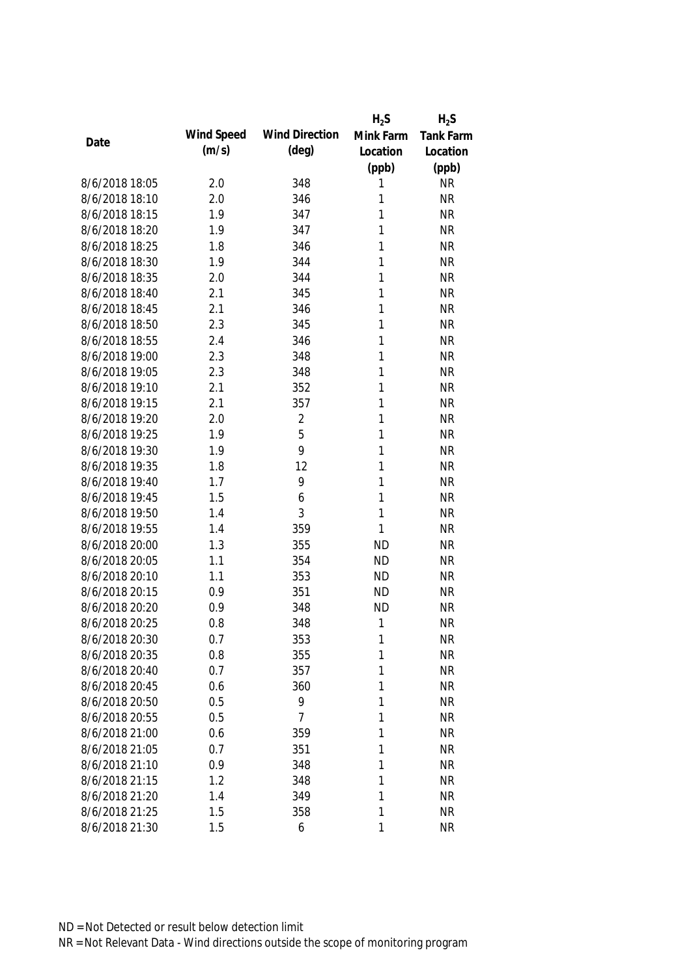|                |            |                       | $H_2S$       | $H_2S$           |
|----------------|------------|-----------------------|--------------|------------------|
| Date           | Wind Speed | <b>Wind Direction</b> | Mink Farm    | <b>Tank Farm</b> |
|                | (m/s)      | $(\text{deg})$        | Location     | Location         |
|                |            |                       | (ppb)        | (ppb)            |
| 8/6/2018 18:05 | 2.0        | 348                   | 1            | <b>NR</b>        |
| 8/6/2018 18:10 | 2.0        | 346                   | 1            | <b>NR</b>        |
| 8/6/2018 18:15 | 1.9        | 347                   | 1            | <b>NR</b>        |
| 8/6/2018 18:20 | 1.9        | 347                   | 1            | <b>NR</b>        |
| 8/6/2018 18:25 | 1.8        | 346                   | 1            | <b>NR</b>        |
| 8/6/2018 18:30 | 1.9        | 344                   | 1            | <b>NR</b>        |
| 8/6/2018 18:35 | 2.0        | 344                   | 1            | <b>NR</b>        |
| 8/6/2018 18:40 | 2.1        | 345                   | 1            | <b>NR</b>        |
| 8/6/2018 18:45 | 2.1        | 346                   | 1            | <b>NR</b>        |
| 8/6/2018 18:50 | 2.3        | 345                   | 1            | <b>NR</b>        |
| 8/6/2018 18:55 | 2.4        | 346                   | 1            | <b>NR</b>        |
| 8/6/2018 19:00 | 2.3        | 348                   | 1            | <b>NR</b>        |
| 8/6/2018 19:05 | 2.3        | 348                   | 1            | <b>NR</b>        |
| 8/6/2018 19:10 | 2.1        | 352                   | 1            | <b>NR</b>        |
| 8/6/2018 19:15 | 2.1        | 357                   | 1            | <b>NR</b>        |
| 8/6/2018 19:20 | 2.0        | $\overline{2}$        | $\mathbf{1}$ | <b>NR</b>        |
| 8/6/2018 19:25 | 1.9        | 5                     | 1            | <b>NR</b>        |
| 8/6/2018 19:30 | 1.9        | 9                     | 1            | <b>NR</b>        |
| 8/6/2018 19:35 | 1.8        | 12                    | 1            | <b>NR</b>        |
| 8/6/2018 19:40 | 1.7        | 9                     | 1            | <b>NR</b>        |
| 8/6/2018 19:45 | 1.5        | 6                     | 1            | <b>NR</b>        |
| 8/6/2018 19:50 | 1.4        | 3                     | 1            | <b>NR</b>        |
| 8/6/2018 19:55 | 1.4        | 359                   | 1            | <b>NR</b>        |
| 8/6/2018 20:00 | 1.3        | 355                   | <b>ND</b>    | <b>NR</b>        |
| 8/6/2018 20:05 | 1.1        | 354                   | <b>ND</b>    | <b>NR</b>        |
| 8/6/2018 20:10 | 1.1        | 353                   | <b>ND</b>    | <b>NR</b>        |
| 8/6/2018 20:15 | 0.9        | 351                   | <b>ND</b>    | <b>NR</b>        |
| 8/6/2018 20:20 | 0.9        | 348                   | <b>ND</b>    | <b>NR</b>        |
| 8/6/2018 20:25 | 0.8        | 348                   | 1            | <b>NR</b>        |
| 8/6/2018 20:30 | 0.7        | 353                   | 1            | <b>NR</b>        |
| 8/6/2018 20:35 | 0.8        | 355                   | 1            | <b>NR</b>        |
| 8/6/2018 20:40 | 0.7        | 357                   | 1            | <b>NR</b>        |
| 8/6/2018 20:45 | 0.6        | 360                   | 1            | <b>NR</b>        |
| 8/6/2018 20:50 | 0.5        | 9                     | 1            | <b>NR</b>        |
| 8/6/2018 20:55 | 0.5        | $\overline{7}$        | 1            | <b>NR</b>        |
| 8/6/2018 21:00 | 0.6        | 359                   | 1            | <b>NR</b>        |
| 8/6/2018 21:05 | 0.7        | 351                   | 1            | <b>NR</b>        |
| 8/6/2018 21:10 | 0.9        | 348                   | 1            | <b>NR</b>        |
| 8/6/2018 21:15 | 1.2        | 348                   | 1            | <b>NR</b>        |
| 8/6/2018 21:20 | 1.4        | 349                   | 1            | <b>NR</b>        |
| 8/6/2018 21:25 | 1.5        | 358                   | 1            | <b>NR</b>        |
| 8/6/2018 21:30 | 1.5        | 6                     | 1            | <b>NR</b>        |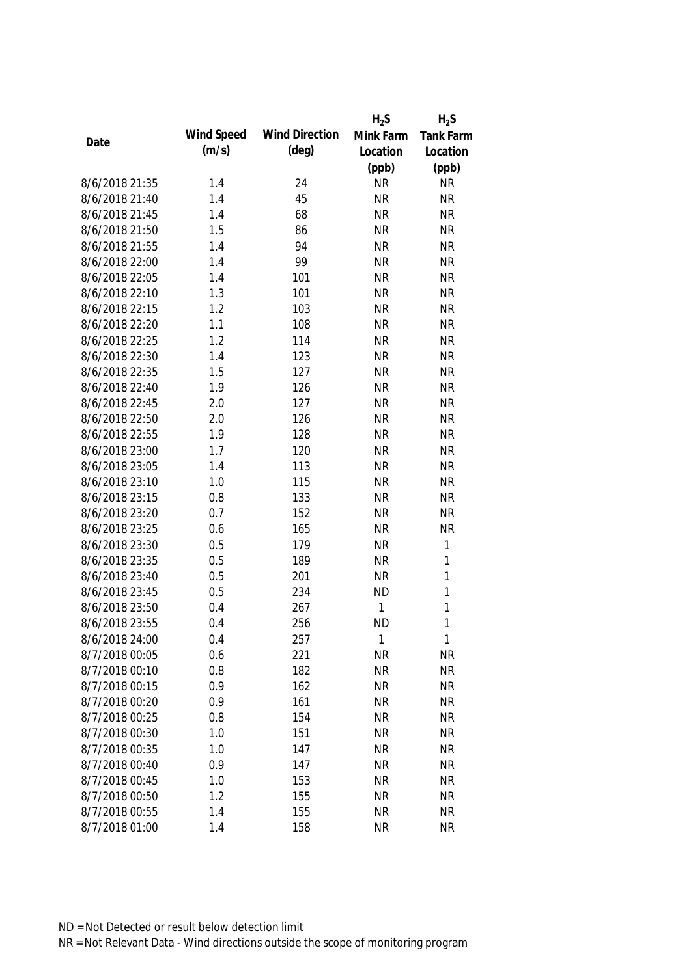|                |            |                       | $H_2S$    | $H_2S$           |
|----------------|------------|-----------------------|-----------|------------------|
| Date           | Wind Speed | <b>Wind Direction</b> | Mink Farm | <b>Tank Farm</b> |
|                | (m/s)      | $(\text{deg})$        | Location  | Location         |
|                |            |                       | (ppb)     | (ppb)            |
| 8/6/2018 21:35 | 1.4        | 24                    | <b>NR</b> | <b>NR</b>        |
| 8/6/2018 21:40 | 1.4        | 45                    | <b>NR</b> | <b>NR</b>        |
| 8/6/2018 21:45 | 1.4        | 68                    | <b>NR</b> | <b>NR</b>        |
| 8/6/2018 21:50 | 1.5        | 86                    | <b>NR</b> | <b>NR</b>        |
| 8/6/2018 21:55 | 1.4        | 94                    | <b>NR</b> | <b>NR</b>        |
| 8/6/2018 22:00 | 1.4        | 99                    | <b>NR</b> | <b>NR</b>        |
| 8/6/2018 22:05 | 1.4        | 101                   | <b>NR</b> | <b>NR</b>        |
| 8/6/2018 22:10 | 1.3        | 101                   | <b>NR</b> | <b>NR</b>        |
| 8/6/2018 22:15 | 1.2        | 103                   | <b>NR</b> | <b>NR</b>        |
| 8/6/2018 22:20 | 1.1        | 108                   | <b>NR</b> | <b>NR</b>        |
| 8/6/2018 22:25 | 1.2        | 114                   | <b>NR</b> | <b>NR</b>        |
| 8/6/2018 22:30 | 1.4        | 123                   | <b>NR</b> | <b>NR</b>        |
| 8/6/2018 22:35 | 1.5        | 127                   | <b>NR</b> | <b>NR</b>        |
| 8/6/2018 22:40 | 1.9        | 126                   | <b>NR</b> | <b>NR</b>        |
| 8/6/2018 22:45 | 2.0        | 127                   | <b>NR</b> | <b>NR</b>        |
| 8/6/2018 22:50 | 2.0        | 126                   | <b>NR</b> | <b>NR</b>        |
| 8/6/2018 22:55 | 1.9        | 128                   | <b>NR</b> | <b>NR</b>        |
| 8/6/2018 23:00 | 1.7        | 120                   | <b>NR</b> | <b>NR</b>        |
| 8/6/2018 23:05 | 1.4        | 113                   | <b>NR</b> | <b>NR</b>        |
| 8/6/2018 23:10 | 1.0        | 115                   | <b>NR</b> | <b>NR</b>        |
| 8/6/2018 23:15 | 0.8        | 133                   | <b>NR</b> | <b>NR</b>        |
| 8/6/2018 23:20 | 0.7        | 152                   | <b>NR</b> | <b>NR</b>        |
| 8/6/2018 23:25 | 0.6        | 165                   | <b>NR</b> | <b>NR</b>        |
| 8/6/2018 23:30 | 0.5        | 179                   | <b>NR</b> | 1                |
| 8/6/2018 23:35 | 0.5        | 189                   | <b>NR</b> | 1                |
| 8/6/2018 23:40 | 0.5        | 201                   | <b>NR</b> | $\mathbf{1}$     |
| 8/6/2018 23:45 | 0.5        | 234                   | <b>ND</b> | 1                |
| 8/6/2018 23:50 | 0.4        | 267                   | 1         | 1                |
| 8/6/2018 23:55 | 0.4        | 256                   | <b>ND</b> | 1                |
| 8/6/2018 24:00 | 0.4        | 257                   | 1         | 1                |
| 8/7/2018 00:05 | 0.6        | 221                   | <b>NR</b> | <b>NR</b>        |
| 8/7/2018 00:10 | 0.8        | 182                   | <b>NR</b> | <b>NR</b>        |
| 8/7/2018 00:15 | 0.9        | 162                   | <b>NR</b> | <b>NR</b>        |
| 8/7/2018 00:20 | 0.9        | 161                   | <b>NR</b> | <b>NR</b>        |
| 8/7/2018 00:25 | 0.8        | 154                   | <b>NR</b> | <b>NR</b>        |
| 8/7/2018 00:30 | 1.0        | 151                   | <b>NR</b> | <b>NR</b>        |
| 8/7/2018 00:35 | 1.0        | 147                   | <b>NR</b> | <b>NR</b>        |
| 8/7/2018 00:40 | 0.9        | 147                   | <b>NR</b> | <b>NR</b>        |
| 8/7/2018 00:45 | 1.0        | 153                   | <b>NR</b> | <b>NR</b>        |
| 8/7/2018 00:50 | 1.2        | 155                   | <b>NR</b> | <b>NR</b>        |
| 8/7/2018 00:55 | 1.4        | 155                   | <b>NR</b> | <b>NR</b>        |
| 8/7/2018 01:00 | 1.4        | 158                   | <b>NR</b> | <b>NR</b>        |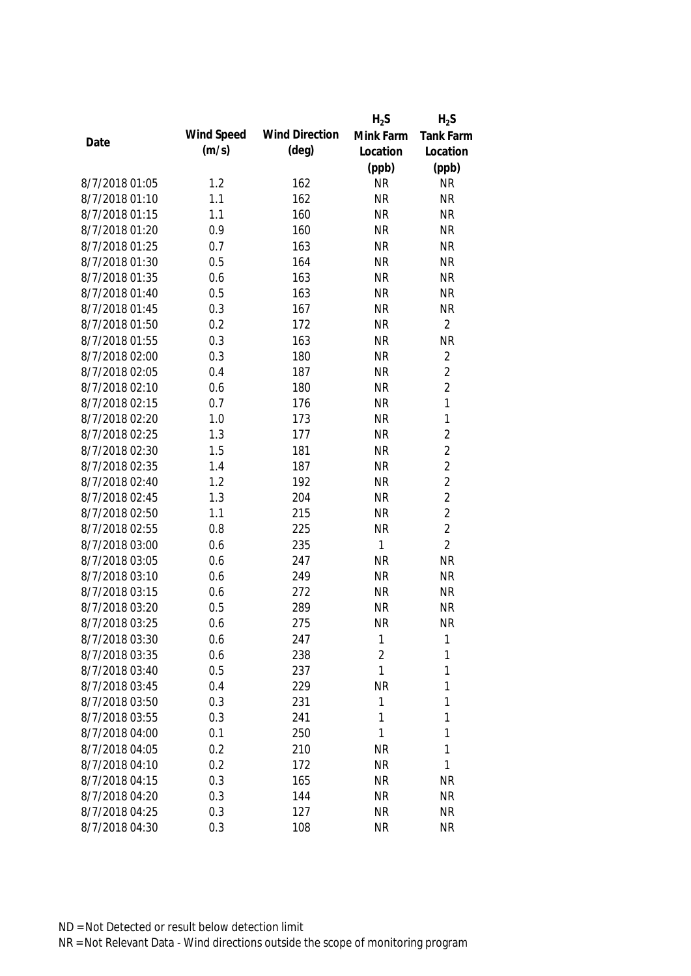|                |            |                       | $H_2S$       | $H_2S$           |
|----------------|------------|-----------------------|--------------|------------------|
|                | Wind Speed | <b>Wind Direction</b> | Mink Farm    | <b>Tank Farm</b> |
| Date           | (m/s)      | (deg)                 | Location     | Location         |
|                |            |                       | (ppb)        | (ppb)            |
| 8/7/2018 01:05 | 1.2        | 162                   | <b>NR</b>    | <b>NR</b>        |
| 8/7/2018 01:10 | 1.1        | 162                   | <b>NR</b>    | <b>NR</b>        |
| 8/7/2018 01:15 | 1.1        | 160                   | <b>NR</b>    | <b>NR</b>        |
| 8/7/2018 01:20 | 0.9        | 160                   | <b>NR</b>    | <b>NR</b>        |
| 8/7/2018 01:25 | 0.7        | 163                   | <b>NR</b>    | <b>NR</b>        |
| 8/7/2018 01:30 | 0.5        | 164                   | <b>NR</b>    | <b>NR</b>        |
| 8/7/2018 01:35 | 0.6        | 163                   | <b>NR</b>    | <b>NR</b>        |
| 8/7/2018 01:40 | 0.5        | 163                   | <b>NR</b>    | <b>NR</b>        |
| 8/7/2018 01:45 | 0.3        | 167                   | <b>NR</b>    | <b>NR</b>        |
| 8/7/2018 01:50 | 0.2        | 172                   | <b>NR</b>    | $\overline{2}$   |
| 8/7/2018 01:55 | 0.3        | 163                   | <b>NR</b>    | <b>NR</b>        |
| 8/7/2018 02:00 | 0.3        | 180                   | <b>NR</b>    | $\overline{2}$   |
| 8/7/2018 02:05 | 0.4        | 187                   | <b>NR</b>    | $\overline{2}$   |
| 8/7/2018 02:10 | 0.6        | 180                   | <b>NR</b>    | $\overline{2}$   |
| 8/7/2018 02:15 | 0.7        | 176                   | <b>NR</b>    | $\mathbf{1}$     |
| 8/7/2018 02:20 | 1.0        | 173                   | <b>NR</b>    | $\mathbf{1}$     |
| 8/7/2018 02:25 | 1.3        | 177                   | <b>NR</b>    | $\overline{2}$   |
| 8/7/2018 02:30 | 1.5        | 181                   | <b>NR</b>    | $\overline{2}$   |
| 8/7/2018 02:35 | 1.4        | 187                   | <b>NR</b>    | $\overline{2}$   |
| 8/7/2018 02:40 | 1.2        | 192                   | <b>NR</b>    | $\overline{2}$   |
| 8/7/2018 02:45 | 1.3        | 204                   | <b>NR</b>    | $\overline{2}$   |
| 8/7/2018 02:50 | 1.1        | 215                   | <b>NR</b>    | $\overline{2}$   |
| 8/7/2018 02:55 | 0.8        | 225                   | <b>NR</b>    | $\overline{2}$   |
| 8/7/2018 03:00 | 0.6        | 235                   | 1            | $\overline{2}$   |
| 8/7/2018 03:05 | 0.6        | 247                   | <b>NR</b>    | <b>NR</b>        |
| 8/7/2018 03:10 | 0.6        | 249                   | <b>NR</b>    | <b>NR</b>        |
| 8/7/2018 03:15 | 0.6        | 272                   | <b>NR</b>    | <b>NR</b>        |
| 8/7/2018 03:20 | 0.5        | 289                   | <b>NR</b>    | <b>NR</b>        |
| 8/7/2018 03:25 | 0.6        | 275                   | <b>NR</b>    | <b>NR</b>        |
| 8/7/2018 03:30 | 0.6        | 247                   | 1            | 1                |
| 8/7/2018 03:35 | 0.6        | 238                   | 2            | 1                |
| 8/7/2018 03:40 | 0.5        | 237                   | $\mathbf{1}$ | 1                |
| 8/7/2018 03:45 | 0.4        | 229                   | <b>NR</b>    | 1                |
| 8/7/2018 03:50 | 0.3        | 231                   | 1            | 1                |
| 8/7/2018 03:55 | 0.3        | 241                   | 1            | 1                |
| 8/7/2018 04:00 | 0.1        | 250                   | 1            | 1                |
| 8/7/2018 04:05 | 0.2        | 210                   | <b>NR</b>    | 1                |
| 8/7/2018 04:10 | 0.2        | 172                   | <b>NR</b>    | 1                |
| 8/7/2018 04:15 | 0.3        | 165                   | <b>NR</b>    | <b>NR</b>        |
| 8/7/2018 04:20 | 0.3        | 144                   | <b>NR</b>    | <b>NR</b>        |
| 8/7/2018 04:25 | 0.3        | 127                   | <b>NR</b>    | <b>NR</b>        |
| 8/7/2018 04:30 | 0.3        | 108                   | <b>NR</b>    | <b>NR</b>        |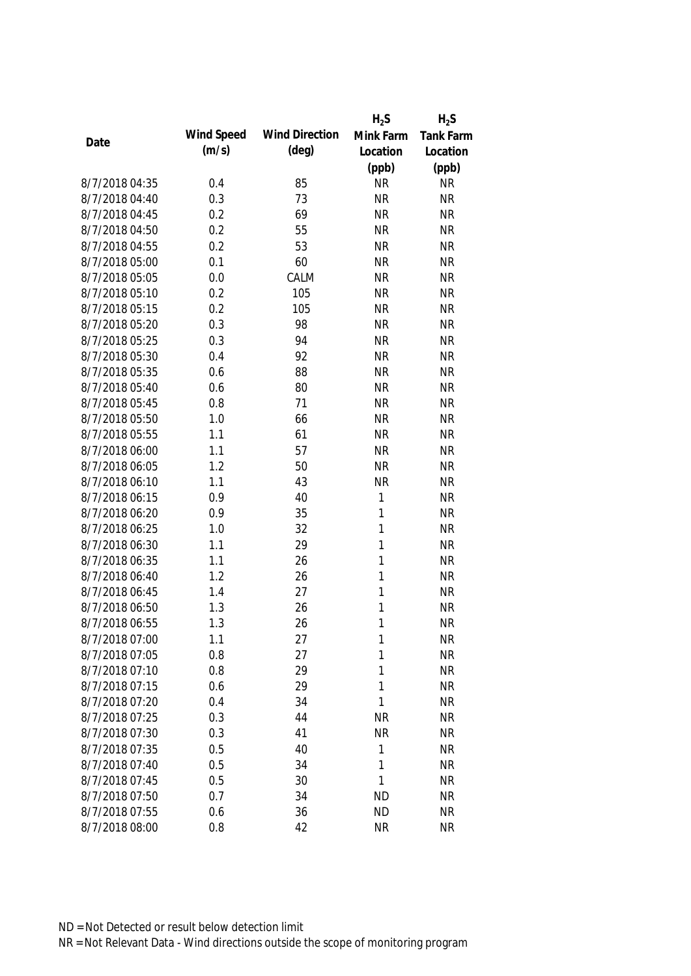|                |            |                       | $H_2S$       | $H_2S$           |
|----------------|------------|-----------------------|--------------|------------------|
| Date           | Wind Speed | <b>Wind Direction</b> | Mink Farm    | <b>Tank Farm</b> |
|                | (m/s)      | $(\text{deg})$        | Location     | Location         |
|                |            |                       | (ppb)        | (ppb)            |
| 8/7/2018 04:35 | 0.4        | 85                    | <b>NR</b>    | <b>NR</b>        |
| 8/7/2018 04:40 | 0.3        | 73                    | <b>NR</b>    | <b>NR</b>        |
| 8/7/2018 04:45 | 0.2        | 69                    | <b>NR</b>    | <b>NR</b>        |
| 8/7/2018 04:50 | 0.2        | 55                    | <b>NR</b>    | <b>NR</b>        |
| 8/7/2018 04:55 | 0.2        | 53                    | <b>NR</b>    | <b>NR</b>        |
| 8/7/2018 05:00 | 0.1        | 60                    | <b>NR</b>    | <b>NR</b>        |
| 8/7/2018 05:05 | 0.0        | CALM                  | <b>NR</b>    | <b>NR</b>        |
| 8/7/2018 05:10 | 0.2        | 105                   | <b>NR</b>    | <b>NR</b>        |
| 8/7/2018 05:15 | 0.2        | 105                   | <b>NR</b>    | <b>NR</b>        |
| 8/7/2018 05:20 | 0.3        | 98                    | <b>NR</b>    | <b>NR</b>        |
| 8/7/2018 05:25 | 0.3        | 94                    | <b>NR</b>    | <b>NR</b>        |
| 8/7/2018 05:30 | 0.4        | 92                    | <b>NR</b>    | <b>NR</b>        |
| 8/7/2018 05:35 | 0.6        | 88                    | <b>NR</b>    | <b>NR</b>        |
| 8/7/2018 05:40 | 0.6        | 80                    | <b>NR</b>    | <b>NR</b>        |
| 8/7/2018 05:45 | 0.8        | 71                    | <b>NR</b>    | <b>NR</b>        |
| 8/7/2018 05:50 | 1.0        | 66                    | <b>NR</b>    | <b>NR</b>        |
| 8/7/2018 05:55 | 1.1        | 61                    | <b>NR</b>    | <b>NR</b>        |
| 8/7/2018 06:00 | 1.1        | 57                    | <b>NR</b>    | <b>NR</b>        |
| 8/7/2018 06:05 | 1.2        | 50                    | <b>NR</b>    | <b>NR</b>        |
| 8/7/2018 06:10 | 1.1        | 43                    | <b>NR</b>    | <b>NR</b>        |
| 8/7/2018 06:15 | 0.9        | 40                    | $\mathbf{1}$ | <b>NR</b>        |
| 8/7/2018 06:20 | 0.9        | 35                    | 1            | <b>NR</b>        |
| 8/7/2018 06:25 | 1.0        | 32                    | $\mathbf{1}$ | <b>NR</b>        |
| 8/7/2018 06:30 | 1.1        | 29                    | $\mathbf{1}$ | <b>NR</b>        |
| 8/7/2018 06:35 | 1.1        | 26                    | 1            | <b>NR</b>        |
| 8/7/2018 06:40 | 1.2        | 26                    | 1            | <b>NR</b>        |
| 8/7/2018 06:45 | 1.4        | 27                    | 1            | <b>NR</b>        |
| 8/7/2018 06:50 | 1.3        | 26                    | 1            | <b>NR</b>        |
| 8/7/2018 06:55 | 1.3        | 26                    | 1            | <b>NR</b>        |
| 8/7/2018 07:00 | 1.1        | 27                    | 1            | <b>NR</b>        |
| 8/7/2018 07:05 | 0.8        | 27                    | 1            | <b>NR</b>        |
| 8/7/2018 07:10 | 0.8        | 29                    | 1            | <b>NR</b>        |
| 8/7/2018 07:15 | 0.6        | 29                    | 1            | <b>NR</b>        |
| 8/7/2018 07:20 | 0.4        | 34                    | 1            | <b>NR</b>        |
| 8/7/2018 07:25 | 0.3        | 44                    | <b>NR</b>    | <b>NR</b>        |
| 8/7/2018 07:30 | 0.3        | 41                    | <b>NR</b>    | <b>NR</b>        |
| 8/7/2018 07:35 | 0.5        | 40                    | 1            | <b>NR</b>        |
| 8/7/2018 07:40 | 0.5        | 34                    | 1            | <b>NR</b>        |
| 8/7/2018 07:45 | 0.5        | 30                    | 1            | <b>NR</b>        |
| 8/7/2018 07:50 | 0.7        | 34                    | <b>ND</b>    | <b>NR</b>        |
| 8/7/2018 07:55 | 0.6        | 36                    | <b>ND</b>    | <b>NR</b>        |
| 8/7/2018 08:00 | 0.8        | 42                    | <b>NR</b>    | <b>NR</b>        |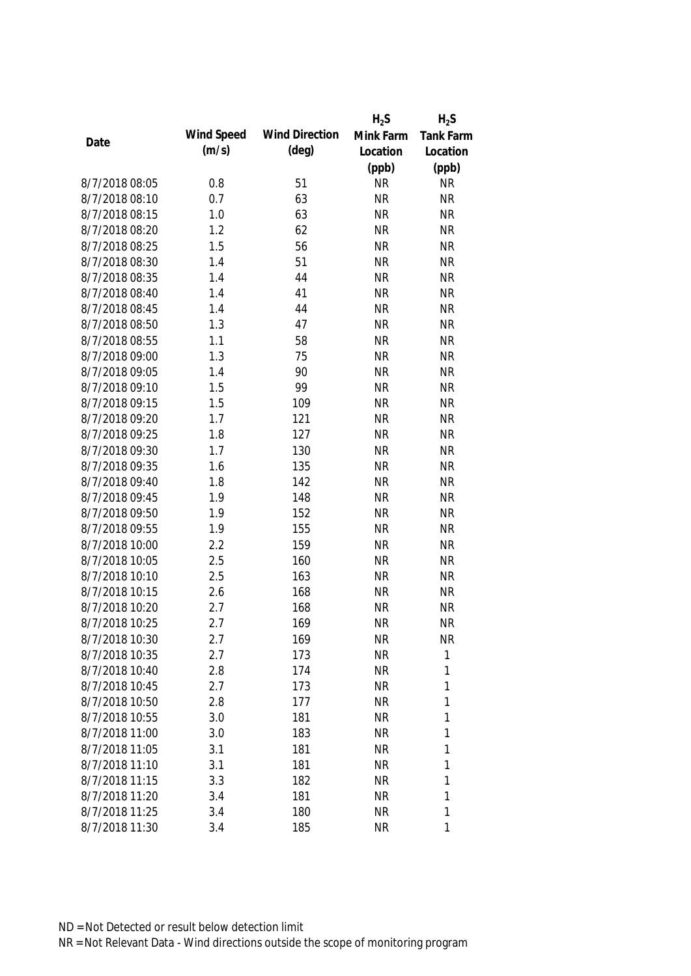|                |            |                       | $H_2S$    | $H_2S$       |
|----------------|------------|-----------------------|-----------|--------------|
| Date           | Wind Speed | <b>Wind Direction</b> | Mink Farm | Tank Farm    |
|                | (m/s)      | $(\text{deg})$        | Location  | Location     |
|                |            |                       | (ppb)     | (ppb)        |
| 8/7/2018 08:05 | 0.8        | 51                    | <b>NR</b> | <b>NR</b>    |
| 8/7/2018 08:10 | 0.7        | 63                    | <b>NR</b> | <b>NR</b>    |
| 8/7/2018 08:15 | 1.0        | 63                    | <b>NR</b> | <b>NR</b>    |
| 8/7/2018 08:20 | 1.2        | 62                    | <b>NR</b> | <b>NR</b>    |
| 8/7/2018 08:25 | 1.5        | 56                    | <b>NR</b> | <b>NR</b>    |
| 8/7/2018 08:30 | 1.4        | 51                    | <b>NR</b> | <b>NR</b>    |
| 8/7/2018 08:35 | 1.4        | 44                    | <b>NR</b> | <b>NR</b>    |
| 8/7/2018 08:40 | 1.4        | 41                    | <b>NR</b> | <b>NR</b>    |
| 8/7/2018 08:45 | 1.4        | 44                    | <b>NR</b> | <b>NR</b>    |
| 8/7/2018 08:50 | 1.3        | 47                    | <b>NR</b> | <b>NR</b>    |
| 8/7/2018 08:55 | 1.1        | 58                    | <b>NR</b> | <b>NR</b>    |
| 8/7/2018 09:00 | 1.3        | 75                    | <b>NR</b> | <b>NR</b>    |
| 8/7/2018 09:05 | 1.4        | 90                    | <b>NR</b> | <b>NR</b>    |
| 8/7/2018 09:10 | 1.5        | 99                    | <b>NR</b> | <b>NR</b>    |
| 8/7/2018 09:15 | 1.5        | 109                   | <b>NR</b> | <b>NR</b>    |
| 8/7/2018 09:20 | 1.7        | 121                   | <b>NR</b> | <b>NR</b>    |
| 8/7/2018 09:25 | 1.8        | 127                   | <b>NR</b> | <b>NR</b>    |
| 8/7/2018 09:30 | 1.7        | 130                   | <b>NR</b> | <b>NR</b>    |
| 8/7/2018 09:35 | 1.6        | 135                   | <b>NR</b> | <b>NR</b>    |
| 8/7/2018 09:40 | 1.8        | 142                   | <b>NR</b> | <b>NR</b>    |
| 8/7/2018 09:45 | 1.9        | 148                   | <b>NR</b> | <b>NR</b>    |
| 8/7/2018 09:50 | 1.9        | 152                   | <b>NR</b> | <b>NR</b>    |
| 8/7/2018 09:55 | 1.9        | 155                   | <b>NR</b> | <b>NR</b>    |
| 8/7/2018 10:00 | 2.2        | 159                   | <b>NR</b> | <b>NR</b>    |
| 8/7/2018 10:05 | 2.5        | 160                   | <b>NR</b> | <b>NR</b>    |
| 8/7/2018 10:10 | 2.5        | 163                   | <b>NR</b> | <b>NR</b>    |
| 8/7/2018 10:15 | 2.6        | 168                   | <b>NR</b> | <b>NR</b>    |
| 8/7/2018 10:20 | 2.7        | 168                   | <b>NR</b> | <b>NR</b>    |
| 8/7/2018 10:25 | 2.7        | 169                   | <b>NR</b> | <b>NR</b>    |
| 8/7/2018 10:30 | 2.7        | 169                   | <b>NR</b> | <b>NR</b>    |
| 8/7/2018 10:35 | 2.7        | 173                   | <b>NR</b> | $\mathbf{1}$ |
| 8/7/2018 10:40 | 2.8        | 174                   | <b>NR</b> | 1            |
| 8/7/2018 10:45 | 2.7        | 173                   | <b>NR</b> | 1            |
| 8/7/2018 10:50 | 2.8        | 177                   | <b>NR</b> | 1            |
| 8/7/2018 10:55 | 3.0        | 181                   | <b>NR</b> | $\mathbf{1}$ |
| 8/7/2018 11:00 | 3.0        | 183                   | <b>NR</b> | 1            |
| 8/7/2018 11:05 | 3.1        | 181                   | <b>NR</b> | 1            |
| 8/7/2018 11:10 | 3.1        | 181                   | <b>NR</b> | 1            |
| 8/7/2018 11:15 | 3.3        | 182                   | <b>NR</b> | 1            |
| 8/7/2018 11:20 | 3.4        | 181                   | <b>NR</b> | 1            |
| 8/7/2018 11:25 | 3.4        | 180                   | <b>NR</b> | 1            |
| 8/7/2018 11:30 | 3.4        | 185                   | <b>NR</b> | 1            |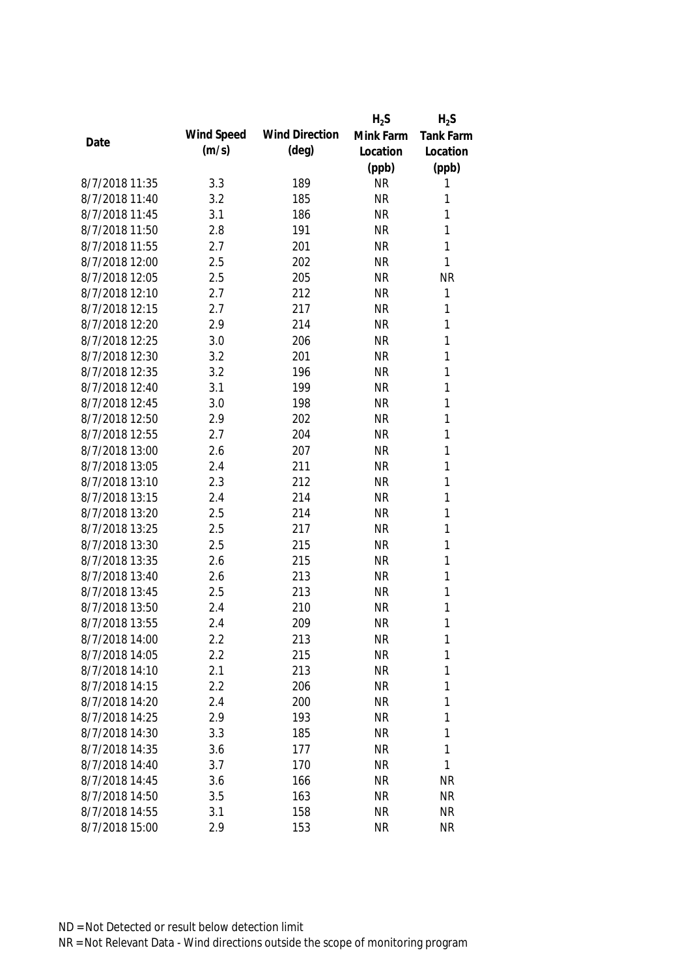|                |            |                       | $H_2S$    | $H_2S$           |
|----------------|------------|-----------------------|-----------|------------------|
| Date           | Wind Speed | <b>Wind Direction</b> | Mink Farm | <b>Tank Farm</b> |
|                | (m/s)      | $(\text{deg})$        | Location  | Location         |
|                |            |                       | (ppb)     | (ppb)            |
| 8/7/2018 11:35 | 3.3        | 189                   | <b>NR</b> | 1                |
| 8/7/2018 11:40 | 3.2        | 185                   | <b>NR</b> | 1                |
| 8/7/2018 11:45 | 3.1        | 186                   | <b>NR</b> | 1                |
| 8/7/2018 11:50 | 2.8        | 191                   | <b>NR</b> | 1                |
| 8/7/2018 11:55 | 2.7        | 201                   | <b>NR</b> | 1                |
| 8/7/2018 12:00 | 2.5        | 202                   | <b>NR</b> | $\mathbf{1}$     |
| 8/7/2018 12:05 | 2.5        | 205                   | <b>NR</b> | <b>NR</b>        |
| 8/7/2018 12:10 | 2.7        | 212                   | <b>NR</b> | 1                |
| 8/7/2018 12:15 | 2.7        | 217                   | <b>NR</b> | 1                |
| 8/7/2018 12:20 | 2.9        | 214                   | <b>NR</b> | 1                |
| 8/7/2018 12:25 | 3.0        | 206                   | <b>NR</b> | 1                |
| 8/7/2018 12:30 | 3.2        | 201                   | <b>NR</b> | 1                |
| 8/7/2018 12:35 | 3.2        | 196                   | <b>NR</b> | 1                |
| 8/7/2018 12:40 | 3.1        | 199                   | <b>NR</b> | 1                |
| 8/7/2018 12:45 | 3.0        | 198                   | <b>NR</b> | 1                |
| 8/7/2018 12:50 | 2.9        | 202                   | <b>NR</b> | 1                |
| 8/7/2018 12:55 | 2.7        | 204                   | <b>NR</b> | 1                |
| 8/7/2018 13:00 | 2.6        | 207                   | <b>NR</b> | 1                |
| 8/7/2018 13:05 | 2.4        | 211                   | <b>NR</b> | 1                |
| 8/7/2018 13:10 | 2.3        | 212                   | <b>NR</b> | 1                |
| 8/7/2018 13:15 | 2.4        | 214                   | <b>NR</b> | 1                |
| 8/7/2018 13:20 | 2.5        | 214                   | <b>NR</b> | 1                |
| 8/7/2018 13:25 | 2.5        | 217                   | <b>NR</b> | 1                |
| 8/7/2018 13:30 | 2.5        | 215                   | <b>NR</b> | 1                |
| 8/7/2018 13:35 | 2.6        | 215                   | <b>NR</b> | 1                |
| 8/7/2018 13:40 | 2.6        | 213                   | <b>NR</b> | 1                |
| 8/7/2018 13:45 | 2.5        | 213                   | <b>NR</b> | 1                |
| 8/7/2018 13:50 | 2.4        | 210                   | <b>NR</b> | 1                |
| 8/7/2018 13:55 | 2.4        | 209                   | <b>NR</b> | 1                |
| 8/7/2018 14:00 | 2.2        | 213                   | <b>NR</b> | 1                |
| 8/7/2018 14:05 | 2.2        | 215                   | <b>NR</b> | 1                |
| 8/7/2018 14:10 | 2.1        | 213                   | <b>NR</b> | 1                |
| 8/7/2018 14:15 | 2.2        | 206                   | <b>NR</b> | 1                |
| 8/7/2018 14:20 | 2.4        | 200                   | <b>NR</b> | 1                |
| 8/7/2018 14:25 | 2.9        | 193                   | <b>NR</b> | 1                |
| 8/7/2018 14:30 | 3.3        | 185                   | <b>NR</b> | 1                |
| 8/7/2018 14:35 | 3.6        | 177                   | <b>NR</b> | 1                |
| 8/7/2018 14:40 | 3.7        | 170                   | <b>NR</b> | $\mathbf{1}$     |
| 8/7/2018 14:45 | 3.6        | 166                   | <b>NR</b> | <b>NR</b>        |
| 8/7/2018 14:50 | 3.5        | 163                   | <b>NR</b> | <b>NR</b>        |
| 8/7/2018 14:55 | 3.1        | 158                   | <b>NR</b> | <b>NR</b>        |
| 8/7/2018 15:00 | 2.9        | 153                   | <b>NR</b> | <b>NR</b>        |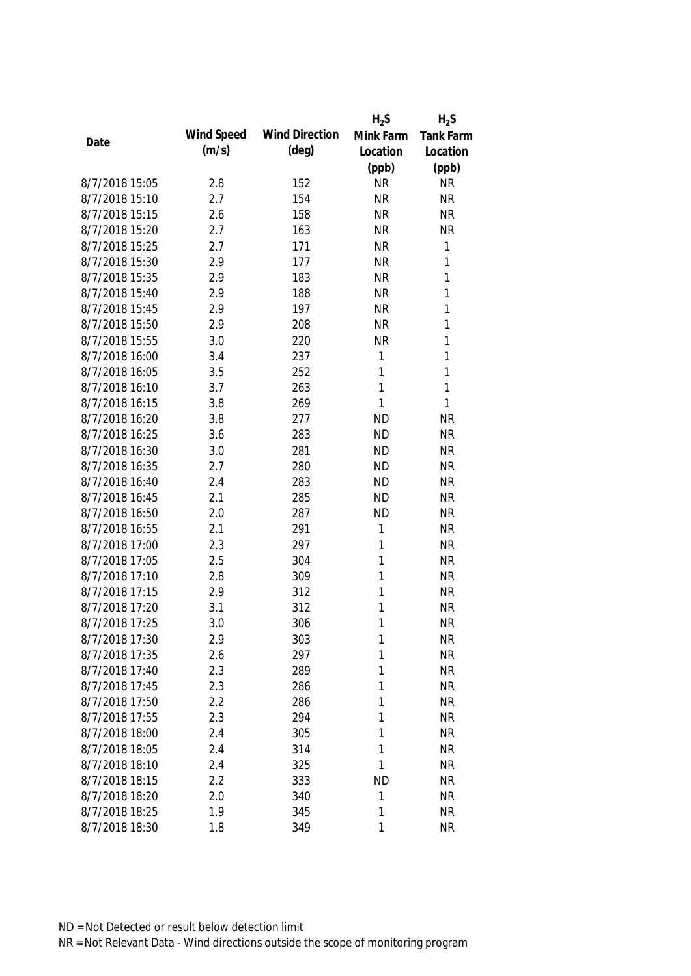|                |            |                       | $H_2S$    | $H_2S$       |
|----------------|------------|-----------------------|-----------|--------------|
|                | Wind Speed | <b>Wind Direction</b> | Mink Farm | Tank Farm    |
| Date           | (m/s)      | $(\text{deg})$        | Location  | Location     |
|                |            |                       | (ppb)     | (ppb)        |
| 8/7/2018 15:05 | 2.8        | 152                   | <b>NR</b> | <b>NR</b>    |
| 8/7/2018 15:10 | 2.7        | 154                   | <b>NR</b> | <b>NR</b>    |
| 8/7/2018 15:15 | 2.6        | 158                   | <b>NR</b> | <b>NR</b>    |
| 8/7/2018 15:20 | 2.7        | 163                   | <b>NR</b> | <b>NR</b>    |
| 8/7/2018 15:25 | 2.7        | 171                   | <b>NR</b> | $\mathbf{1}$ |
| 8/7/2018 15:30 | 2.9        | 177                   | <b>NR</b> | 1            |
| 8/7/2018 15:35 | 2.9        | 183                   | <b>NR</b> | $\mathbf{1}$ |
| 8/7/2018 15:40 | 2.9        | 188                   | <b>NR</b> | $\mathbf{1}$ |
| 8/7/2018 15:45 | 2.9        | 197                   | <b>NR</b> | $\mathbf{1}$ |
| 8/7/2018 15:50 | 2.9        | 208                   | <b>NR</b> | $\mathbf{1}$ |
| 8/7/2018 15:55 | 3.0        | 220                   | <b>NR</b> | $\mathbf{1}$ |
| 8/7/2018 16:00 | 3.4        | 237                   | 1         | $\mathbf{1}$ |
| 8/7/2018 16:05 | 3.5        | 252                   | 1         | $\mathbf{1}$ |
| 8/7/2018 16:10 | 3.7        | 263                   | 1         | $\mathbf{1}$ |
| 8/7/2018 16:15 | 3.8        | 269                   | 1         | $\mathbf{1}$ |
| 8/7/2018 16:20 | 3.8        | 277                   | <b>ND</b> | <b>NR</b>    |
| 8/7/2018 16:25 | 3.6        | 283                   | <b>ND</b> | <b>NR</b>    |
| 8/7/2018 16:30 | 3.0        | 281                   | <b>ND</b> | <b>NR</b>    |
| 8/7/2018 16:35 | 2.7        | 280                   | <b>ND</b> | <b>NR</b>    |
| 8/7/2018 16:40 | 2.4        | 283                   | <b>ND</b> | <b>NR</b>    |
| 8/7/2018 16:45 | 2.1        | 285                   | <b>ND</b> | <b>NR</b>    |
| 8/7/2018 16:50 | 2.0        | 287                   | <b>ND</b> | <b>NR</b>    |
| 8/7/2018 16:55 | 2.1        | 291                   | 1         | <b>NR</b>    |
| 8/7/2018 17:00 | 2.3        | 297                   | 1         | <b>NR</b>    |
| 8/7/2018 17:05 | 2.5        | 304                   | 1         | <b>NR</b>    |
| 8/7/2018 17:10 | 2.8        | 309                   | 1         | <b>NR</b>    |
| 8/7/2018 17:15 | 2.9        | 312                   | 1         | <b>NR</b>    |
| 8/7/2018 17:20 | 3.1        | 312                   | 1         | <b>NR</b>    |
| 8/7/2018 17:25 | 3.0        | 306                   | 1         | <b>NR</b>    |
| 8/7/2018 17:30 | 2.9        | 303                   | 1         | <b>NR</b>    |
| 8/7/2018 17:35 | 2.6        | 297                   | 1         | <b>NR</b>    |
| 8/7/2018 17:40 | 2.3        | 289                   | 1         | <b>NR</b>    |
| 8/7/2018 17:45 | 2.3        | 286                   | 1         | <b>NR</b>    |
| 8/7/2018 17:50 | 2.2        | 286                   | 1         | <b>NR</b>    |
| 8/7/2018 17:55 | 2.3        | 294                   | 1         | <b>NR</b>    |
| 8/7/2018 18:00 | 2.4        | 305                   | 1         | <b>NR</b>    |
| 8/7/2018 18:05 | 2.4        | 314                   | 1         | <b>NR</b>    |
| 8/7/2018 18:10 | 2.4        | 325                   | 1         | <b>NR</b>    |
| 8/7/2018 18:15 | 2.2        | 333                   | <b>ND</b> | <b>NR</b>    |
| 8/7/2018 18:20 | 2.0        | 340                   | 1         | <b>NR</b>    |
| 8/7/2018 18:25 | 1.9        | 345                   | 1         | <b>NR</b>    |
| 8/7/2018 18:30 | 1.8        | 349                   | 1         | <b>NR</b>    |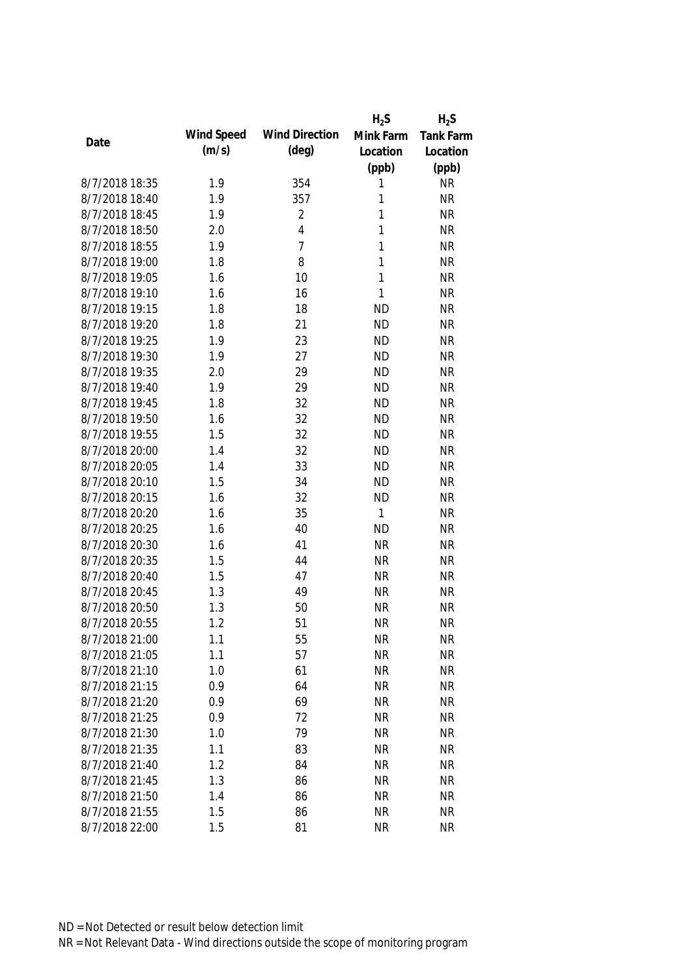|                |            |                       | $H_2S$       | $H_2S$    |
|----------------|------------|-----------------------|--------------|-----------|
|                | Wind Speed | <b>Wind Direction</b> | Mink Farm    | Tank Farm |
| Date           | (m/s)      | $(\text{deg})$        | Location     | Location  |
|                |            |                       | (ppb)        | (ppb)     |
| 8/7/2018 18:35 | 1.9        | 354                   | 1            | <b>NR</b> |
| 8/7/2018 18:40 | 1.9        | 357                   | 1            | <b>NR</b> |
| 8/7/2018 18:45 | 1.9        | $\overline{2}$        | 1            | <b>NR</b> |
| 8/7/2018 18:50 | 2.0        | 4                     | 1            | <b>NR</b> |
| 8/7/2018 18:55 | 1.9        | $\overline{7}$        | 1            | <b>NR</b> |
| 8/7/2018 19:00 | 1.8        | 8                     | 1            | <b>NR</b> |
| 8/7/2018 19:05 | 1.6        | 10                    | $\mathbf{1}$ | <b>NR</b> |
| 8/7/2018 19:10 | 1.6        | 16                    | $\mathbf{1}$ | <b>NR</b> |
| 8/7/2018 19:15 | 1.8        | 18                    | <b>ND</b>    | <b>NR</b> |
| 8/7/2018 19:20 | 1.8        | 21                    | <b>ND</b>    | <b>NR</b> |
| 8/7/2018 19:25 | 1.9        | 23                    | <b>ND</b>    | <b>NR</b> |
| 8/7/2018 19:30 | 1.9        | 27                    | <b>ND</b>    | <b>NR</b> |
| 8/7/2018 19:35 | 2.0        | 29                    | <b>ND</b>    | <b>NR</b> |
| 8/7/2018 19:40 | 1.9        | 29                    | <b>ND</b>    | <b>NR</b> |
| 8/7/2018 19:45 | 1.8        | 32                    | <b>ND</b>    | <b>NR</b> |
| 8/7/2018 19:50 | 1.6        | 32                    | <b>ND</b>    | <b>NR</b> |
| 8/7/2018 19:55 | 1.5        | 32                    | <b>ND</b>    | <b>NR</b> |
| 8/7/2018 20:00 | 1.4        | 32                    | <b>ND</b>    | <b>NR</b> |
| 8/7/2018 20:05 | 1.4        | 33                    | <b>ND</b>    | <b>NR</b> |
| 8/7/2018 20:10 | 1.5        | 34                    | <b>ND</b>    | <b>NR</b> |
| 8/7/2018 20:15 | 1.6        | 32                    | <b>ND</b>    | <b>NR</b> |
| 8/7/2018 20:20 | 1.6        | 35                    | $\mathbf{1}$ | <b>NR</b> |
| 8/7/2018 20:25 | 1.6        | 40                    | <b>ND</b>    | <b>NR</b> |
| 8/7/2018 20:30 | 1.6        | 41                    | <b>NR</b>    | <b>NR</b> |
| 8/7/2018 20:35 | 1.5        | 44                    | <b>NR</b>    | <b>NR</b> |
| 8/7/2018 20:40 | 1.5        | 47                    | <b>NR</b>    | <b>NR</b> |
| 8/7/2018 20:45 | 1.3        | 49                    | <b>NR</b>    | <b>NR</b> |
| 8/7/2018 20:50 | 1.3        | 50                    | <b>NR</b>    | <b>NR</b> |
| 8/7/2018 20:55 | 1.2        | 51                    | <b>NR</b>    | <b>NR</b> |
| 8/7/2018 21:00 | 1.1        | 55                    | <b>NR</b>    | <b>NR</b> |
| 8/7/2018 21:05 | 1.1        | 57                    | <b>NR</b>    | <b>NR</b> |
| 8/7/2018 21:10 | 1.0        | 61                    | <b>NR</b>    | <b>NR</b> |
| 8/7/2018 21:15 | 0.9        | 64                    | <b>NR</b>    | <b>NR</b> |
| 8/7/2018 21:20 | 0.9        | 69                    | <b>NR</b>    | <b>NR</b> |
| 8/7/2018 21:25 | 0.9        | 72                    | <b>NR</b>    | <b>NR</b> |
| 8/7/2018 21:30 | 1.0        | 79                    | <b>NR</b>    | <b>NR</b> |
| 8/7/2018 21:35 | 1.1        | 83                    | <b>NR</b>    | <b>NR</b> |
| 8/7/2018 21:40 | 1.2        | 84                    | <b>NR</b>    | <b>NR</b> |
| 8/7/2018 21:45 | 1.3        | 86                    | <b>NR</b>    | <b>NR</b> |
| 8/7/2018 21:50 | 1.4        | 86                    | <b>NR</b>    | <b>NR</b> |
| 8/7/2018 21:55 | 1.5        | 86                    | <b>NR</b>    | <b>NR</b> |
| 8/7/2018 22:00 | 1.5        | 81                    | <b>NR</b>    | <b>NR</b> |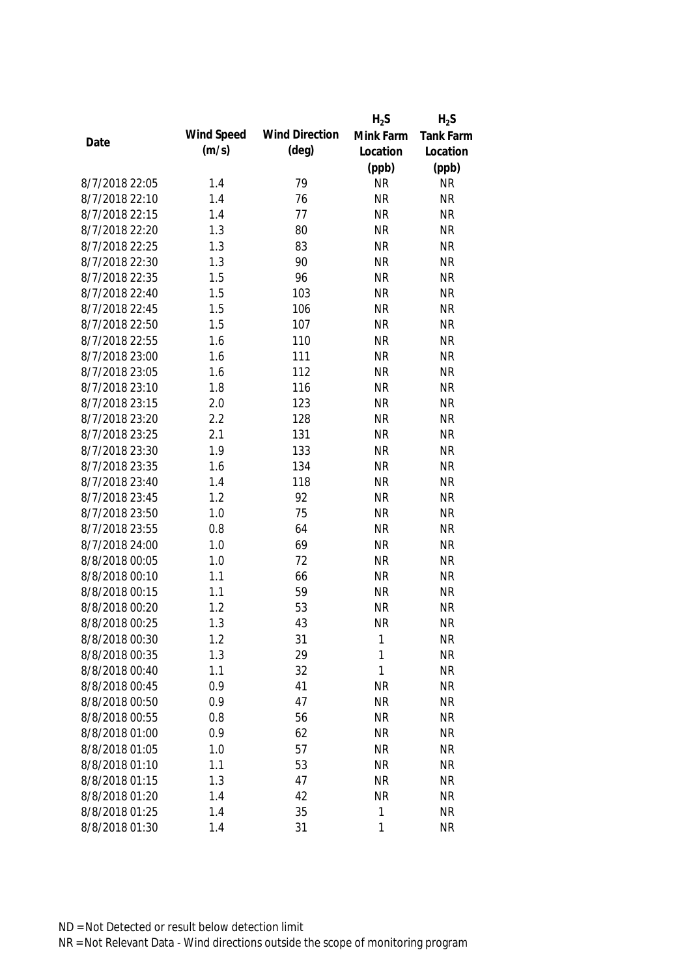|                |            |                       | $H_2S$    | $H_2S$           |
|----------------|------------|-----------------------|-----------|------------------|
|                | Wind Speed | <b>Wind Direction</b> | Mink Farm | <b>Tank Farm</b> |
| Date           | (m/s)      | $(\text{deg})$        | Location  | Location         |
|                |            |                       | (ppb)     | (ppb)            |
| 8/7/2018 22:05 | 1.4        | 79                    | <b>NR</b> | <b>NR</b>        |
| 8/7/2018 22:10 | 1.4        | 76                    | <b>NR</b> | <b>NR</b>        |
| 8/7/2018 22:15 | 1.4        | 77                    | <b>NR</b> | <b>NR</b>        |
| 8/7/2018 22:20 | 1.3        | 80                    | <b>NR</b> | <b>NR</b>        |
| 8/7/2018 22:25 | 1.3        | 83                    | <b>NR</b> | <b>NR</b>        |
| 8/7/2018 22:30 | 1.3        | 90                    | <b>NR</b> | <b>NR</b>        |
| 8/7/2018 22:35 | 1.5        | 96                    | <b>NR</b> | <b>NR</b>        |
| 8/7/2018 22:40 | 1.5        | 103                   | <b>NR</b> | <b>NR</b>        |
| 8/7/2018 22:45 | 1.5        | 106                   | <b>NR</b> | <b>NR</b>        |
| 8/7/2018 22:50 | 1.5        | 107                   | <b>NR</b> | <b>NR</b>        |
| 8/7/2018 22:55 | 1.6        | 110                   | <b>NR</b> | <b>NR</b>        |
| 8/7/2018 23:00 | 1.6        | 111                   | <b>NR</b> | <b>NR</b>        |
| 8/7/2018 23:05 | 1.6        | 112                   | <b>NR</b> | <b>NR</b>        |
| 8/7/2018 23:10 | 1.8        | 116                   | <b>NR</b> | <b>NR</b>        |
| 8/7/2018 23:15 | 2.0        | 123                   | <b>NR</b> | <b>NR</b>        |
| 8/7/2018 23:20 | 2.2        | 128                   | <b>NR</b> | <b>NR</b>        |
| 8/7/2018 23:25 | 2.1        | 131                   | <b>NR</b> | <b>NR</b>        |
| 8/7/2018 23:30 | 1.9        | 133                   | <b>NR</b> | <b>NR</b>        |
| 8/7/2018 23:35 | 1.6        | 134                   | <b>NR</b> | <b>NR</b>        |
| 8/7/2018 23:40 | 1.4        | 118                   | <b>NR</b> | <b>NR</b>        |
| 8/7/2018 23:45 | 1.2        | 92                    | <b>NR</b> | <b>NR</b>        |
| 8/7/2018 23:50 | 1.0        | 75                    | <b>NR</b> | <b>NR</b>        |
| 8/7/2018 23:55 | 0.8        | 64                    | <b>NR</b> | <b>NR</b>        |
| 8/7/2018 24:00 | 1.0        | 69                    | <b>NR</b> | <b>NR</b>        |
| 8/8/2018 00:05 | 1.0        | 72                    | <b>NR</b> | <b>NR</b>        |
| 8/8/2018 00:10 | 1.1        | 66                    | <b>NR</b> | <b>NR</b>        |
| 8/8/2018 00:15 | 1.1        | 59                    | <b>NR</b> | <b>NR</b>        |
| 8/8/2018 00:20 | 1.2        | 53                    | <b>NR</b> | <b>NR</b>        |
| 8/8/2018 00:25 | 1.3        | 43                    | <b>NR</b> | <b>NR</b>        |
| 8/8/2018 00:30 | 1.2        | 31                    | 1         | <b>NR</b>        |
| 8/8/2018 00:35 | 1.3        | 29                    | 1         | <b>NR</b>        |
| 8/8/2018 00:40 | 1.1        | 32                    | 1         | <b>NR</b>        |
| 8/8/2018 00:45 | 0.9        | 41                    | <b>NR</b> | <b>NR</b>        |
| 8/8/2018 00:50 | 0.9        | 47                    | <b>NR</b> | <b>NR</b>        |
| 8/8/2018 00:55 | 0.8        | 56                    | <b>NR</b> | <b>NR</b>        |
| 8/8/2018 01:00 | 0.9        | 62                    | <b>NR</b> | <b>NR</b>        |
| 8/8/2018 01:05 | 1.0        | 57                    | <b>NR</b> | <b>NR</b>        |
| 8/8/2018 01:10 | 1.1        | 53                    | <b>NR</b> | <b>NR</b>        |
| 8/8/2018 01:15 | 1.3        | 47                    | <b>NR</b> | <b>NR</b>        |
| 8/8/2018 01:20 | 1.4        | 42                    | <b>NR</b> | <b>NR</b>        |
| 8/8/2018 01:25 | 1.4        | 35                    | 1         | <b>NR</b>        |
| 8/8/2018 01:30 | 1.4        | 31                    | 1         | <b>NR</b>        |
|                |            |                       |           |                  |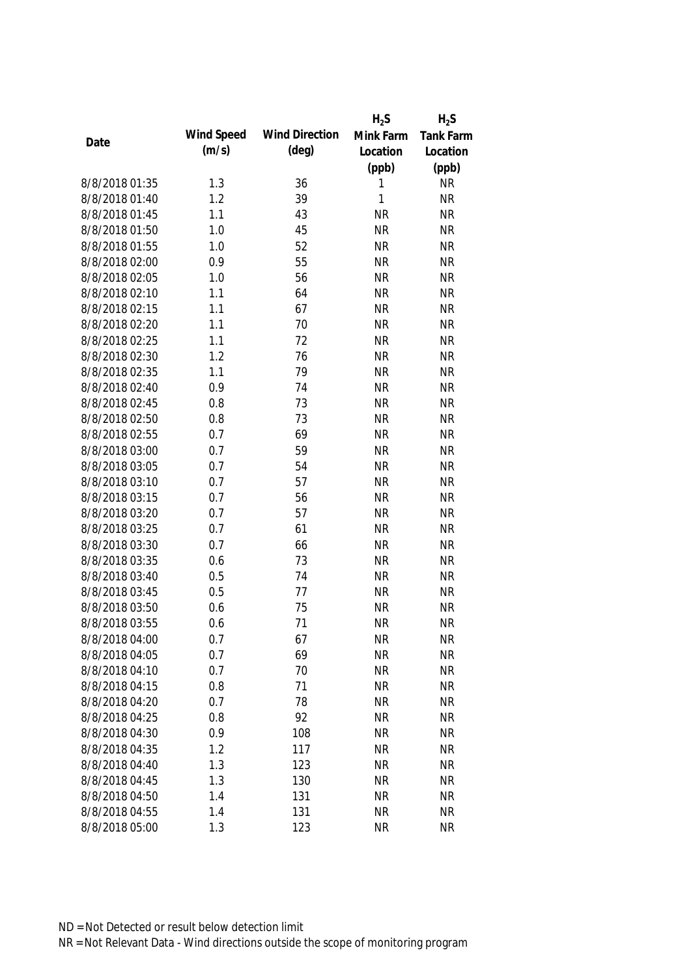|                |            |                       | $H_2S$       | $H_2S$           |
|----------------|------------|-----------------------|--------------|------------------|
| Date           | Wind Speed | <b>Wind Direction</b> | Mink Farm    | <b>Tank Farm</b> |
|                | (m/s)      | $(\text{deg})$        | Location     | Location         |
|                |            |                       | (ppb)        | (ppb)            |
| 8/8/2018 01:35 | 1.3        | 36                    | 1            | <b>NR</b>        |
| 8/8/2018 01:40 | 1.2        | 39                    | $\mathbf{1}$ | <b>NR</b>        |
| 8/8/2018 01:45 | 1.1        | 43                    | <b>NR</b>    | <b>NR</b>        |
| 8/8/2018 01:50 | 1.0        | 45                    | <b>NR</b>    | <b>NR</b>        |
| 8/8/2018 01:55 | 1.0        | 52                    | <b>NR</b>    | <b>NR</b>        |
| 8/8/2018 02:00 | 0.9        | 55                    | <b>NR</b>    | <b>NR</b>        |
| 8/8/2018 02:05 | 1.0        | 56                    | <b>NR</b>    | <b>NR</b>        |
| 8/8/2018 02:10 | 1.1        | 64                    | <b>NR</b>    | <b>NR</b>        |
| 8/8/2018 02:15 | 1.1        | 67                    | <b>NR</b>    | <b>NR</b>        |
| 8/8/2018 02:20 | 1.1        | 70                    | <b>NR</b>    | <b>NR</b>        |
| 8/8/2018 02:25 | 1.1        | 72                    | <b>NR</b>    | <b>NR</b>        |
| 8/8/2018 02:30 | 1.2        | 76                    | <b>NR</b>    | <b>NR</b>        |
| 8/8/2018 02:35 | 1.1        | 79                    | <b>NR</b>    | <b>NR</b>        |
| 8/8/2018 02:40 | 0.9        | 74                    | <b>NR</b>    | <b>NR</b>        |
| 8/8/2018 02:45 | 0.8        | 73                    | <b>NR</b>    | <b>NR</b>        |
| 8/8/2018 02:50 | 0.8        | 73                    | <b>NR</b>    | <b>NR</b>        |
| 8/8/2018 02:55 | 0.7        | 69                    | <b>NR</b>    | <b>NR</b>        |
| 8/8/2018 03:00 | 0.7        | 59                    | <b>NR</b>    | <b>NR</b>        |
| 8/8/2018 03:05 | 0.7        | 54                    | <b>NR</b>    | <b>NR</b>        |
| 8/8/2018 03:10 | 0.7        | 57                    | <b>NR</b>    | <b>NR</b>        |
| 8/8/2018 03:15 | 0.7        | 56                    | <b>NR</b>    | <b>NR</b>        |
| 8/8/2018 03:20 | 0.7        | 57                    | <b>NR</b>    | <b>NR</b>        |
| 8/8/2018 03:25 | 0.7        | 61                    | <b>NR</b>    | <b>NR</b>        |
| 8/8/2018 03:30 | 0.7        | 66                    | <b>NR</b>    | <b>NR</b>        |
| 8/8/2018 03:35 | 0.6        | 73                    | <b>NR</b>    | <b>NR</b>        |
| 8/8/2018 03:40 | 0.5        | 74                    | <b>NR</b>    | <b>NR</b>        |
| 8/8/2018 03:45 | 0.5        | 77                    | <b>NR</b>    | <b>NR</b>        |
| 8/8/2018 03:50 | 0.6        | 75                    | <b>NR</b>    | <b>NR</b>        |
| 8/8/2018 03:55 | 0.6        | 71                    | <b>NR</b>    | <b>NR</b>        |
| 8/8/2018 04:00 | 0.7        | 67                    | <b>NR</b>    | <b>NR</b>        |
| 8/8/2018 04:05 | 0.7        | 69                    | <b>NR</b>    | <b>NR</b>        |
| 8/8/2018 04:10 | 0.7        | 70                    | <b>NR</b>    | <b>NR</b>        |
| 8/8/2018 04:15 | 0.8        | 71                    | <b>NR</b>    | <b>NR</b>        |
| 8/8/2018 04:20 | 0.7        | 78                    | <b>NR</b>    | <b>NR</b>        |
| 8/8/2018 04:25 | 0.8        | 92                    | <b>NR</b>    | <b>NR</b>        |
| 8/8/2018 04:30 | 0.9        | 108                   | <b>NR</b>    | <b>NR</b>        |
| 8/8/2018 04:35 | 1.2        | 117                   | <b>NR</b>    | <b>NR</b>        |
| 8/8/2018 04:40 | 1.3        | 123                   | <b>NR</b>    | <b>NR</b>        |
| 8/8/2018 04:45 | 1.3        | 130                   | <b>NR</b>    | <b>NR</b>        |
| 8/8/2018 04:50 | 1.4        | 131                   | <b>NR</b>    | <b>NR</b>        |
| 8/8/2018 04:55 | 1.4        | 131                   | <b>NR</b>    | <b>NR</b>        |
| 8/8/2018 05:00 | 1.3        | 123                   | <b>NR</b>    | <b>NR</b>        |
|                |            |                       |              |                  |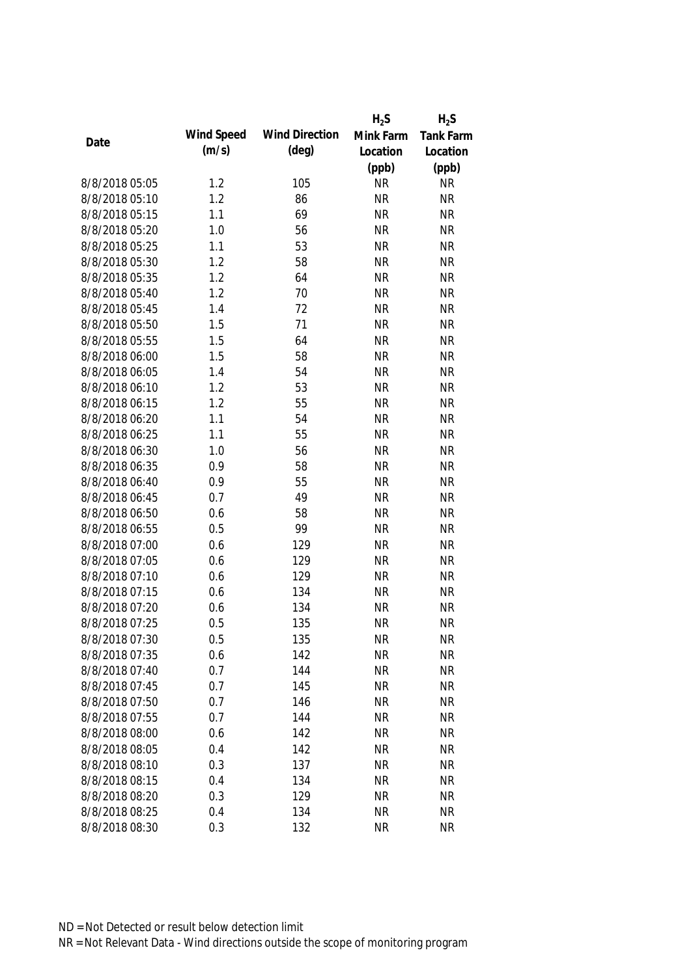|                |            |                       | $H_2S$    | $H_2S$           |
|----------------|------------|-----------------------|-----------|------------------|
|                | Wind Speed | <b>Wind Direction</b> | Mink Farm | <b>Tank Farm</b> |
| Date           | (m/s)      | $(\text{deg})$        | Location  | Location         |
|                |            |                       | (ppb)     | (ppb)            |
| 8/8/2018 05:05 | 1.2        | 105                   | <b>NR</b> | <b>NR</b>        |
| 8/8/2018 05:10 | 1.2        | 86                    | <b>NR</b> | <b>NR</b>        |
| 8/8/2018 05:15 | 1.1        | 69                    | <b>NR</b> | <b>NR</b>        |
| 8/8/2018 05:20 | 1.0        | 56                    | <b>NR</b> | <b>NR</b>        |
| 8/8/2018 05:25 | 1.1        | 53                    | <b>NR</b> | <b>NR</b>        |
| 8/8/2018 05:30 | 1.2        | 58                    | <b>NR</b> | <b>NR</b>        |
| 8/8/2018 05:35 | 1.2        | 64                    | <b>NR</b> | <b>NR</b>        |
| 8/8/2018 05:40 | 1.2        | 70                    | <b>NR</b> | <b>NR</b>        |
| 8/8/2018 05:45 | 1.4        | 72                    | <b>NR</b> | <b>NR</b>        |
| 8/8/2018 05:50 | 1.5        | 71                    | <b>NR</b> | <b>NR</b>        |
| 8/8/2018 05:55 | 1.5        | 64                    | <b>NR</b> | <b>NR</b>        |
| 8/8/2018 06:00 | 1.5        | 58                    | <b>NR</b> | <b>NR</b>        |
| 8/8/2018 06:05 | 1.4        | 54                    | <b>NR</b> | <b>NR</b>        |
| 8/8/2018 06:10 | 1.2        | 53                    | <b>NR</b> | <b>NR</b>        |
| 8/8/2018 06:15 | 1.2        | 55                    | <b>NR</b> | <b>NR</b>        |
| 8/8/2018 06:20 | 1.1        | 54                    | <b>NR</b> | <b>NR</b>        |
| 8/8/2018 06:25 | 1.1        | 55                    | <b>NR</b> | <b>NR</b>        |
| 8/8/2018 06:30 | 1.0        | 56                    | <b>NR</b> | <b>NR</b>        |
| 8/8/2018 06:35 | 0.9        | 58                    | <b>NR</b> | <b>NR</b>        |
| 8/8/2018 06:40 | 0.9        | 55                    | <b>NR</b> | <b>NR</b>        |
| 8/8/2018 06:45 | 0.7        | 49                    | <b>NR</b> | <b>NR</b>        |
| 8/8/2018 06:50 | 0.6        | 58                    | <b>NR</b> | <b>NR</b>        |
| 8/8/2018 06:55 | 0.5        | 99                    | <b>NR</b> | <b>NR</b>        |
| 8/8/2018 07:00 | 0.6        | 129                   | <b>NR</b> | <b>NR</b>        |
| 8/8/2018 07:05 | 0.6        | 129                   | <b>NR</b> | <b>NR</b>        |
| 8/8/2018 07:10 | 0.6        | 129                   | <b>NR</b> | <b>NR</b>        |
| 8/8/2018 07:15 | 0.6        | 134                   | <b>NR</b> | <b>NR</b>        |
| 8/8/2018 07:20 | 0.6        | 134                   | <b>NR</b> | <b>NR</b>        |
| 8/8/2018 07:25 | 0.5        | 135                   | <b>NR</b> | <b>NR</b>        |
| 8/8/2018 07:30 | 0.5        | 135                   | <b>NR</b> | <b>NR</b>        |
| 8/8/2018 07:35 | 0.6        | 142                   | <b>NR</b> | <b>NR</b>        |
| 8/8/2018 07:40 | 0.7        | 144                   | <b>NR</b> | <b>NR</b>        |
| 8/8/2018 07:45 | 0.7        | 145                   | <b>NR</b> | <b>NR</b>        |
| 8/8/2018 07:50 | 0.7        | 146                   | <b>NR</b> | <b>NR</b>        |
| 8/8/2018 07:55 | 0.7        | 144                   | <b>NR</b> | <b>NR</b>        |
| 8/8/2018 08:00 | 0.6        | 142                   | <b>NR</b> | <b>NR</b>        |
| 8/8/2018 08:05 | 0.4        | 142                   | <b>NR</b> | <b>NR</b>        |
| 8/8/2018 08:10 | 0.3        | 137                   | <b>NR</b> | <b>NR</b>        |
| 8/8/2018 08:15 | 0.4        | 134                   | <b>NR</b> | <b>NR</b>        |
| 8/8/2018 08:20 | 0.3        | 129                   | <b>NR</b> | <b>NR</b>        |
| 8/8/2018 08:25 | 0.4        | 134                   | <b>NR</b> | <b>NR</b>        |
| 8/8/2018 08:30 | 0.3        | 132                   | <b>NR</b> | <b>NR</b>        |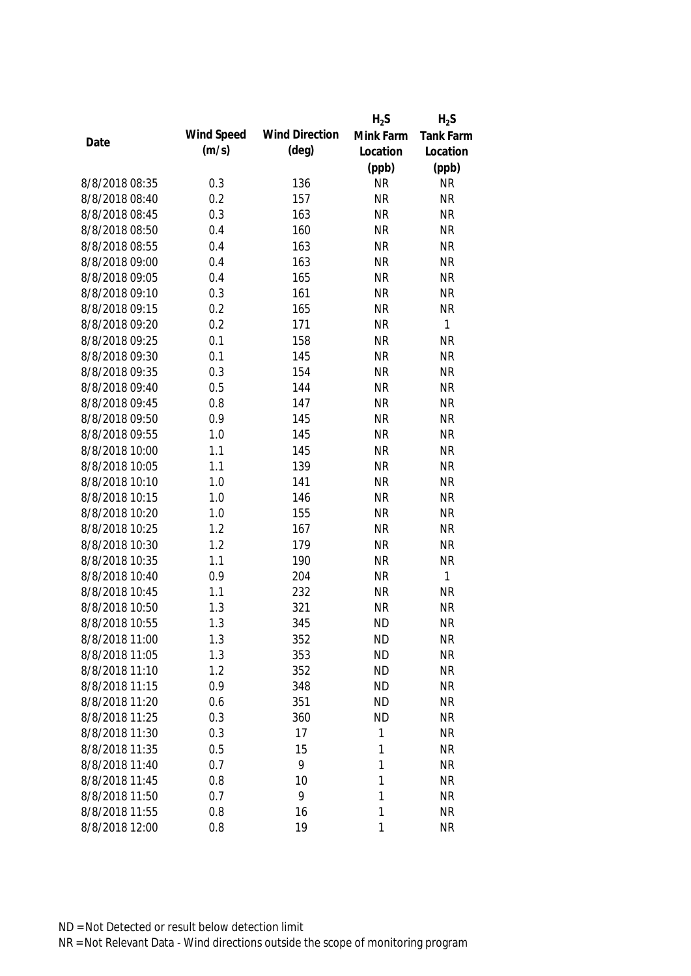|                |            |                       | $H_2S$    | $H_2S$           |
|----------------|------------|-----------------------|-----------|------------------|
|                | Wind Speed | <b>Wind Direction</b> | Mink Farm | <b>Tank Farm</b> |
| Date           | (m/s)      | $(\text{deg})$        | Location  | Location         |
|                |            |                       | (ppb)     | (ppb)            |
| 8/8/2018 08:35 | 0.3        | 136                   | <b>NR</b> | <b>NR</b>        |
| 8/8/2018 08:40 | 0.2        | 157                   | <b>NR</b> | <b>NR</b>        |
| 8/8/2018 08:45 | 0.3        | 163                   | <b>NR</b> | <b>NR</b>        |
| 8/8/2018 08:50 | 0.4        | 160                   | <b>NR</b> | <b>NR</b>        |
| 8/8/2018 08:55 | 0.4        | 163                   | <b>NR</b> | <b>NR</b>        |
| 8/8/2018 09:00 | 0.4        | 163                   | <b>NR</b> | <b>NR</b>        |
| 8/8/2018 09:05 | 0.4        | 165                   | <b>NR</b> | <b>NR</b>        |
| 8/8/2018 09:10 | 0.3        | 161                   | <b>NR</b> | <b>NR</b>        |
| 8/8/2018 09:15 | 0.2        | 165                   | <b>NR</b> | <b>NR</b>        |
| 8/8/2018 09:20 | 0.2        | 171                   | <b>NR</b> | $\mathbf{1}$     |
| 8/8/2018 09:25 | 0.1        | 158                   | <b>NR</b> | <b>NR</b>        |
| 8/8/2018 09:30 | 0.1        | 145                   | <b>NR</b> | <b>NR</b>        |
| 8/8/2018 09:35 | 0.3        | 154                   | <b>NR</b> | <b>NR</b>        |
| 8/8/2018 09:40 | 0.5        | 144                   | <b>NR</b> | <b>NR</b>        |
| 8/8/2018 09:45 | 0.8        | 147                   | <b>NR</b> | <b>NR</b>        |
| 8/8/2018 09:50 | 0.9        | 145                   | <b>NR</b> | <b>NR</b>        |
| 8/8/2018 09:55 | 1.0        | 145                   | <b>NR</b> | <b>NR</b>        |
| 8/8/2018 10:00 | 1.1        | 145                   | <b>NR</b> | <b>NR</b>        |
| 8/8/2018 10:05 | 1.1        | 139                   | <b>NR</b> | <b>NR</b>        |
| 8/8/2018 10:10 | 1.0        | 141                   | <b>NR</b> | <b>NR</b>        |
| 8/8/2018 10:15 | 1.0        | 146                   | <b>NR</b> | <b>NR</b>        |
| 8/8/2018 10:20 | 1.0        | 155                   | <b>NR</b> | <b>NR</b>        |
| 8/8/2018 10:25 | 1.2        | 167                   | <b>NR</b> | <b>NR</b>        |
| 8/8/2018 10:30 | 1.2        | 179                   | <b>NR</b> | <b>NR</b>        |
| 8/8/2018 10:35 | 1.1        | 190                   | <b>NR</b> | <b>NR</b>        |
| 8/8/2018 10:40 | 0.9        | 204                   | <b>NR</b> | $\mathbf{1}$     |
| 8/8/2018 10:45 | 1.1        | 232                   | <b>NR</b> | <b>NR</b>        |
| 8/8/2018 10:50 | 1.3        | 321                   | <b>NR</b> | <b>NR</b>        |
| 8/8/2018 10:55 | 1.3        | 345                   | <b>ND</b> | <b>NR</b>        |
| 8/8/2018 11:00 | 1.3        | 352                   | <b>ND</b> | <b>NR</b>        |
| 8/8/2018 11:05 | 1.3        | 353                   | <b>ND</b> | <b>NR</b>        |
| 8/8/2018 11:10 | 1.2        | 352                   | <b>ND</b> | <b>NR</b>        |
| 8/8/2018 11:15 | 0.9        | 348                   | <b>ND</b> | <b>NR</b>        |
| 8/8/2018 11:20 | 0.6        | 351                   | <b>ND</b> | <b>NR</b>        |
| 8/8/2018 11:25 | 0.3        | 360                   | <b>ND</b> | <b>NR</b>        |
| 8/8/2018 11:30 | 0.3        | 17                    | 1         | <b>NR</b>        |
| 8/8/2018 11:35 | 0.5        | 15                    | 1         | <b>NR</b>        |
| 8/8/2018 11:40 | 0.7        | 9                     | 1         | <b>NR</b>        |
| 8/8/2018 11:45 | 0.8        | 10                    | 1         | <b>NR</b>        |
| 8/8/2018 11:50 | 0.7        | 9                     | 1         | <b>NR</b>        |
| 8/8/2018 11:55 | 0.8        | 16                    | 1         | <b>NR</b>        |
| 8/8/2018 12:00 | 0.8        | 19                    | 1         | <b>NR</b>        |
|                |            |                       |           |                  |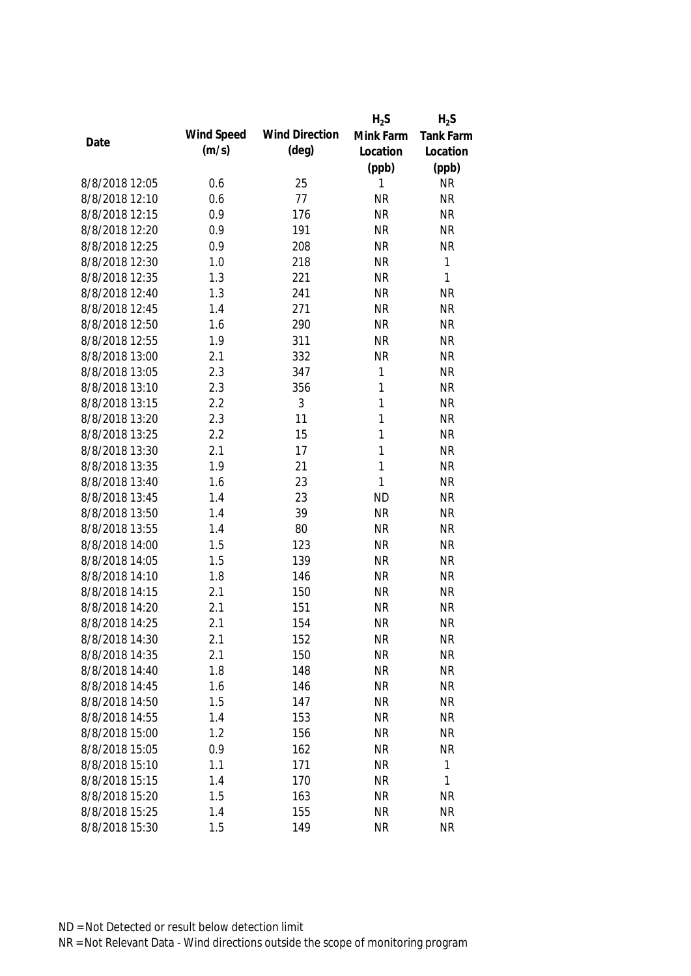|                |            |                       | $H_2S$       | $H_2S$       |
|----------------|------------|-----------------------|--------------|--------------|
|                | Wind Speed | <b>Wind Direction</b> | Mink Farm    | Tank Farm    |
| Date           | (m/s)      | $(\text{deg})$        | Location     | Location     |
|                |            |                       | (ppb)        | (ppb)        |
| 8/8/2018 12:05 | 0.6        | 25                    | 1            | <b>NR</b>    |
| 8/8/2018 12:10 | 0.6        | 77                    | <b>NR</b>    | <b>NR</b>    |
| 8/8/2018 12:15 | 0.9        | 176                   | <b>NR</b>    | <b>NR</b>    |
| 8/8/2018 12:20 | 0.9        | 191                   | <b>NR</b>    | <b>NR</b>    |
| 8/8/2018 12:25 | 0.9        | 208                   | <b>NR</b>    | <b>NR</b>    |
| 8/8/2018 12:30 | 1.0        | 218                   | <b>NR</b>    | 1            |
| 8/8/2018 12:35 | 1.3        | 221                   | <b>NR</b>    | $\mathbf{1}$ |
| 8/8/2018 12:40 | 1.3        | 241                   | <b>NR</b>    | <b>NR</b>    |
| 8/8/2018 12:45 | 1.4        | 271                   | <b>NR</b>    | <b>NR</b>    |
| 8/8/2018 12:50 | 1.6        | 290                   | <b>NR</b>    | <b>NR</b>    |
| 8/8/2018 12:55 | 1.9        | 311                   | <b>NR</b>    | <b>NR</b>    |
| 8/8/2018 13:00 | 2.1        | 332                   | <b>NR</b>    | <b>NR</b>    |
| 8/8/2018 13:05 | 2.3        | 347                   | $\mathbf{1}$ | <b>NR</b>    |
| 8/8/2018 13:10 | 2.3        | 356                   | $\mathbf{1}$ | <b>NR</b>    |
| 8/8/2018 13:15 | 2.2        | 3                     | 1            | <b>NR</b>    |
| 8/8/2018 13:20 | 2.3        | 11                    | 1            | <b>NR</b>    |
| 8/8/2018 13:25 | 2.2        | 15                    | 1            | <b>NR</b>    |
| 8/8/2018 13:30 | 2.1        | 17                    | $\mathbf{1}$ | <b>NR</b>    |
| 8/8/2018 13:35 | 1.9        | 21                    | 1            | <b>NR</b>    |
| 8/8/2018 13:40 | 1.6        | 23                    | $\mathbf{1}$ | <b>NR</b>    |
| 8/8/2018 13:45 | 1.4        | 23                    | <b>ND</b>    | <b>NR</b>    |
| 8/8/2018 13:50 | 1.4        | 39                    | <b>NR</b>    | <b>NR</b>    |
| 8/8/2018 13:55 | 1.4        | 80                    | <b>NR</b>    | <b>NR</b>    |
| 8/8/2018 14:00 | 1.5        | 123                   | <b>NR</b>    | <b>NR</b>    |
| 8/8/2018 14:05 | 1.5        | 139                   | <b>NR</b>    | <b>NR</b>    |
| 8/8/2018 14:10 | 1.8        | 146                   | <b>NR</b>    | <b>NR</b>    |
| 8/8/2018 14:15 | 2.1        | 150                   | <b>NR</b>    | <b>NR</b>    |
| 8/8/2018 14:20 | 2.1        | 151                   | <b>NR</b>    | <b>NR</b>    |
| 8/8/2018 14:25 | 2.1        | 154                   | <b>NR</b>    | <b>NR</b>    |
| 8/8/2018 14:30 | 2.1        | 152                   | <b>NR</b>    | <b>NR</b>    |
| 8/8/2018 14:35 | 2.1        | 150                   | <b>NR</b>    | <b>NR</b>    |
| 8/8/2018 14:40 | 1.8        | 148                   | <b>NR</b>    | <b>NR</b>    |
| 8/8/2018 14:45 | 1.6        | 146                   | <b>NR</b>    | <b>NR</b>    |
| 8/8/2018 14:50 | 1.5        | 147                   | <b>NR</b>    | <b>NR</b>    |
| 8/8/2018 14:55 | 1.4        | 153                   | <b>NR</b>    | <b>NR</b>    |
| 8/8/2018 15:00 | 1.2        | 156                   | <b>NR</b>    | <b>NR</b>    |
| 8/8/2018 15:05 | 0.9        | 162                   | <b>NR</b>    | <b>NR</b>    |
| 8/8/2018 15:10 | 1.1        | 171                   | <b>NR</b>    | 1            |
| 8/8/2018 15:15 | 1.4        | 170                   | <b>NR</b>    | 1            |
| 8/8/2018 15:20 | 1.5        | 163                   | <b>NR</b>    | <b>NR</b>    |
| 8/8/2018 15:25 | 1.4        | 155                   | <b>NR</b>    | <b>NR</b>    |
| 8/8/2018 15:30 | 1.5        | 149                   | <b>NR</b>    | <b>NR</b>    |
|                |            |                       |              |              |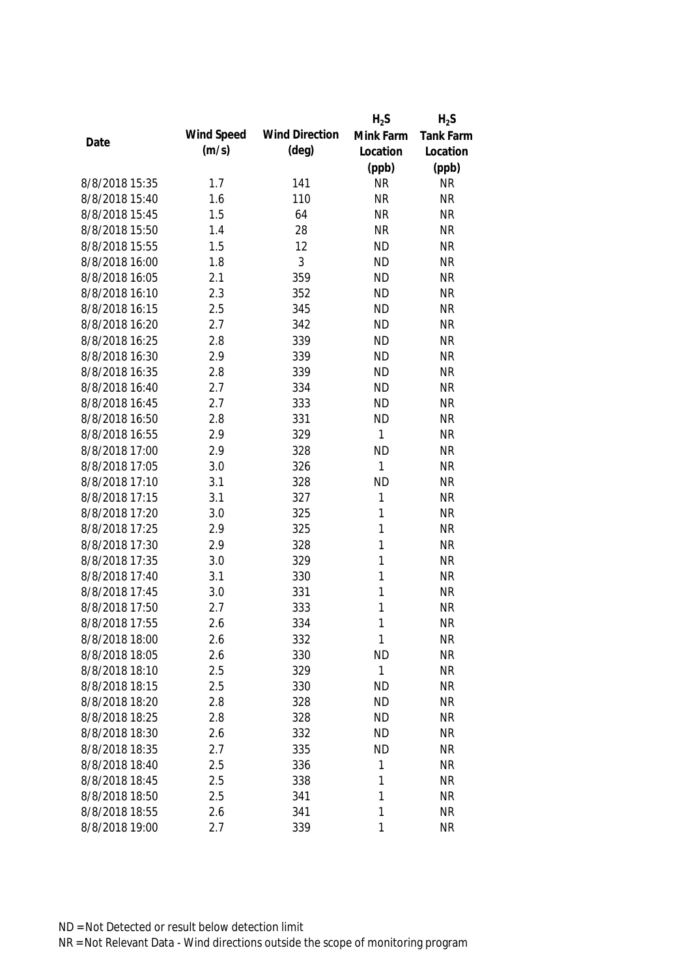|                |            |                       | $H_2S$       | $H_2S$    |
|----------------|------------|-----------------------|--------------|-----------|
|                | Wind Speed | <b>Wind Direction</b> | Mink Farm    | Tank Farm |
| Date           | (m/s)      | $(\text{deg})$        | Location     | Location  |
|                |            |                       | (ppb)        | (ppb)     |
| 8/8/2018 15:35 | 1.7        | 141                   | <b>NR</b>    | <b>NR</b> |
| 8/8/2018 15:40 | 1.6        | 110                   | <b>NR</b>    | <b>NR</b> |
| 8/8/2018 15:45 | 1.5        | 64                    | <b>NR</b>    | <b>NR</b> |
| 8/8/2018 15:50 | 1.4        | 28                    | <b>NR</b>    | <b>NR</b> |
| 8/8/2018 15:55 | 1.5        | 12                    | <b>ND</b>    | <b>NR</b> |
| 8/8/2018 16:00 | 1.8        | 3                     | <b>ND</b>    | <b>NR</b> |
| 8/8/2018 16:05 | 2.1        | 359                   | <b>ND</b>    | <b>NR</b> |
| 8/8/2018 16:10 | 2.3        | 352                   | <b>ND</b>    | <b>NR</b> |
| 8/8/2018 16:15 | 2.5        | 345                   | <b>ND</b>    | <b>NR</b> |
| 8/8/2018 16:20 | 2.7        | 342                   | <b>ND</b>    | <b>NR</b> |
| 8/8/2018 16:25 | 2.8        | 339                   | <b>ND</b>    | <b>NR</b> |
| 8/8/2018 16:30 | 2.9        | 339                   | <b>ND</b>    | <b>NR</b> |
| 8/8/2018 16:35 | 2.8        | 339                   | <b>ND</b>    | <b>NR</b> |
| 8/8/2018 16:40 | 2.7        | 334                   | <b>ND</b>    | <b>NR</b> |
| 8/8/2018 16:45 | 2.7        | 333                   | <b>ND</b>    | <b>NR</b> |
| 8/8/2018 16:50 | 2.8        | 331                   | <b>ND</b>    | <b>NR</b> |
| 8/8/2018 16:55 | 2.9        | 329                   | 1            | <b>NR</b> |
| 8/8/2018 17:00 | 2.9        | 328                   | <b>ND</b>    | <b>NR</b> |
| 8/8/2018 17:05 | 3.0        | 326                   | $\mathbf{1}$ | <b>NR</b> |
| 8/8/2018 17:10 | 3.1        | 328                   | <b>ND</b>    | <b>NR</b> |
| 8/8/2018 17:15 | 3.1        | 327                   | 1            | <b>NR</b> |
| 8/8/2018 17:20 | 3.0        | 325                   | 1            | <b>NR</b> |
| 8/8/2018 17:25 | 2.9        | 325                   | 1            | <b>NR</b> |
| 8/8/2018 17:30 | 2.9        | 328                   | $\mathbf{1}$ | <b>NR</b> |
| 8/8/2018 17:35 | 3.0        | 329                   | 1            | <b>NR</b> |
| 8/8/2018 17:40 | 3.1        | 330                   | 1            | <b>NR</b> |
| 8/8/2018 17:45 | 3.0        | 331                   | 1            | <b>NR</b> |
| 8/8/2018 17:50 | 2.7        | 333                   | 1            | <b>NR</b> |
| 8/8/2018 17:55 | 2.6        | 334                   | 1            | <b>NR</b> |
| 8/8/2018 18:00 | 2.6        | 332                   | 1            | <b>NR</b> |
| 8/8/2018 18:05 | 2.6        | 330                   | <b>ND</b>    | <b>NR</b> |
| 8/8/2018 18:10 | 2.5        | 329                   | $\mathbf{1}$ | <b>NR</b> |
| 8/8/2018 18:15 | 2.5        | 330                   | <b>ND</b>    | <b>NR</b> |
| 8/8/2018 18:20 | 2.8        | 328                   | <b>ND</b>    | <b>NR</b> |
| 8/8/2018 18:25 | 2.8        | 328                   | <b>ND</b>    | <b>NR</b> |
| 8/8/2018 18:30 | 2.6        | 332                   | <b>ND</b>    | <b>NR</b> |
| 8/8/2018 18:35 | 2.7        | 335                   | <b>ND</b>    | <b>NR</b> |
| 8/8/2018 18:40 | 2.5        | 336                   | 1            | <b>NR</b> |
| 8/8/2018 18:45 | 2.5        | 338                   | 1            | <b>NR</b> |
| 8/8/2018 18:50 | 2.5        | 341                   | 1            | <b>NR</b> |
| 8/8/2018 18:55 | 2.6        | 341                   | 1            | <b>NR</b> |
| 8/8/2018 19:00 | 2.7        | 339                   | 1            | <b>NR</b> |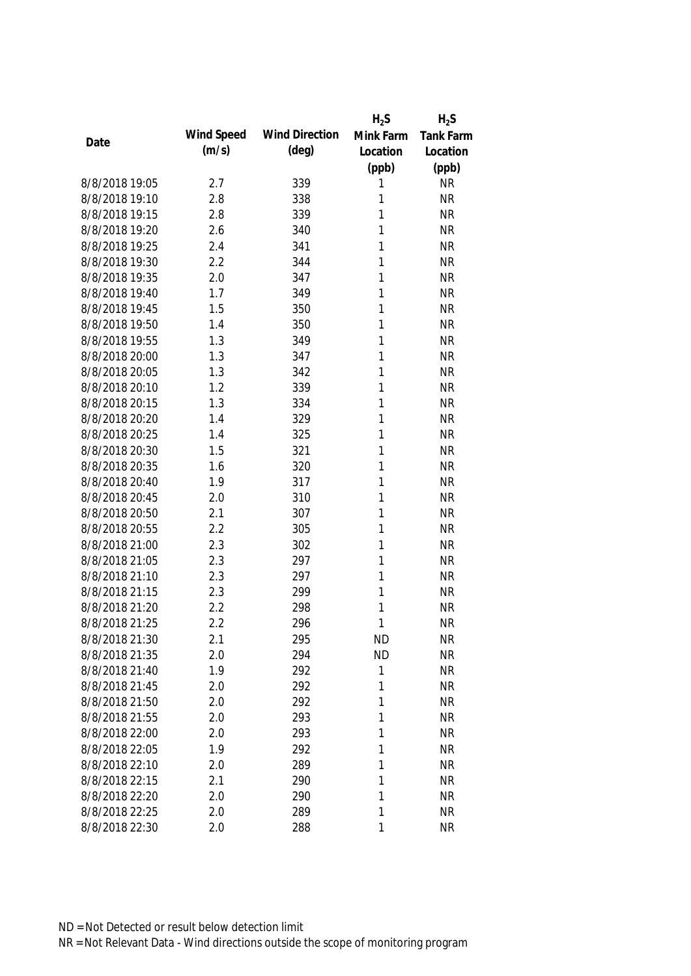|                |            |                       | $H_2S$    | $H_2S$           |
|----------------|------------|-----------------------|-----------|------------------|
| Date           | Wind Speed | <b>Wind Direction</b> | Mink Farm | <b>Tank Farm</b> |
|                | (m/s)      | $(\text{deg})$        | Location  | Location         |
|                |            |                       | (ppb)     | (ppb)            |
| 8/8/2018 19:05 | 2.7        | 339                   | 1         | <b>NR</b>        |
| 8/8/2018 19:10 | 2.8        | 338                   | 1         | <b>NR</b>        |
| 8/8/2018 19:15 | 2.8        | 339                   | 1         | <b>NR</b>        |
| 8/8/2018 19:20 | 2.6        | 340                   | 1         | <b>NR</b>        |
| 8/8/2018 19:25 | 2.4        | 341                   | 1         | <b>NR</b>        |
| 8/8/2018 19:30 | 2.2        | 344                   | 1         | <b>NR</b>        |
| 8/8/2018 19:35 | 2.0        | 347                   | 1         | <b>NR</b>        |
| 8/8/2018 19:40 | 1.7        | 349                   | 1         | <b>NR</b>        |
| 8/8/2018 19:45 | 1.5        | 350                   | 1         | <b>NR</b>        |
| 8/8/2018 19:50 | 1.4        | 350                   | 1         | <b>NR</b>        |
| 8/8/2018 19:55 | 1.3        | 349                   | 1         | <b>NR</b>        |
| 8/8/2018 20:00 | 1.3        | 347                   | 1         | <b>NR</b>        |
| 8/8/2018 20:05 | 1.3        | 342                   | 1         | <b>NR</b>        |
| 8/8/2018 20:10 | 1.2        | 339                   | 1         | <b>NR</b>        |
| 8/8/2018 20:15 | 1.3        | 334                   | 1         | <b>NR</b>        |
| 8/8/2018 20:20 | 1.4        | 329                   | 1         | <b>NR</b>        |
| 8/8/2018 20:25 | 1.4        | 325                   | 1         | <b>NR</b>        |
| 8/8/2018 20:30 | 1.5        | 321                   | 1         | <b>NR</b>        |
| 8/8/2018 20:35 | 1.6        | 320                   | 1         | <b>NR</b>        |
| 8/8/2018 20:40 | 1.9        | 317                   | 1         | <b>NR</b>        |
| 8/8/2018 20:45 | 2.0        | 310                   | 1         | <b>NR</b>        |
| 8/8/2018 20:50 | 2.1        | 307                   | 1         | <b>NR</b>        |
| 8/8/2018 20:55 | 2.2        | 305                   | 1         | <b>NR</b>        |
| 8/8/2018 21:00 | 2.3        | 302                   | 1         | <b>NR</b>        |
| 8/8/2018 21:05 | 2.3        | 297                   | 1         | <b>NR</b>        |
| 8/8/2018 21:10 | 2.3        | 297                   | 1         | <b>NR</b>        |
| 8/8/2018 21:15 | 2.3        | 299                   | 1         | <b>NR</b>        |
| 8/8/2018 21:20 | 2.2        | 298                   | 1         | <b>NR</b>        |
| 8/8/2018 21:25 | 2.2        | 296                   | 1         | <b>NR</b>        |
| 8/8/2018 21:30 | 2.1        | 295                   | <b>ND</b> | <b>NR</b>        |
| 8/8/2018 21:35 | 2.0        | 294                   | <b>ND</b> | <b>NR</b>        |
| 8/8/2018 21:40 | 1.9        | 292                   | 1         | <b>NR</b>        |
| 8/8/2018 21:45 | 2.0        | 292                   | 1         | <b>NR</b>        |
| 8/8/2018 21:50 | 2.0        | 292                   | 1         | <b>NR</b>        |
| 8/8/2018 21:55 | 2.0        | 293                   | 1         | <b>NR</b>        |
| 8/8/2018 22:00 | 2.0        | 293                   | 1         | <b>NR</b>        |
| 8/8/2018 22:05 | 1.9        | 292                   | 1         | <b>NR</b>        |
| 8/8/2018 22:10 | 2.0        | 289                   | 1         | <b>NR</b>        |
| 8/8/2018 22:15 | 2.1        | 290                   | 1         | <b>NR</b>        |
| 8/8/2018 22:20 | 2.0        | 290                   | 1         | <b>NR</b>        |
| 8/8/2018 22:25 | 2.0        | 289                   | 1         | <b>NR</b>        |
| 8/8/2018 22:30 | 2.0        | 288                   | 1         | <b>NR</b>        |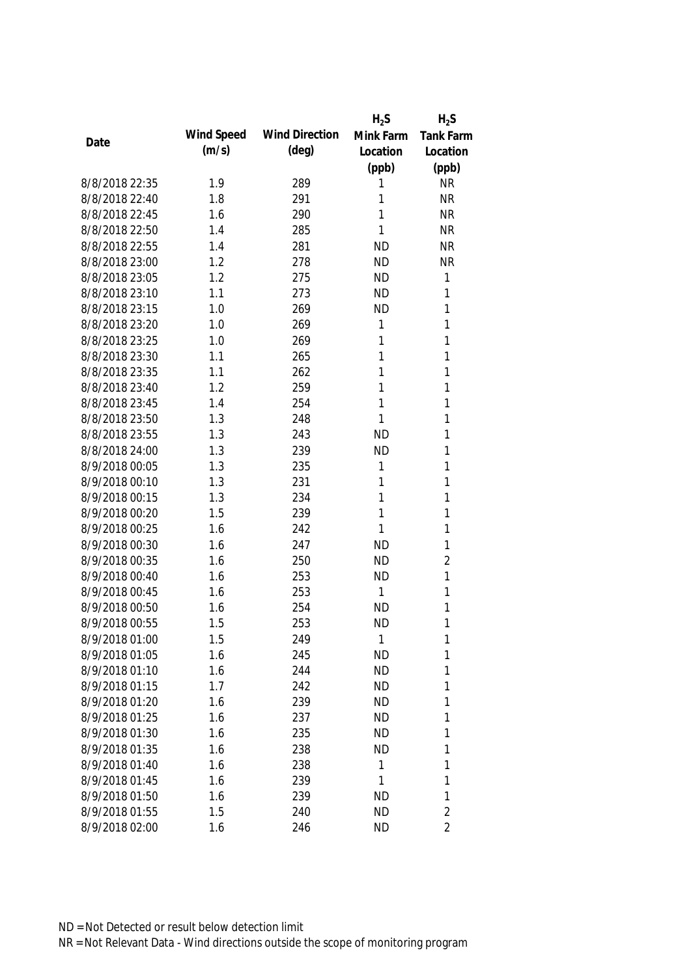|                |            |                       | $H_2S$    | $H_2S$           |
|----------------|------------|-----------------------|-----------|------------------|
| Date           | Wind Speed | <b>Wind Direction</b> | Mink Farm | <b>Tank Farm</b> |
|                | (m/s)      | $(\text{deg})$        | Location  | Location         |
|                |            |                       | (ppb)     | (ppb)            |
| 8/8/2018 22:35 | 1.9        | 289                   | 1         | <b>NR</b>        |
| 8/8/2018 22:40 | 1.8        | 291                   | 1         | <b>NR</b>        |
| 8/8/2018 22:45 | 1.6        | 290                   | 1         | <b>NR</b>        |
| 8/8/2018 22:50 | 1.4        | 285                   | 1         | <b>NR</b>        |
| 8/8/2018 22:55 | 1.4        | 281                   | <b>ND</b> | <b>NR</b>        |
| 8/8/2018 23:00 | 1.2        | 278                   | <b>ND</b> | <b>NR</b>        |
| 8/8/2018 23:05 | 1.2        | 275                   | <b>ND</b> | $\mathbf{1}$     |
| 8/8/2018 23:10 | 1.1        | 273                   | <b>ND</b> | 1                |
| 8/8/2018 23:15 | 1.0        | 269                   | <b>ND</b> | 1                |
| 8/8/2018 23:20 | 1.0        | 269                   | 1         | 1                |
| 8/8/2018 23:25 | 1.0        | 269                   | 1         | 1                |
| 8/8/2018 23:30 | 1.1        | 265                   | 1         | 1                |
| 8/8/2018 23:35 | 1.1        | 262                   | 1         | 1                |
| 8/8/2018 23:40 | 1.2        | 259                   | 1         | 1                |
| 8/8/2018 23:45 | 1.4        | 254                   | 1         | 1                |
| 8/8/2018 23:50 | 1.3        | 248                   | 1         | $\mathbf{1}$     |
| 8/8/2018 23:55 | 1.3        | 243                   | <b>ND</b> | 1                |
| 8/8/2018 24:00 | 1.3        | 239                   | <b>ND</b> | 1                |
| 8/9/2018 00:05 | 1.3        | 235                   | 1         | 1                |
| 8/9/2018 00:10 | 1.3        | 231                   | 1         | 1                |
| 8/9/2018 00:15 | 1.3        | 234                   | 1         | 1                |
| 8/9/2018 00:20 | 1.5        | 239                   | 1         | 1                |
| 8/9/2018 00:25 | 1.6        | 242                   | 1         | 1                |
| 8/9/2018 00:30 | 1.6        | 247                   | <b>ND</b> | 1                |
| 8/9/2018 00:35 | 1.6        | 250                   | <b>ND</b> | $\overline{2}$   |
| 8/9/2018 00:40 | 1.6        | 253                   | <b>ND</b> | $\mathbf{1}$     |
| 8/9/2018 00:45 | 1.6        | 253                   | 1         | 1                |
| 8/9/2018 00:50 | 1.6        | 254                   | <b>ND</b> | 1                |
| 8/9/2018 00:55 | 1.5        | 253                   | <b>ND</b> | 1                |
| 8/9/2018 01:00 | 1.5        | 249                   | 1         | 1                |
| 8/9/2018 01:05 | 1.6        | 245                   | <b>ND</b> | 1                |
| 8/9/2018 01:10 | 1.6        | 244                   | <b>ND</b> | 1                |
| 8/9/2018 01:15 | 1.7        | 242                   | <b>ND</b> | 1                |
| 8/9/2018 01:20 | 1.6        | 239                   | <b>ND</b> | 1                |
| 8/9/2018 01:25 | 1.6        | 237                   | <b>ND</b> | 1                |
| 8/9/2018 01:30 | 1.6        | 235                   | <b>ND</b> | 1                |
| 8/9/2018 01:35 | 1.6        | 238                   | <b>ND</b> | 1                |
| 8/9/2018 01:40 | 1.6        | 238                   | 1         | 1                |
| 8/9/2018 01:45 | 1.6        | 239                   | 1         | 1                |
| 8/9/2018 01:50 | 1.6        | 239                   | <b>ND</b> | 1                |
| 8/9/2018 01:55 | 1.5        | 240                   | <b>ND</b> | $\overline{2}$   |
| 8/9/2018 02:00 | 1.6        | 246                   | <b>ND</b> | $\overline{2}$   |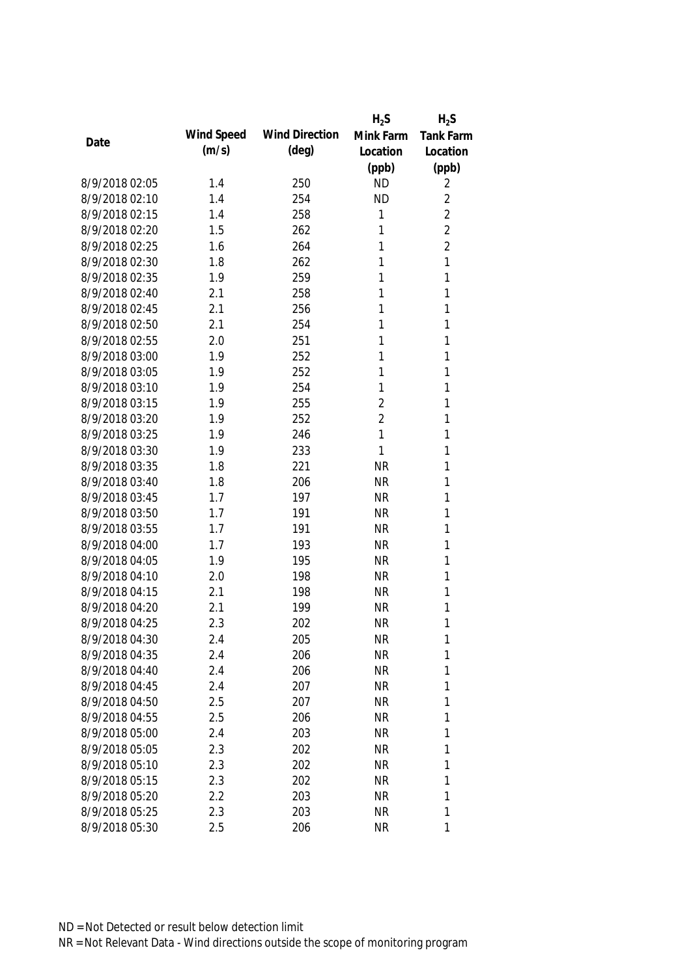|                |            |                       | $H_2S$         | $H_2S$           |
|----------------|------------|-----------------------|----------------|------------------|
| Date           | Wind Speed | <b>Wind Direction</b> | Mink Farm      | <b>Tank Farm</b> |
|                | (m/s)      | $(\text{deg})$        | Location       | Location         |
|                |            |                       | (ppb)          | (ppb)            |
| 8/9/2018 02:05 | 1.4        | 250                   | <b>ND</b>      | 2                |
| 8/9/2018 02:10 | 1.4        | 254                   | <b>ND</b>      | $\overline{2}$   |
| 8/9/2018 02:15 | 1.4        | 258                   | 1              | $\overline{2}$   |
| 8/9/2018 02:20 | 1.5        | 262                   | 1              | $\overline{2}$   |
| 8/9/2018 02:25 | 1.6        | 264                   | 1              | $\overline{2}$   |
| 8/9/2018 02:30 | 1.8        | 262                   | 1              | 1                |
| 8/9/2018 02:35 | 1.9        | 259                   | 1              | 1                |
| 8/9/2018 02:40 | 2.1        | 258                   | 1              | 1                |
| 8/9/2018 02:45 | 2.1        | 256                   | 1              | 1                |
| 8/9/2018 02:50 | 2.1        | 254                   | 1              | 1                |
| 8/9/2018 02:55 | 2.0        | 251                   | 1              | 1                |
| 8/9/2018 03:00 | 1.9        | 252                   | 1              | 1                |
| 8/9/2018 03:05 | 1.9        | 252                   | 1              | 1                |
| 8/9/2018 03:10 | 1.9        | 254                   | 1              | 1                |
| 8/9/2018 03:15 | 1.9        | 255                   | $\overline{2}$ | 1                |
| 8/9/2018 03:20 | 1.9        | 252                   | $\overline{2}$ | 1                |
| 8/9/2018 03:25 | 1.9        | 246                   | 1              | 1                |
| 8/9/2018 03:30 | 1.9        | 233                   | 1              | 1                |
| 8/9/2018 03:35 | 1.8        | 221                   | <b>NR</b>      | 1                |
| 8/9/2018 03:40 | 1.8        | 206                   | <b>NR</b>      | 1                |
| 8/9/2018 03:45 | 1.7        | 197                   | <b>NR</b>      | 1                |
| 8/9/2018 03:50 | 1.7        | 191                   | <b>NR</b>      | 1                |
| 8/9/2018 03:55 | 1.7        | 191                   | <b>NR</b>      | 1                |
| 8/9/2018 04:00 | 1.7        | 193                   | <b>NR</b>      | 1                |
| 8/9/2018 04:05 | 1.9        | 195                   | <b>NR</b>      | 1                |
| 8/9/2018 04:10 | 2.0        | 198                   | <b>NR</b>      | 1                |
| 8/9/2018 04:15 | 2.1        | 198                   | <b>NR</b>      | 1                |
| 8/9/2018 04:20 | 2.1        | 199                   | <b>NR</b>      | 1                |
| 8/9/2018 04:25 | 2.3        | 202                   | <b>NR</b>      | 1                |
| 8/9/2018 04:30 | 2.4        | 205                   | <b>NR</b>      | 1                |
| 8/9/2018 04:35 | 2.4        | 206                   | <b>NR</b>      | 1                |
| 8/9/2018 04:40 | 2.4        | 206                   | <b>NR</b>      | 1                |
| 8/9/2018 04:45 | 2.4        | 207                   | <b>NR</b>      | 1                |
| 8/9/2018 04:50 | 2.5        | 207                   | <b>NR</b>      | 1                |
| 8/9/2018 04:55 | 2.5        | 206                   | <b>NR</b>      | 1                |
| 8/9/2018 05:00 | 2.4        | 203                   | <b>NR</b>      | 1                |
| 8/9/2018 05:05 | 2.3        | 202                   | <b>NR</b>      | 1                |
| 8/9/2018 05:10 | 2.3        | 202                   | <b>NR</b>      | 1                |
| 8/9/2018 05:15 | 2.3        | 202                   | <b>NR</b>      | 1                |
| 8/9/2018 05:20 | 2.2        | 203                   | <b>NR</b>      | 1                |
| 8/9/2018 05:25 | 2.3        | 203                   | <b>NR</b>      | 1                |
| 8/9/2018 05:30 | 2.5        | 206                   | <b>NR</b>      | 1                |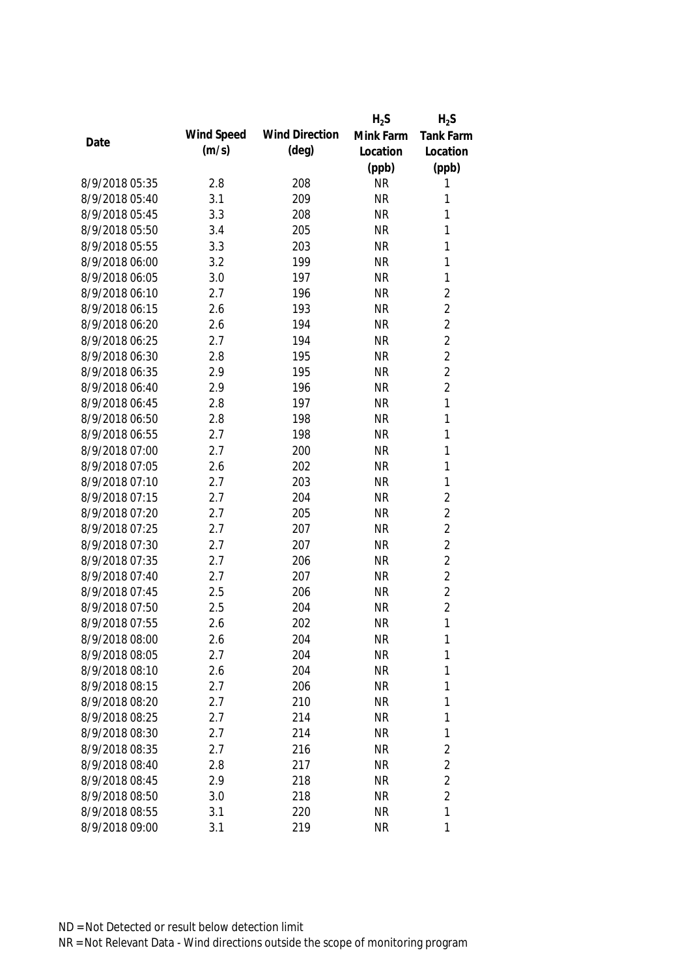|                |            |                       | $H_2S$    | $H_2S$           |
|----------------|------------|-----------------------|-----------|------------------|
|                | Wind Speed | <b>Wind Direction</b> | Mink Farm | <b>Tank Farm</b> |
| Date           | (m/s)      | (deg)                 | Location  | Location         |
|                |            |                       | (ppb)     | (ppb)            |
| 8/9/2018 05:35 | 2.8        | 208                   | <b>NR</b> | 1                |
| 8/9/2018 05:40 | 3.1        | 209                   | <b>NR</b> | 1                |
| 8/9/2018 05:45 | 3.3        | 208                   | <b>NR</b> | 1                |
| 8/9/2018 05:50 | 3.4        | 205                   | <b>NR</b> | 1                |
| 8/9/2018 05:55 | 3.3        | 203                   | <b>NR</b> | 1                |
| 8/9/2018 06:00 | 3.2        | 199                   | <b>NR</b> | 1                |
| 8/9/2018 06:05 | 3.0        | 197                   | <b>NR</b> | $\mathbf{1}$     |
| 8/9/2018 06:10 | 2.7        | 196                   | <b>NR</b> | $\overline{2}$   |
| 8/9/2018 06:15 | 2.6        | 193                   | <b>NR</b> | $\overline{2}$   |
| 8/9/2018 06:20 | 2.6        | 194                   | <b>NR</b> | $\overline{2}$   |
| 8/9/2018 06:25 | 2.7        | 194                   | <b>NR</b> | $\overline{2}$   |
| 8/9/2018 06:30 | 2.8        | 195                   | <b>NR</b> | $\overline{2}$   |
| 8/9/2018 06:35 | 2.9        | 195                   | <b>NR</b> | $\overline{2}$   |
| 8/9/2018 06:40 | 2.9        | 196                   | <b>NR</b> | $\overline{2}$   |
| 8/9/2018 06:45 | 2.8        | 197                   | <b>NR</b> | $\mathbf{1}$     |
| 8/9/2018 06:50 | 2.8        | 198                   | <b>NR</b> | $\mathbf{1}$     |
| 8/9/2018 06:55 | 2.7        | 198                   | <b>NR</b> | $\mathbf{1}$     |
| 8/9/2018 07:00 | 2.7        | 200                   | <b>NR</b> | $\mathbf{1}$     |
| 8/9/2018 07:05 | 2.6        | 202                   | <b>NR</b> | $\mathbf{1}$     |
| 8/9/2018 07:10 | 2.7        | 203                   | <b>NR</b> | $\mathbf{1}$     |
| 8/9/2018 07:15 | 2.7        | 204                   | <b>NR</b> | $\overline{2}$   |
| 8/9/2018 07:20 | 2.7        | 205                   | <b>NR</b> | $\overline{2}$   |
| 8/9/2018 07:25 | 2.7        | 207                   | <b>NR</b> | $\overline{2}$   |
| 8/9/2018 07:30 | 2.7        | 207                   | <b>NR</b> | $\overline{2}$   |
| 8/9/2018 07:35 | 2.7        | 206                   | <b>NR</b> | $\overline{2}$   |
| 8/9/2018 07:40 | 2.7        | 207                   | <b>NR</b> | $\overline{2}$   |
| 8/9/2018 07:45 | 2.5        | 206                   | <b>NR</b> | $\overline{2}$   |
| 8/9/2018 07:50 | 2.5        | 204                   | <b>NR</b> | $\overline{2}$   |
| 8/9/2018 07:55 | 2.6        | 202                   | <b>NR</b> | $\mathbf{1}$     |
| 8/9/2018 08:00 | 2.6        | 204                   | <b>NR</b> | 1                |
| 8/9/2018 08:05 | 2.7        | 204                   | <b>NR</b> | 1                |
| 8/9/2018 08:10 | 2.6        | 204                   | <b>NR</b> | 1                |
| 8/9/2018 08:15 | 2.7        | 206                   | <b>NR</b> | 1                |
| 8/9/2018 08:20 | 2.7        | 210                   | <b>NR</b> | 1                |
| 8/9/2018 08:25 | 2.7        | 214                   | <b>NR</b> | 1                |
| 8/9/2018 08:30 | 2.7        | 214                   | <b>NR</b> | 1                |
| 8/9/2018 08:35 | 2.7        | 216                   | <b>NR</b> | $\overline{2}$   |
| 8/9/2018 08:40 | 2.8        | 217                   | <b>NR</b> | $\overline{2}$   |
| 8/9/2018 08:45 | 2.9        | 218                   | <b>NR</b> | $\overline{2}$   |
| 8/9/2018 08:50 | 3.0        | 218                   | <b>NR</b> | $\overline{2}$   |
| 8/9/2018 08:55 | 3.1        | 220                   | <b>NR</b> | 1                |
| 8/9/2018 09:00 | 3.1        | 219                   | <b>NR</b> | 1                |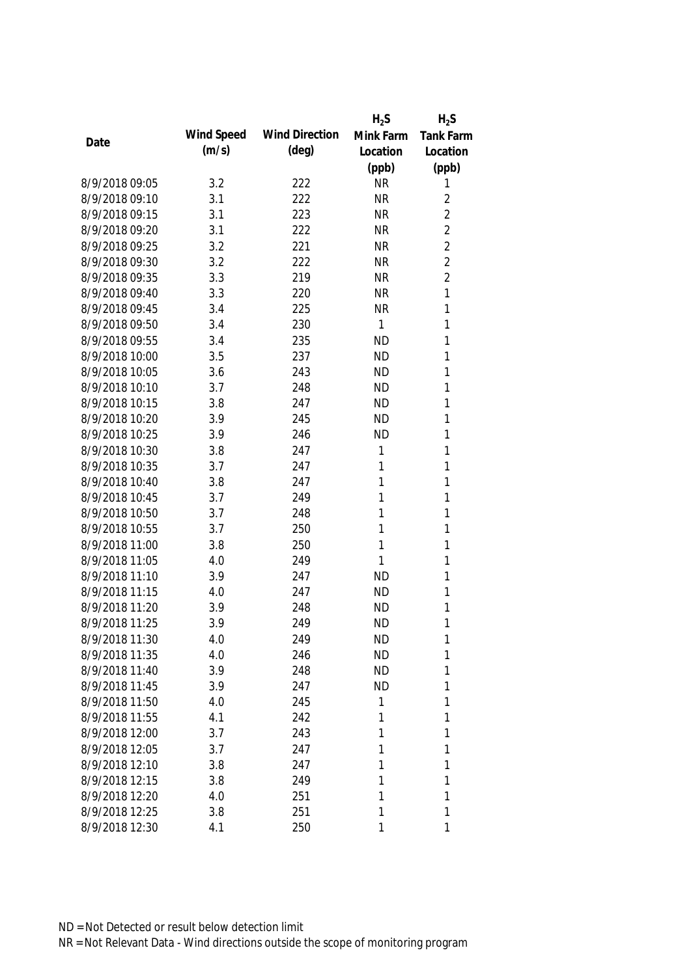|                |            |                       | $H_2S$    | $H_2S$           |
|----------------|------------|-----------------------|-----------|------------------|
| Date           | Wind Speed | <b>Wind Direction</b> | Mink Farm | <b>Tank Farm</b> |
|                | (m/s)      | $(\text{deg})$        | Location  | Location         |
|                |            |                       | (ppb)     | (ppb)            |
| 8/9/2018 09:05 | 3.2        | 222                   | <b>NR</b> | 1                |
| 8/9/2018 09:10 | 3.1        | 222                   | <b>NR</b> | $\overline{2}$   |
| 8/9/2018 09:15 | 3.1        | 223                   | <b>NR</b> | $\overline{2}$   |
| 8/9/2018 09:20 | 3.1        | 222                   | <b>NR</b> | $\overline{2}$   |
| 8/9/2018 09:25 | 3.2        | 221                   | <b>NR</b> | $\overline{2}$   |
| 8/9/2018 09:30 | 3.2        | 222                   | <b>NR</b> | $\overline{2}$   |
| 8/9/2018 09:35 | 3.3        | 219                   | <b>NR</b> | $\overline{2}$   |
| 8/9/2018 09:40 | 3.3        | 220                   | <b>NR</b> | $\mathbf{1}$     |
| 8/9/2018 09:45 | 3.4        | 225                   | <b>NR</b> | 1                |
| 8/9/2018 09:50 | 3.4        | 230                   | 1         | 1                |
| 8/9/2018 09:55 | 3.4        | 235                   | <b>ND</b> | 1                |
| 8/9/2018 10:00 | 3.5        | 237                   | <b>ND</b> | 1                |
| 8/9/2018 10:05 | 3.6        | 243                   | <b>ND</b> | 1                |
| 8/9/2018 10:10 | 3.7        | 248                   | <b>ND</b> | 1                |
| 8/9/2018 10:15 | 3.8        | 247                   | <b>ND</b> | 1                |
| 8/9/2018 10:20 | 3.9        | 245                   | <b>ND</b> | 1                |
| 8/9/2018 10:25 | 3.9        | 246                   | <b>ND</b> | 1                |
| 8/9/2018 10:30 | 3.8        | 247                   | 1         | 1                |
| 8/9/2018 10:35 | 3.7        | 247                   | 1         | 1                |
| 8/9/2018 10:40 | 3.8        | 247                   | 1         | 1                |
| 8/9/2018 10:45 | 3.7        | 249                   | 1         | 1                |
| 8/9/2018 10:50 | 3.7        | 248                   | 1         | 1                |
| 8/9/2018 10:55 | 3.7        | 250                   | 1         | 1                |
| 8/9/2018 11:00 | 3.8        | 250                   | 1         | 1                |
| 8/9/2018 11:05 | 4.0        | 249                   | 1         | 1                |
| 8/9/2018 11:10 | 3.9        | 247                   | <b>ND</b> | 1                |
| 8/9/2018 11:15 | 4.0        | 247                   | <b>ND</b> | 1                |
| 8/9/2018 11:20 | 3.9        | 248                   | <b>ND</b> | 1                |
| 8/9/2018 11:25 | 3.9        | 249                   | <b>ND</b> | 1                |
| 8/9/2018 11:30 | 4.0        | 249                   | <b>ND</b> | 1                |
| 8/9/2018 11:35 | 4.0        | 246                   | <b>ND</b> | 1                |
| 8/9/2018 11:40 | 3.9        | 248                   | <b>ND</b> | 1                |
| 8/9/2018 11:45 | 3.9        | 247                   | <b>ND</b> | 1                |
| 8/9/2018 11:50 | 4.0        | 245                   | 1         | 1                |
| 8/9/2018 11:55 | 4.1        | 242                   | 1         | 1                |
| 8/9/2018 12:00 | 3.7        | 243                   | 1         | 1                |
| 8/9/2018 12:05 | 3.7        | 247                   | 1         | 1                |
| 8/9/2018 12:10 | 3.8        | 247                   | 1         | 1                |
| 8/9/2018 12:15 | 3.8        | 249                   | 1         | 1                |
| 8/9/2018 12:20 | 4.0        | 251                   | 1         | 1                |
| 8/9/2018 12:25 | 3.8        | 251                   | 1         | 1                |
| 8/9/2018 12:30 | 4.1        | 250                   | 1         | 1                |
|                |            |                       |           |                  |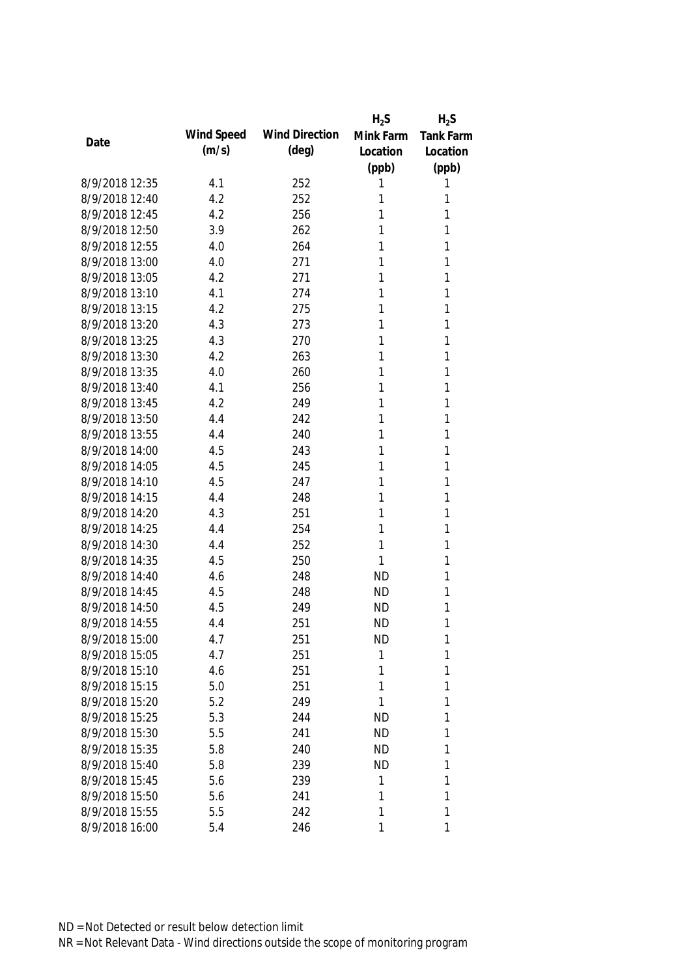|                |            |                       | $H_2S$    | $H_2S$           |
|----------------|------------|-----------------------|-----------|------------------|
| Date           | Wind Speed | <b>Wind Direction</b> | Mink Farm | <b>Tank Farm</b> |
|                | (m/s)      | $(\text{deg})$        | Location  | Location         |
|                |            |                       | (ppb)     | (ppb)            |
| 8/9/2018 12:35 | 4.1        | 252                   | 1         | 1                |
| 8/9/2018 12:40 | 4.2        | 252                   | 1         | 1                |
| 8/9/2018 12:45 | 4.2        | 256                   | 1         | 1                |
| 8/9/2018 12:50 | 3.9        | 262                   | 1         | 1                |
| 8/9/2018 12:55 | 4.0        | 264                   | 1         | 1                |
| 8/9/2018 13:00 | 4.0        | 271                   | 1         | 1                |
| 8/9/2018 13:05 | 4.2        | 271                   | 1         | 1                |
| 8/9/2018 13:10 | 4.1        | 274                   | 1         | 1                |
| 8/9/2018 13:15 | 4.2        | 275                   | 1         | 1                |
| 8/9/2018 13:20 | 4.3        | 273                   | 1         | 1                |
| 8/9/2018 13:25 | 4.3        | 270                   | 1         | 1                |
| 8/9/2018 13:30 | 4.2        | 263                   | 1         | 1                |
| 8/9/2018 13:35 | 4.0        | 260                   | 1         | 1                |
| 8/9/2018 13:40 | 4.1        | 256                   | 1         | 1                |
| 8/9/2018 13:45 | 4.2        | 249                   | 1         | 1                |
| 8/9/2018 13:50 | 4.4        | 242                   | 1         | 1                |
| 8/9/2018 13:55 | 4.4        | 240                   | 1         | 1                |
| 8/9/2018 14:00 | 4.5        | 243                   | 1         | 1                |
| 8/9/2018 14:05 | 4.5        | 245                   | 1         | 1                |
| 8/9/2018 14:10 | 4.5        | 247                   | 1         | 1                |
| 8/9/2018 14:15 | 4.4        | 248                   | 1         | 1                |
| 8/9/2018 14:20 | 4.3        | 251                   | 1         | 1                |
| 8/9/2018 14:25 | 4.4        | 254                   | 1         | 1                |
| 8/9/2018 14:30 | 4.4        | 252                   | 1         | 1                |
| 8/9/2018 14:35 | 4.5        | 250                   | 1         | 1                |
| 8/9/2018 14:40 | 4.6        | 248                   | <b>ND</b> | 1                |
| 8/9/2018 14:45 | 4.5        | 248                   | <b>ND</b> | 1                |
| 8/9/2018 14:50 | 4.5        | 249                   | <b>ND</b> | 1                |
| 8/9/2018 14:55 | 4.4        | 251                   | <b>ND</b> | 1                |
| 8/9/2018 15:00 | 4.7        | 251                   | <b>ND</b> | 1                |
| 8/9/2018 15:05 | 4.7        | 251                   | 1         | 1                |
| 8/9/2018 15:10 | 4.6        | 251                   | 1         | 1                |
| 8/9/2018 15:15 | 5.0        | 251                   | 1         | 1                |
| 8/9/2018 15:20 | 5.2        | 249                   | 1         | 1                |
| 8/9/2018 15:25 | 5.3        | 244                   | <b>ND</b> | 1                |
| 8/9/2018 15:30 | 5.5        | 241                   | <b>ND</b> | 1                |
| 8/9/2018 15:35 | 5.8        | 240                   | <b>ND</b> | 1                |
| 8/9/2018 15:40 | 5.8        | 239                   | <b>ND</b> | 1                |
| 8/9/2018 15:45 | 5.6        | 239                   | 1         | 1                |
| 8/9/2018 15:50 | 5.6        | 241                   | 1         | 1                |
| 8/9/2018 15:55 | 5.5        | 242                   | 1         | 1                |
| 8/9/2018 16:00 | 5.4        | 246                   | 1         | 1                |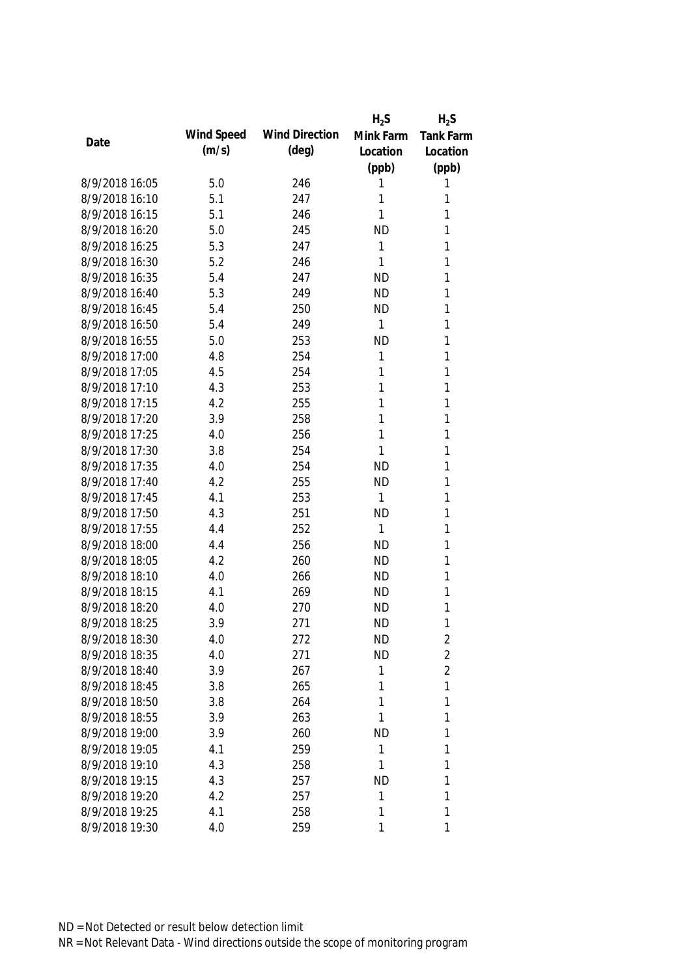|                |            |                       | $H_2S$    | $H_2S$           |
|----------------|------------|-----------------------|-----------|------------------|
| Date           | Wind Speed | <b>Wind Direction</b> | Mink Farm | <b>Tank Farm</b> |
|                | (m/s)      | $(\text{deg})$        | Location  | Location         |
|                |            |                       | (ppb)     | (ppb)            |
| 8/9/2018 16:05 | 5.0        | 246                   | 1         | 1                |
| 8/9/2018 16:10 | 5.1        | 247                   | 1         | 1                |
| 8/9/2018 16:15 | 5.1        | 246                   | 1         | 1                |
| 8/9/2018 16:20 | 5.0        | 245                   | <b>ND</b> | 1                |
| 8/9/2018 16:25 | 5.3        | 247                   | 1         | 1                |
| 8/9/2018 16:30 | 5.2        | 246                   | 1         | 1                |
| 8/9/2018 16:35 | 5.4        | 247                   | <b>ND</b> | 1                |
| 8/9/2018 16:40 | 5.3        | 249                   | <b>ND</b> | 1                |
| 8/9/2018 16:45 | 5.4        | 250                   | <b>ND</b> | 1                |
| 8/9/2018 16:50 | 5.4        | 249                   | 1         | 1                |
| 8/9/2018 16:55 | 5.0        | 253                   | <b>ND</b> | 1                |
| 8/9/2018 17:00 | 4.8        | 254                   | 1         | 1                |
| 8/9/2018 17:05 | 4.5        | 254                   | 1         | 1                |
| 8/9/2018 17:10 | 4.3        | 253                   | 1         | 1                |
| 8/9/2018 17:15 | 4.2        | 255                   | 1         | $\mathbf{1}$     |
| 8/9/2018 17:20 | 3.9        | 258                   | 1         | $\mathbf{1}$     |
| 8/9/2018 17:25 | 4.0        | 256                   | 1         | 1                |
| 8/9/2018 17:30 | 3.8        | 254                   | 1         | 1                |
| 8/9/2018 17:35 | 4.0        | 254                   | <b>ND</b> | 1                |
| 8/9/2018 17:40 | 4.2        | 255                   | <b>ND</b> | 1                |
| 8/9/2018 17:45 | 4.1        | 253                   | 1         | 1                |
| 8/9/2018 17:50 | 4.3        | 251                   | <b>ND</b> | 1                |
| 8/9/2018 17:55 | 4.4        | 252                   | 1         | 1                |
| 8/9/2018 18:00 | 4.4        | 256                   | <b>ND</b> | $\mathbf{1}$     |
| 8/9/2018 18:05 | 4.2        | 260                   | <b>ND</b> | 1                |
| 8/9/2018 18:10 | 4.0        | 266                   | <b>ND</b> | 1                |
| 8/9/2018 18:15 | 4.1        | 269                   | <b>ND</b> | 1                |
| 8/9/2018 18:20 | 4.0        | 270                   | <b>ND</b> | 1                |
| 8/9/2018 18:25 | 3.9        | 271                   | <b>ND</b> | 1                |
| 8/9/2018 18:30 | 4.0        | 272                   | <b>ND</b> | $\overline{2}$   |
| 8/9/2018 18:35 | 4.0        | 271                   | <b>ND</b> | $\overline{2}$   |
| 8/9/2018 18:40 | 3.9        | 267                   | 1         | $\overline{2}$   |
| 8/9/2018 18:45 | 3.8        | 265                   | 1         | 1                |
| 8/9/2018 18:50 | 3.8        | 264                   | 1         | 1                |
| 8/9/2018 18:55 | 3.9        | 263                   | 1         | 1                |
| 8/9/2018 19:00 | 3.9        | 260                   | <b>ND</b> | 1                |
| 8/9/2018 19:05 | 4.1        | 259                   | 1         | 1                |
| 8/9/2018 19:10 | 4.3        | 258                   | 1         | 1                |
| 8/9/2018 19:15 | 4.3        | 257                   | <b>ND</b> | 1                |
| 8/9/2018 19:20 | 4.2        | 257                   | 1         | 1                |
| 8/9/2018 19:25 | 4.1        | 258                   | 1         | 1                |
| 8/9/2018 19:30 | 4.0        | 259                   | 1         | 1                |
|                |            |                       |           |                  |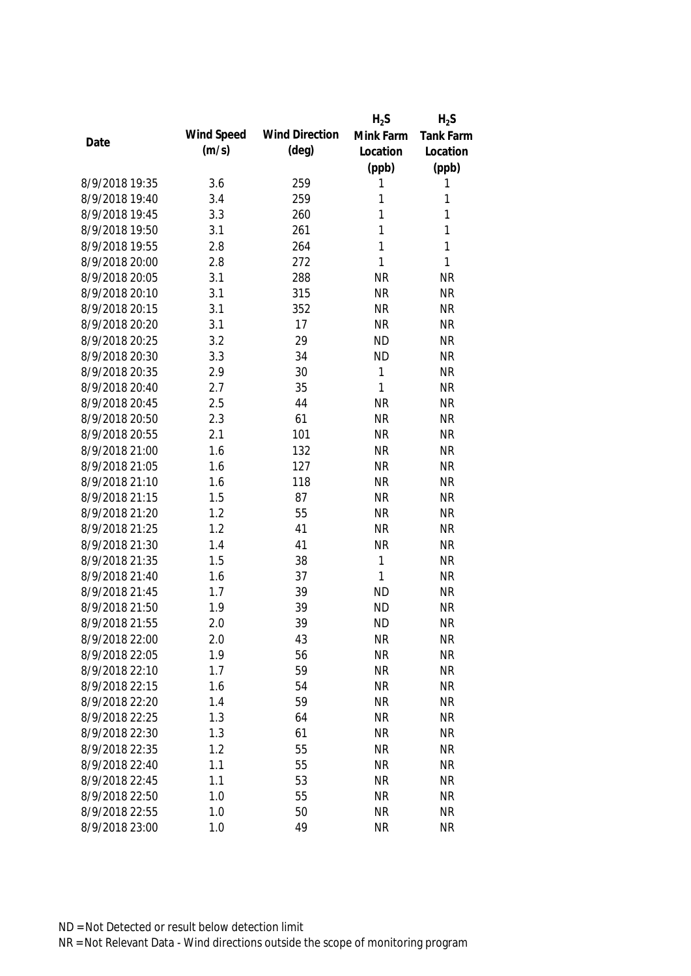|                |            |                       | $H_2S$       | $H_2S$           |
|----------------|------------|-----------------------|--------------|------------------|
|                | Wind Speed | <b>Wind Direction</b> | Mink Farm    | <b>Tank Farm</b> |
| Date           | (m/s)      | $(\text{deg})$        | Location     | Location         |
|                |            |                       | (ppb)        | (ppb)            |
| 8/9/2018 19:35 | 3.6        | 259                   | 1            | 1                |
| 8/9/2018 19:40 | 3.4        | 259                   | 1            | 1                |
| 8/9/2018 19:45 | 3.3        | 260                   | 1            | 1                |
| 8/9/2018 19:50 | 3.1        | 261                   | 1            | 1                |
| 8/9/2018 19:55 | 2.8        | 264                   | 1            | 1                |
| 8/9/2018 20:00 | 2.8        | 272                   | $\mathbf{1}$ | 1                |
| 8/9/2018 20:05 | 3.1        | 288                   | <b>NR</b>    | <b>NR</b>        |
| 8/9/2018 20:10 | 3.1        | 315                   | <b>NR</b>    | <b>NR</b>        |
| 8/9/2018 20:15 | 3.1        | 352                   | <b>NR</b>    | <b>NR</b>        |
| 8/9/2018 20:20 | 3.1        | 17                    | <b>NR</b>    | <b>NR</b>        |
| 8/9/2018 20:25 | 3.2        | 29                    | <b>ND</b>    | <b>NR</b>        |
| 8/9/2018 20:30 | 3.3        | 34                    | <b>ND</b>    | <b>NR</b>        |
| 8/9/2018 20:35 | 2.9        | 30                    | 1            | <b>NR</b>        |
| 8/9/2018 20:40 | 2.7        | 35                    | $\mathbf{1}$ | <b>NR</b>        |
| 8/9/2018 20:45 | 2.5        | 44                    | <b>NR</b>    | <b>NR</b>        |
| 8/9/2018 20:50 | 2.3        | 61                    | <b>NR</b>    | <b>NR</b>        |
| 8/9/2018 20:55 | 2.1        | 101                   | <b>NR</b>    | <b>NR</b>        |
| 8/9/2018 21:00 | 1.6        | 132                   | <b>NR</b>    | <b>NR</b>        |
| 8/9/2018 21:05 | 1.6        | 127                   | <b>NR</b>    | <b>NR</b>        |
| 8/9/2018 21:10 | 1.6        | 118                   | <b>NR</b>    | <b>NR</b>        |
| 8/9/2018 21:15 | 1.5        | 87                    | <b>NR</b>    | <b>NR</b>        |
| 8/9/2018 21:20 | 1.2        | 55                    | <b>NR</b>    | <b>NR</b>        |
| 8/9/2018 21:25 | 1.2        | 41                    | <b>NR</b>    | <b>NR</b>        |
| 8/9/2018 21:30 | 1.4        | 41                    | <b>NR</b>    | <b>NR</b>        |
| 8/9/2018 21:35 | 1.5        | 38                    | $\mathbf{1}$ | <b>NR</b>        |
| 8/9/2018 21:40 | 1.6        | 37                    | 1            | <b>NR</b>        |
| 8/9/2018 21:45 | 1.7        | 39                    | <b>ND</b>    | <b>NR</b>        |
| 8/9/2018 21:50 | 1.9        | 39                    | <b>ND</b>    | <b>NR</b>        |
| 8/9/2018 21:55 | 2.0        | 39                    | <b>ND</b>    | <b>NR</b>        |
| 8/9/2018 22:00 | 2.0        | 43                    | <b>NR</b>    | <b>NR</b>        |
| 8/9/2018 22:05 | 1.9        | 56                    | <b>NR</b>    | <b>NR</b>        |
| 8/9/2018 22:10 | 1.7        | 59                    | <b>NR</b>    | <b>NR</b>        |
| 8/9/2018 22:15 | 1.6        | 54                    | <b>NR</b>    | <b>NR</b>        |
| 8/9/2018 22:20 | 1.4        | 59                    | <b>NR</b>    | <b>NR</b>        |
| 8/9/2018 22:25 | 1.3        | 64                    | <b>NR</b>    | <b>NR</b>        |
| 8/9/2018 22:30 | 1.3        | 61                    | <b>NR</b>    | <b>NR</b>        |
| 8/9/2018 22:35 | 1.2        | 55                    | <b>NR</b>    | <b>NR</b>        |
| 8/9/2018 22:40 | 1.1        | 55                    | <b>NR</b>    | <b>NR</b>        |
| 8/9/2018 22:45 | 1.1        | 53                    | <b>NR</b>    | <b>NR</b>        |
| 8/9/2018 22:50 | 1.0        | 55                    | <b>NR</b>    | <b>NR</b>        |
| 8/9/2018 22:55 | 1.0        | 50                    | <b>NR</b>    | <b>NR</b>        |
| 8/9/2018 23:00 | 1.0        | 49                    | <b>NR</b>    | <b>NR</b>        |
|                |            |                       |              |                  |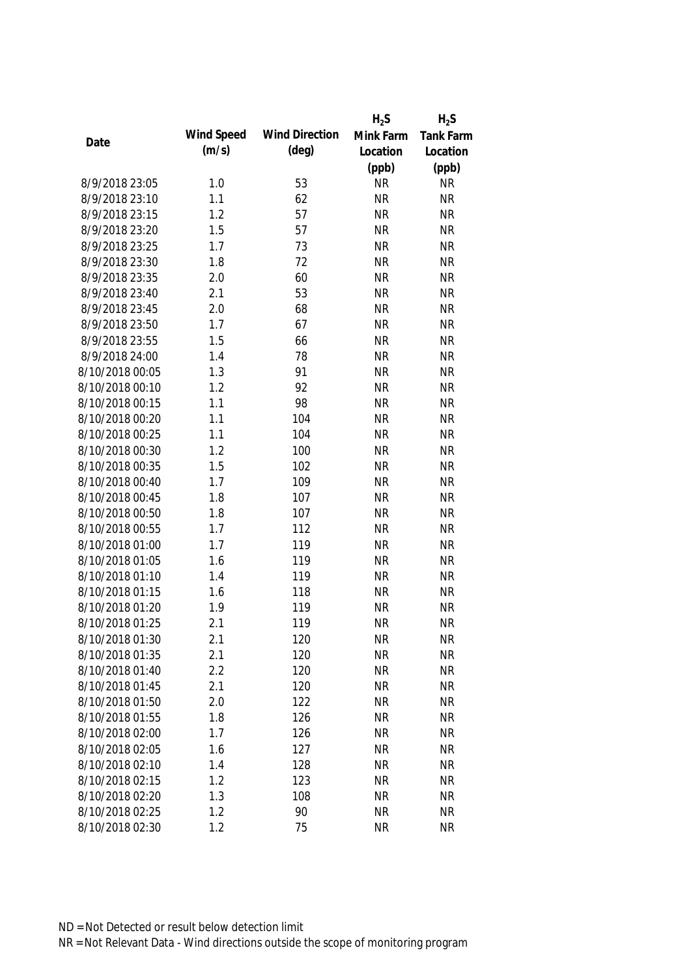|                 |            |                       | $H_2S$    | $H_2S$    |
|-----------------|------------|-----------------------|-----------|-----------|
|                 | Wind Speed | <b>Wind Direction</b> | Mink Farm | Tank Farm |
| Date            | (m/s)      | $(\text{deg})$        | Location  | Location  |
|                 |            |                       | (ppb)     | (ppb)     |
| 8/9/2018 23:05  | 1.0        | 53                    | <b>NR</b> | <b>NR</b> |
| 8/9/2018 23:10  | 1.1        | 62                    | <b>NR</b> | <b>NR</b> |
| 8/9/2018 23:15  | 1.2        | 57                    | <b>NR</b> | <b>NR</b> |
| 8/9/2018 23:20  | 1.5        | 57                    | <b>NR</b> | <b>NR</b> |
| 8/9/2018 23:25  | 1.7        | 73                    | <b>NR</b> | <b>NR</b> |
| 8/9/2018 23:30  | 1.8        | 72                    | <b>NR</b> | <b>NR</b> |
| 8/9/2018 23:35  | 2.0        | 60                    | <b>NR</b> | <b>NR</b> |
| 8/9/2018 23:40  | 2.1        | 53                    | <b>NR</b> | <b>NR</b> |
| 8/9/2018 23:45  | 2.0        | 68                    | <b>NR</b> | <b>NR</b> |
| 8/9/2018 23:50  | 1.7        | 67                    | <b>NR</b> | <b>NR</b> |
| 8/9/2018 23:55  | 1.5        | 66                    | <b>NR</b> | <b>NR</b> |
| 8/9/2018 24:00  | 1.4        | 78                    | <b>NR</b> | <b>NR</b> |
| 8/10/2018 00:05 | 1.3        | 91                    | <b>NR</b> | <b>NR</b> |
| 8/10/2018 00:10 | 1.2        | 92                    | <b>NR</b> | <b>NR</b> |
| 8/10/2018 00:15 | 1.1        | 98                    | <b>NR</b> | <b>NR</b> |
| 8/10/2018 00:20 | 1.1        | 104                   | <b>NR</b> | <b>NR</b> |
| 8/10/2018 00:25 | 1.1        | 104                   | <b>NR</b> | <b>NR</b> |
| 8/10/2018 00:30 | 1.2        | 100                   | <b>NR</b> | <b>NR</b> |
| 8/10/2018 00:35 | 1.5        | 102                   | <b>NR</b> | <b>NR</b> |
| 8/10/2018 00:40 | 1.7        | 109                   | <b>NR</b> | <b>NR</b> |
| 8/10/2018 00:45 | 1.8        | 107                   | <b>NR</b> | <b>NR</b> |
| 8/10/2018 00:50 | 1.8        | 107                   | <b>NR</b> | <b>NR</b> |
| 8/10/2018 00:55 | 1.7        | 112                   | <b>NR</b> | <b>NR</b> |
| 8/10/2018 01:00 | 1.7        | 119                   | <b>NR</b> | <b>NR</b> |
| 8/10/2018 01:05 | 1.6        | 119                   | <b>NR</b> | <b>NR</b> |
| 8/10/2018 01:10 | 1.4        | 119                   | <b>NR</b> | <b>NR</b> |
| 8/10/2018 01:15 | 1.6        | 118                   | <b>NR</b> | <b>NR</b> |
| 8/10/2018 01:20 | 1.9        | 119                   | <b>NR</b> | <b>NR</b> |
| 8/10/2018 01:25 | 2.1        | 119                   | <b>NR</b> | <b>NR</b> |
| 8/10/2018 01:30 | 2.1        | 120                   | <b>NR</b> | <b>NR</b> |
| 8/10/2018 01:35 | 2.1        | 120                   | <b>NR</b> | <b>NR</b> |
| 8/10/2018 01:40 | 2.2        | 120                   | <b>NR</b> | <b>NR</b> |
| 8/10/2018 01:45 | 2.1        | 120                   | <b>NR</b> | <b>NR</b> |
| 8/10/2018 01:50 | 2.0        | 122                   | <b>NR</b> | <b>NR</b> |
| 8/10/2018 01:55 | 1.8        | 126                   | <b>NR</b> | <b>NR</b> |
| 8/10/2018 02:00 | 1.7        | 126                   | <b>NR</b> | <b>NR</b> |
| 8/10/2018 02:05 | 1.6        | 127                   | <b>NR</b> | <b>NR</b> |
| 8/10/2018 02:10 | 1.4        | 128                   | <b>NR</b> | <b>NR</b> |
| 8/10/2018 02:15 | 1.2        | 123                   | <b>NR</b> | <b>NR</b> |
| 8/10/2018 02:20 | 1.3        | 108                   | <b>NR</b> | <b>NR</b> |
| 8/10/2018 02:25 | 1.2        | 90                    | <b>NR</b> | <b>NR</b> |
| 8/10/2018 02:30 | 1.2        | 75                    | <b>NR</b> | <b>NR</b> |
|                 |            |                       |           |           |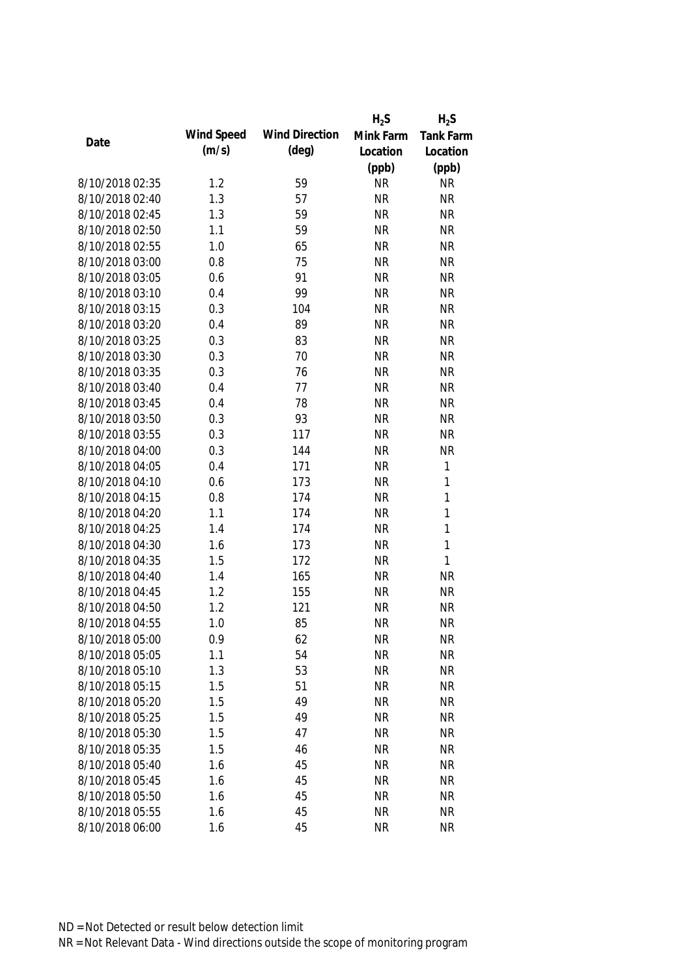|                 |            |                       | $H_2S$    | $H_2S$           |
|-----------------|------------|-----------------------|-----------|------------------|
|                 | Wind Speed | <b>Wind Direction</b> | Mink Farm | <b>Tank Farm</b> |
| Date            | (m/s)      | $(\text{deg})$        | Location  | Location         |
|                 |            |                       | (ppb)     | (ppb)            |
| 8/10/2018 02:35 | 1.2        | 59                    | <b>NR</b> | <b>NR</b>        |
| 8/10/2018 02:40 | 1.3        | 57                    | <b>NR</b> | <b>NR</b>        |
| 8/10/2018 02:45 | 1.3        | 59                    | <b>NR</b> | <b>NR</b>        |
| 8/10/2018 02:50 | 1.1        | 59                    | <b>NR</b> | <b>NR</b>        |
| 8/10/2018 02:55 | 1.0        | 65                    | <b>NR</b> | <b>NR</b>        |
| 8/10/2018 03:00 | 0.8        | 75                    | <b>NR</b> | <b>NR</b>        |
| 8/10/2018 03:05 | 0.6        | 91                    | <b>NR</b> | <b>NR</b>        |
| 8/10/2018 03:10 | 0.4        | 99                    | <b>NR</b> | <b>NR</b>        |
| 8/10/2018 03:15 | 0.3        | 104                   | <b>NR</b> | <b>NR</b>        |
| 8/10/2018 03:20 | 0.4        | 89                    | <b>NR</b> | <b>NR</b>        |
| 8/10/2018 03:25 | 0.3        | 83                    | <b>NR</b> | <b>NR</b>        |
| 8/10/2018 03:30 | 0.3        | 70                    | <b>NR</b> | <b>NR</b>        |
| 8/10/2018 03:35 | 0.3        | 76                    | <b>NR</b> | <b>NR</b>        |
| 8/10/2018 03:40 | 0.4        | 77                    | <b>NR</b> | <b>NR</b>        |
| 8/10/2018 03:45 | 0.4        | 78                    | <b>NR</b> | <b>NR</b>        |
| 8/10/2018 03:50 | 0.3        | 93                    | <b>NR</b> | <b>NR</b>        |
| 8/10/2018 03:55 | 0.3        | 117                   | <b>NR</b> | <b>NR</b>        |
| 8/10/2018 04:00 | 0.3        | 144                   | <b>NR</b> | <b>NR</b>        |
| 8/10/2018 04:05 | 0.4        | 171                   | <b>NR</b> | 1                |
| 8/10/2018 04:10 | 0.6        | 173                   | <b>NR</b> | 1                |
| 8/10/2018 04:15 | 0.8        | 174                   | <b>NR</b> | 1                |
| 8/10/2018 04:20 | 1.1        | 174                   | <b>NR</b> | $\mathbf{1}$     |
| 8/10/2018 04:25 | 1.4        | 174                   | <b>NR</b> | $\mathbf{1}$     |
| 8/10/2018 04:30 | 1.6        | 173                   | <b>NR</b> | $\mathbf{1}$     |
| 8/10/2018 04:35 | 1.5        | 172                   | <b>NR</b> | $\mathbf{1}$     |
| 8/10/2018 04:40 | 1.4        | 165                   | <b>NR</b> | <b>NR</b>        |
| 8/10/2018 04:45 | 1.2        | 155                   | <b>NR</b> | <b>NR</b>        |
| 8/10/2018 04:50 | 1.2        | 121                   | <b>NR</b> | <b>NR</b>        |
| 8/10/2018 04:55 | 1.0        | 85                    | <b>NR</b> | <b>NR</b>        |
| 8/10/2018 05:00 | 0.9        | 62                    | <b>NR</b> | <b>NR</b>        |
| 8/10/2018 05:05 | 1.1        | 54                    | <b>NR</b> | <b>NR</b>        |
| 8/10/2018 05:10 | 1.3        | 53                    | <b>NR</b> | <b>NR</b>        |
| 8/10/2018 05:15 | 1.5        | 51                    | <b>NR</b> | <b>NR</b>        |
| 8/10/2018 05:20 | 1.5        | 49                    | <b>NR</b> | <b>NR</b>        |
| 8/10/2018 05:25 | 1.5        | 49                    | <b>NR</b> | <b>NR</b>        |
| 8/10/2018 05:30 | 1.5        | 47                    | <b>NR</b> | <b>NR</b>        |
| 8/10/2018 05:35 | 1.5        | 46                    | <b>NR</b> | <b>NR</b>        |
| 8/10/2018 05:40 | 1.6        | 45                    | <b>NR</b> | <b>NR</b>        |
| 8/10/2018 05:45 | 1.6        | 45                    | <b>NR</b> | <b>NR</b>        |
|                 |            |                       |           |                  |
| 8/10/2018 05:50 | 1.6        | 45                    | <b>NR</b> | <b>NR</b>        |
| 8/10/2018 05:55 | 1.6        | 45                    | <b>NR</b> | <b>NR</b>        |
| 8/10/2018 06:00 | 1.6        | 45                    | <b>NR</b> | <b>NR</b>        |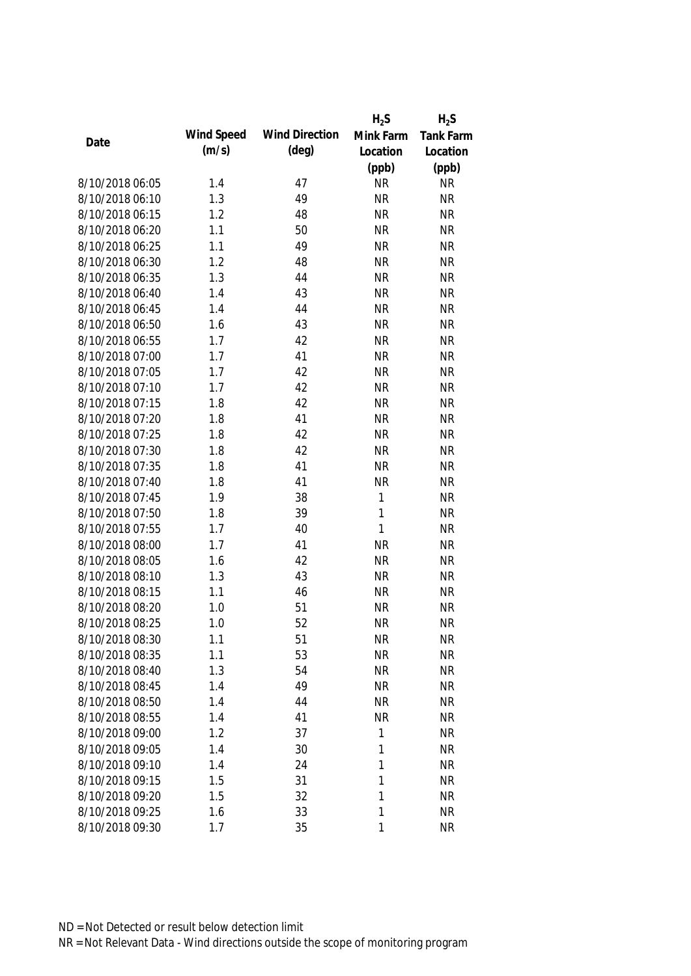|                 |            |                       | $H_2S$       | $H_2S$    |
|-----------------|------------|-----------------------|--------------|-----------|
|                 | Wind Speed | <b>Wind Direction</b> | Mink Farm    | Tank Farm |
| Date            | (m/s)      | $(\text{deg})$        | Location     | Location  |
|                 |            |                       | (ppb)        | (ppb)     |
| 8/10/2018 06:05 | 1.4        | 47                    | <b>NR</b>    | <b>NR</b> |
| 8/10/2018 06:10 | 1.3        | 49                    | <b>NR</b>    | <b>NR</b> |
| 8/10/2018 06:15 | 1.2        | 48                    | <b>NR</b>    | <b>NR</b> |
| 8/10/2018 06:20 | 1.1        | 50                    | <b>NR</b>    | <b>NR</b> |
| 8/10/2018 06:25 | 1.1        | 49                    | <b>NR</b>    | <b>NR</b> |
| 8/10/2018 06:30 | 1.2        | 48                    | <b>NR</b>    | <b>NR</b> |
| 8/10/2018 06:35 | 1.3        | 44                    | <b>NR</b>    | <b>NR</b> |
| 8/10/2018 06:40 | 1.4        | 43                    | <b>NR</b>    | <b>NR</b> |
| 8/10/2018 06:45 | 1.4        | 44                    | <b>NR</b>    | <b>NR</b> |
| 8/10/2018 06:50 | 1.6        | 43                    | <b>NR</b>    | <b>NR</b> |
| 8/10/2018 06:55 | 1.7        | 42                    | <b>NR</b>    | <b>NR</b> |
| 8/10/2018 07:00 | 1.7        | 41                    | <b>NR</b>    | <b>NR</b> |
| 8/10/2018 07:05 | 1.7        | 42                    | <b>NR</b>    | <b>NR</b> |
| 8/10/2018 07:10 | 1.7        | 42                    | <b>NR</b>    | <b>NR</b> |
| 8/10/2018 07:15 | 1.8        | 42                    | <b>NR</b>    | <b>NR</b> |
| 8/10/2018 07:20 | 1.8        | 41                    | <b>NR</b>    | <b>NR</b> |
| 8/10/2018 07:25 | 1.8        | 42                    | <b>NR</b>    | <b>NR</b> |
| 8/10/2018 07:30 | 1.8        | 42                    | <b>NR</b>    | <b>NR</b> |
| 8/10/2018 07:35 | 1.8        | 41                    | <b>NR</b>    | <b>NR</b> |
| 8/10/2018 07:40 | 1.8        | 41                    | <b>NR</b>    | <b>NR</b> |
| 8/10/2018 07:45 | 1.9        | 38                    | $\mathbf{1}$ | <b>NR</b> |
| 8/10/2018 07:50 | 1.8        | 39                    | 1            | <b>NR</b> |
| 8/10/2018 07:55 | 1.7        | 40                    | $\mathbf{1}$ | <b>NR</b> |
| 8/10/2018 08:00 | 1.7        | 41                    | <b>NR</b>    | <b>NR</b> |
| 8/10/2018 08:05 | 1.6        | 42                    | <b>NR</b>    | <b>NR</b> |
| 8/10/2018 08:10 | 1.3        | 43                    | <b>NR</b>    | <b>NR</b> |
| 8/10/2018 08:15 | 1.1        | 46                    | <b>NR</b>    | <b>NR</b> |
| 8/10/2018 08:20 | 1.0        | 51                    | <b>NR</b>    | <b>NR</b> |
| 8/10/2018 08:25 | 1.0        | 52                    | <b>NR</b>    | <b>NR</b> |
| 8/10/2018 08:30 | 1.1        | 51                    | <b>NR</b>    | <b>NR</b> |
| 8/10/2018 08:35 | 1.1        | 53                    | <b>NR</b>    | <b>NR</b> |
| 8/10/2018 08:40 | 1.3        | 54                    | <b>NR</b>    | <b>NR</b> |
| 8/10/2018 08:45 | 1.4        | 49                    | <b>NR</b>    | <b>NR</b> |
| 8/10/2018 08:50 | 1.4        | 44                    | <b>NR</b>    | <b>NR</b> |
| 8/10/2018 08:55 | 1.4        | 41                    | <b>NR</b>    | <b>NR</b> |
| 8/10/2018 09:00 | 1.2        | 37                    | 1            | <b>NR</b> |
| 8/10/2018 09:05 | 1.4        | 30                    | 1            | <b>NR</b> |
| 8/10/2018 09:10 | 1.4        | 24                    | 1            | <b>NR</b> |
| 8/10/2018 09:15 | 1.5        | 31                    | 1            | <b>NR</b> |
| 8/10/2018 09:20 |            |                       | 1            |           |
|                 | 1.5        | 32                    |              | <b>NR</b> |
| 8/10/2018 09:25 | 1.6        | 33                    | 1            | <b>NR</b> |
| 8/10/2018 09:30 | 1.7        | 35                    | 1            | <b>NR</b> |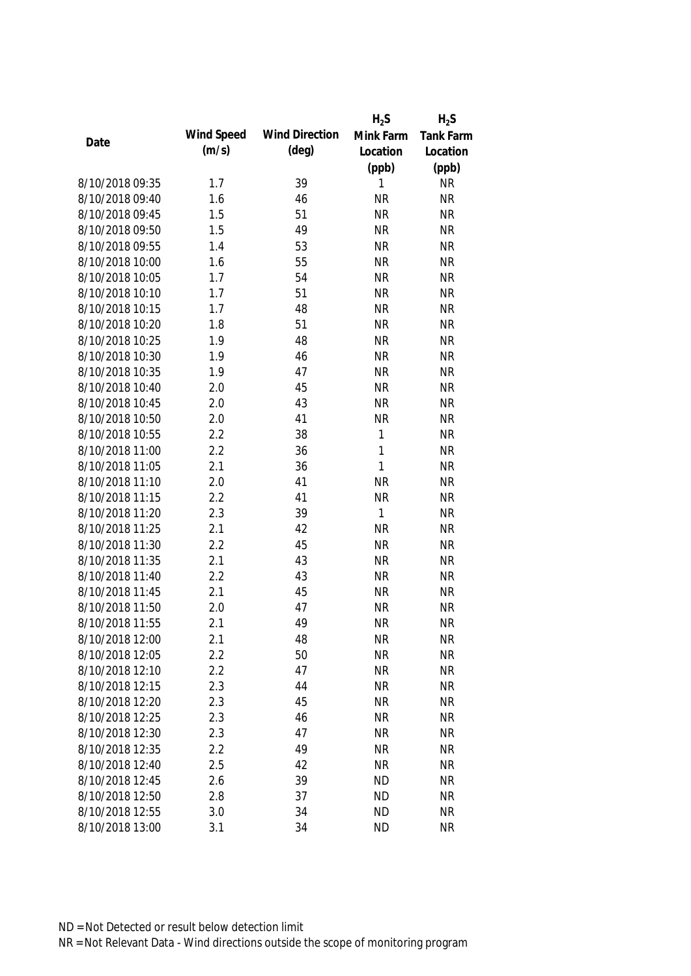|                 |            |                       | $H_2S$       | $H_2S$           |
|-----------------|------------|-----------------------|--------------|------------------|
|                 | Wind Speed | <b>Wind Direction</b> | Mink Farm    | <b>Tank Farm</b> |
| Date            | (m/s)      | $(\text{deg})$        | Location     | Location         |
|                 |            |                       | (ppb)        | (ppb)            |
| 8/10/2018 09:35 | 1.7        | 39                    | 1            | <b>NR</b>        |
| 8/10/2018 09:40 | 1.6        | 46                    | <b>NR</b>    | <b>NR</b>        |
| 8/10/2018 09:45 | 1.5        | 51                    | <b>NR</b>    | <b>NR</b>        |
| 8/10/2018 09:50 | 1.5        | 49                    | <b>NR</b>    | <b>NR</b>        |
| 8/10/2018 09:55 | 1.4        | 53                    | <b>NR</b>    | <b>NR</b>        |
| 8/10/2018 10:00 | 1.6        | 55                    | <b>NR</b>    | <b>NR</b>        |
| 8/10/2018 10:05 | 1.7        | 54                    | <b>NR</b>    | <b>NR</b>        |
| 8/10/2018 10:10 | 1.7        | 51                    | <b>NR</b>    | <b>NR</b>        |
| 8/10/2018 10:15 | 1.7        | 48                    | <b>NR</b>    | <b>NR</b>        |
| 8/10/2018 10:20 | 1.8        | 51                    | <b>NR</b>    | <b>NR</b>        |
| 8/10/2018 10:25 | 1.9        | 48                    | <b>NR</b>    | <b>NR</b>        |
| 8/10/2018 10:30 | 1.9        | 46                    | <b>NR</b>    | <b>NR</b>        |
| 8/10/2018 10:35 | 1.9        | 47                    | <b>NR</b>    | <b>NR</b>        |
| 8/10/2018 10:40 | 2.0        | 45                    | <b>NR</b>    | <b>NR</b>        |
| 8/10/2018 10:45 | 2.0        | 43                    | <b>NR</b>    | <b>NR</b>        |
| 8/10/2018 10:50 | 2.0        | 41                    | <b>NR</b>    | <b>NR</b>        |
| 8/10/2018 10:55 | 2.2        | 38                    | $\mathbf{1}$ | <b>NR</b>        |
| 8/10/2018 11:00 | 2.2        | 36                    | $\mathbf{1}$ | <b>NR</b>        |
| 8/10/2018 11:05 | 2.1        | 36                    | 1            | <b>NR</b>        |
| 8/10/2018 11:10 | 2.0        | 41                    | <b>NR</b>    | <b>NR</b>        |
| 8/10/2018 11:15 | 2.2        | 41                    | <b>NR</b>    | <b>NR</b>        |
| 8/10/2018 11:20 | 2.3        | 39                    | 1            | <b>NR</b>        |
| 8/10/2018 11:25 | 2.1        | 42                    | <b>NR</b>    | <b>NR</b>        |
| 8/10/2018 11:30 | 2.2        | 45                    | <b>NR</b>    | <b>NR</b>        |
| 8/10/2018 11:35 | 2.1        | 43                    | <b>NR</b>    | <b>NR</b>        |
| 8/10/2018 11:40 | 2.2        | 43                    | <b>NR</b>    | <b>NR</b>        |
| 8/10/2018 11:45 | 2.1        | 45                    | <b>NR</b>    | <b>NR</b>        |
| 8/10/2018 11:50 | 2.0        | 47                    | <b>NR</b>    | <b>NR</b>        |
| 8/10/2018 11:55 | 2.1        | 49                    | <b>NR</b>    | <b>NR</b>        |
| 8/10/2018 12:00 | 2.1        | 48                    | <b>NR</b>    | <b>NR</b>        |
| 8/10/2018 12:05 | 2.2        | 50                    | <b>NR</b>    | <b>NR</b>        |
| 8/10/2018 12:10 | 2.2        | 47                    | <b>NR</b>    | <b>NR</b>        |
| 8/10/2018 12:15 | 2.3        | 44                    | <b>NR</b>    | <b>NR</b>        |
| 8/10/2018 12:20 | 2.3        | 45                    | <b>NR</b>    | <b>NR</b>        |
| 8/10/2018 12:25 | 2.3        | 46                    | <b>NR</b>    | <b>NR</b>        |
| 8/10/2018 12:30 | 2.3        | 47                    | <b>NR</b>    | <b>NR</b>        |
| 8/10/2018 12:35 | 2.2        | 49                    | <b>NR</b>    | <b>NR</b>        |
| 8/10/2018 12:40 | 2.5        | 42                    | <b>NR</b>    | <b>NR</b>        |
| 8/10/2018 12:45 | 2.6        | 39                    | <b>ND</b>    | <b>NR</b>        |
| 8/10/2018 12:50 | 2.8        | 37                    | <b>ND</b>    | <b>NR</b>        |
| 8/10/2018 12:55 | 3.0        | 34                    | <b>ND</b>    | <b>NR</b>        |
| 8/10/2018 13:00 | 3.1        | 34                    | <b>ND</b>    | <b>NR</b>        |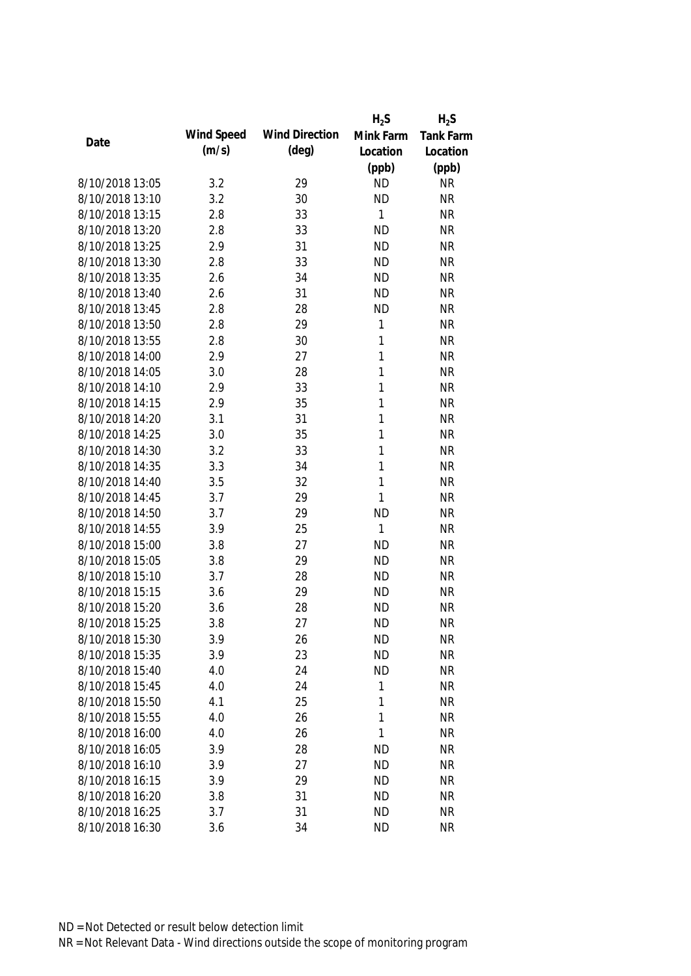|                 |            |                       | $H_2S$       | $H_2S$           |
|-----------------|------------|-----------------------|--------------|------------------|
|                 | Wind Speed | <b>Wind Direction</b> | Mink Farm    | <b>Tank Farm</b> |
| Date            | (m/s)      | $(\text{deg})$        | Location     | Location         |
|                 |            |                       | (ppb)        | (ppb)            |
| 8/10/2018 13:05 | 3.2        | 29                    | <b>ND</b>    | <b>NR</b>        |
| 8/10/2018 13:10 | 3.2        | 30                    | <b>ND</b>    | <b>NR</b>        |
| 8/10/2018 13:15 | 2.8        | 33                    | 1            | <b>NR</b>        |
| 8/10/2018 13:20 | 2.8        | 33                    | <b>ND</b>    | <b>NR</b>        |
| 8/10/2018 13:25 | 2.9        | 31                    | <b>ND</b>    | <b>NR</b>        |
| 8/10/2018 13:30 | 2.8        | 33                    | <b>ND</b>    | <b>NR</b>        |
| 8/10/2018 13:35 | 2.6        | 34                    | <b>ND</b>    | <b>NR</b>        |
| 8/10/2018 13:40 | 2.6        | 31                    | <b>ND</b>    | <b>NR</b>        |
| 8/10/2018 13:45 | 2.8        | 28                    | <b>ND</b>    | <b>NR</b>        |
| 8/10/2018 13:50 | 2.8        | 29                    | 1            | <b>NR</b>        |
| 8/10/2018 13:55 | 2.8        | 30                    | 1            | <b>NR</b>        |
| 8/10/2018 14:00 | 2.9        | 27                    | 1            | <b>NR</b>        |
| 8/10/2018 14:05 | 3.0        | 28                    | 1            | <b>NR</b>        |
| 8/10/2018 14:10 | 2.9        | 33                    | 1            | <b>NR</b>        |
| 8/10/2018 14:15 | 2.9        | 35                    | 1            | <b>NR</b>        |
| 8/10/2018 14:20 | 3.1        | 31                    | $\mathbf{1}$ | <b>NR</b>        |
| 8/10/2018 14:25 | 3.0        | 35                    | 1            | <b>NR</b>        |
| 8/10/2018 14:30 | 3.2        | 33                    | 1            | <b>NR</b>        |
| 8/10/2018 14:35 | 3.3        | 34                    | 1            | <b>NR</b>        |
| 8/10/2018 14:40 | 3.5        | 32                    | 1            | <b>NR</b>        |
| 8/10/2018 14:45 | 3.7        | 29                    | 1            | <b>NR</b>        |
| 8/10/2018 14:50 | 3.7        | 29                    | <b>ND</b>    | <b>NR</b>        |
| 8/10/2018 14:55 | 3.9        | 25                    | 1            | <b>NR</b>        |
| 8/10/2018 15:00 | 3.8        | 27                    | <b>ND</b>    | <b>NR</b>        |
| 8/10/2018 15:05 | 3.8        | 29                    | <b>ND</b>    | <b>NR</b>        |
| 8/10/2018 15:10 | 3.7        | 28                    | <b>ND</b>    | <b>NR</b>        |
| 8/10/2018 15:15 | 3.6        | 29                    | <b>ND</b>    | <b>NR</b>        |
| 8/10/2018 15:20 | 3.6        | 28                    | <b>ND</b>    | <b>NR</b>        |
| 8/10/2018 15:25 | 3.8        | 27                    | <b>ND</b>    | <b>NR</b>        |
| 8/10/2018 15:30 | 3.9        | 26                    | <b>ND</b>    | <b>NR</b>        |
| 8/10/2018 15:35 | 3.9        | 23                    | <b>ND</b>    | <b>NR</b>        |
| 8/10/2018 15:40 | 4.0        | 24                    | <b>ND</b>    | <b>NR</b>        |
| 8/10/2018 15:45 | 4.0        | 24                    | 1            | <b>NR</b>        |
| 8/10/2018 15:50 | 4.1        | 25                    | 1            | <b>NR</b>        |
| 8/10/2018 15:55 | 4.0        | 26                    | 1            | <b>NR</b>        |
| 8/10/2018 16:00 | 4.0        | 26                    | 1            | <b>NR</b>        |
| 8/10/2018 16:05 | 3.9        | 28                    | <b>ND</b>    | <b>NR</b>        |
| 8/10/2018 16:10 | 3.9        | 27                    | <b>ND</b>    | <b>NR</b>        |
| 8/10/2018 16:15 | 3.9        | 29                    | <b>ND</b>    | <b>NR</b>        |
| 8/10/2018 16:20 | 3.8        | 31                    | <b>ND</b>    | <b>NR</b>        |
| 8/10/2018 16:25 | 3.7        | 31                    | <b>ND</b>    | <b>NR</b>        |
|                 |            |                       |              |                  |
| 8/10/2018 16:30 | 3.6        | 34                    | <b>ND</b>    | <b>NR</b>        |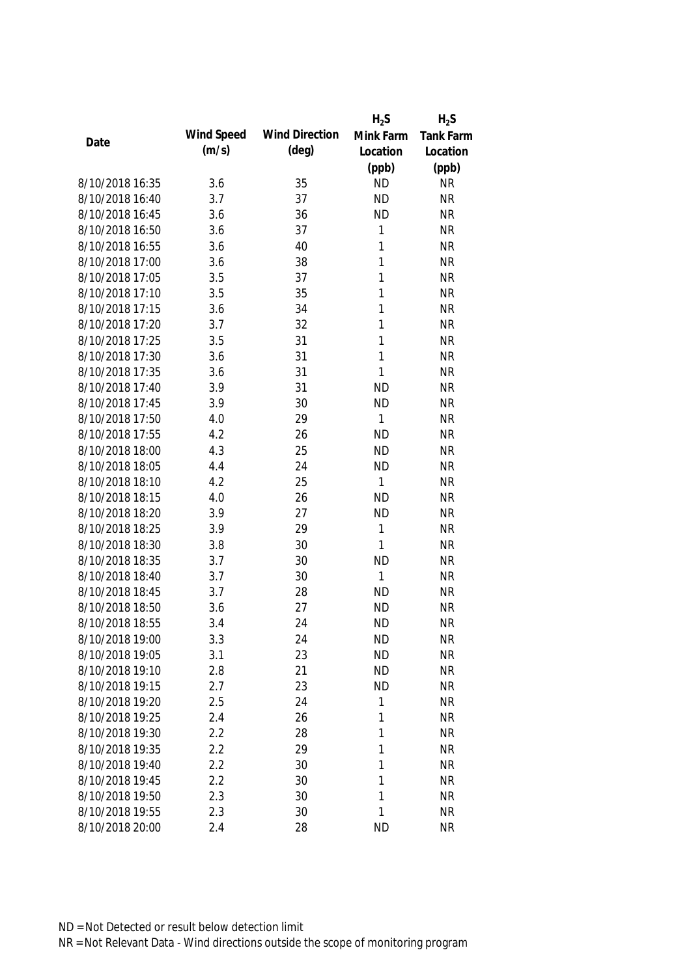|                 |            |                       | $H_2S$       | $H_2S$           |
|-----------------|------------|-----------------------|--------------|------------------|
|                 | Wind Speed | <b>Wind Direction</b> | Mink Farm    | <b>Tank Farm</b> |
| Date            | (m/s)      | $(\text{deg})$        | Location     | Location         |
|                 |            |                       | (ppb)        | (ppb)            |
| 8/10/2018 16:35 | 3.6        | 35                    | <b>ND</b>    | <b>NR</b>        |
| 8/10/2018 16:40 | 3.7        | 37                    | <b>ND</b>    | <b>NR</b>        |
| 8/10/2018 16:45 | 3.6        | 36                    | <b>ND</b>    | <b>NR</b>        |
| 8/10/2018 16:50 | 3.6        | 37                    | 1            | <b>NR</b>        |
| 8/10/2018 16:55 | 3.6        | 40                    | 1            | <b>NR</b>        |
| 8/10/2018 17:00 | 3.6        | 38                    | 1            | <b>NR</b>        |
| 8/10/2018 17:05 | 3.5        | 37                    | 1            | <b>NR</b>        |
| 8/10/2018 17:10 | 3.5        | 35                    | 1            | <b>NR</b>        |
| 8/10/2018 17:15 | 3.6        | 34                    | $\mathbf{1}$ | <b>NR</b>        |
| 8/10/2018 17:20 | 3.7        | 32                    | 1            | <b>NR</b>        |
| 8/10/2018 17:25 | 3.5        | 31                    | 1            | <b>NR</b>        |
| 8/10/2018 17:30 | 3.6        | 31                    | 1            | <b>NR</b>        |
| 8/10/2018 17:35 | 3.6        | 31                    | 1            | <b>NR</b>        |
| 8/10/2018 17:40 | 3.9        | 31                    | <b>ND</b>    | <b>NR</b>        |
| 8/10/2018 17:45 | 3.9        | 30                    | <b>ND</b>    | <b>NR</b>        |
| 8/10/2018 17:50 | 4.0        | 29                    | 1            | <b>NR</b>        |
| 8/10/2018 17:55 | 4.2        | 26                    | <b>ND</b>    | <b>NR</b>        |
| 8/10/2018 18:00 | 4.3        | 25                    | <b>ND</b>    | <b>NR</b>        |
| 8/10/2018 18:05 | 4.4        | 24                    | <b>ND</b>    | <b>NR</b>        |
| 8/10/2018 18:10 | 4.2        | 25                    | 1            | <b>NR</b>        |
| 8/10/2018 18:15 | 4.0        | 26                    | <b>ND</b>    | <b>NR</b>        |
| 8/10/2018 18:20 | 3.9        | 27                    | <b>ND</b>    | <b>NR</b>        |
| 8/10/2018 18:25 | 3.9        | 29                    | 1            | <b>NR</b>        |
| 8/10/2018 18:30 | 3.8        | 30                    | 1            | <b>NR</b>        |
| 8/10/2018 18:35 | 3.7        | 30                    | <b>ND</b>    | <b>NR</b>        |
| 8/10/2018 18:40 | 3.7        | 30                    | 1            | <b>NR</b>        |
| 8/10/2018 18:45 | 3.7        | 28                    | <b>ND</b>    | <b>NR</b>        |
| 8/10/2018 18:50 | 3.6        | 27                    | <b>ND</b>    | <b>NR</b>        |
| 8/10/2018 18:55 | 3.4        | 24                    | <b>ND</b>    | <b>NR</b>        |
| 8/10/2018 19:00 | 3.3        | 24                    | <b>ND</b>    | <b>NR</b>        |
| 8/10/2018 19:05 | 3.1        | 23                    | <b>ND</b>    | <b>NR</b>        |
| 8/10/2018 19:10 | 2.8        | 21                    | <b>ND</b>    | <b>NR</b>        |
| 8/10/2018 19:15 | 2.7        | 23                    | <b>ND</b>    | <b>NR</b>        |
| 8/10/2018 19:20 | 2.5        | 24                    | 1            | <b>NR</b>        |
| 8/10/2018 19:25 | 2.4        | 26                    | 1            | <b>NR</b>        |
| 8/10/2018 19:30 | 2.2        | 28                    | 1            | <b>NR</b>        |
| 8/10/2018 19:35 | 2.2        | 29                    | 1            | <b>NR</b>        |
| 8/10/2018 19:40 | 2.2        | 30                    | 1            | <b>NR</b>        |
| 8/10/2018 19:45 | 2.2        | 30                    | 1            | <b>NR</b>        |
| 8/10/2018 19:50 | 2.3        | 30                    | 1            | <b>NR</b>        |
| 8/10/2018 19:55 | 2.3        | 30                    | 1            | <b>NR</b>        |
| 8/10/2018 20:00 | 2.4        | 28                    | <b>ND</b>    | <b>NR</b>        |
|                 |            |                       |              |                  |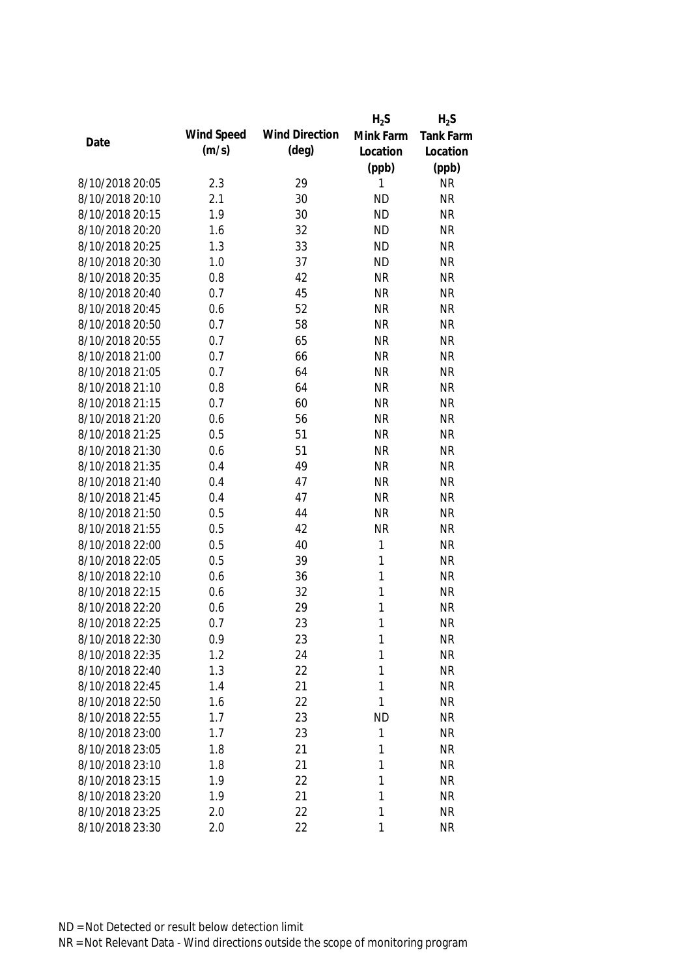|                 |            |                       | $H_2S$    | $H_2S$           |
|-----------------|------------|-----------------------|-----------|------------------|
| Date            | Wind Speed | <b>Wind Direction</b> | Mink Farm | <b>Tank Farm</b> |
|                 | (m/s)      | $(\text{deg})$        | Location  | Location         |
|                 |            |                       | (ppb)     | (ppb)            |
| 8/10/2018 20:05 | 2.3        | 29                    | 1         | <b>NR</b>        |
| 8/10/2018 20:10 | 2.1        | 30                    | <b>ND</b> | <b>NR</b>        |
| 8/10/2018 20:15 | 1.9        | 30                    | <b>ND</b> | <b>NR</b>        |
| 8/10/2018 20:20 | 1.6        | 32                    | <b>ND</b> | <b>NR</b>        |
| 8/10/2018 20:25 | 1.3        | 33                    | <b>ND</b> | <b>NR</b>        |
| 8/10/2018 20:30 | 1.0        | 37                    | <b>ND</b> | <b>NR</b>        |
| 8/10/2018 20:35 | 0.8        | 42                    | <b>NR</b> | <b>NR</b>        |
| 8/10/2018 20:40 | 0.7        | 45                    | <b>NR</b> | <b>NR</b>        |
| 8/10/2018 20:45 | 0.6        | 52                    | <b>NR</b> | <b>NR</b>        |
| 8/10/2018 20:50 | 0.7        | 58                    | <b>NR</b> | <b>NR</b>        |
| 8/10/2018 20:55 | 0.7        | 65                    | <b>NR</b> | <b>NR</b>        |
| 8/10/2018 21:00 | 0.7        | 66                    | <b>NR</b> | <b>NR</b>        |
| 8/10/2018 21:05 | 0.7        | 64                    | <b>NR</b> | <b>NR</b>        |
| 8/10/2018 21:10 | 0.8        | 64                    | <b>NR</b> | <b>NR</b>        |
| 8/10/2018 21:15 | 0.7        | 60                    | <b>NR</b> | <b>NR</b>        |
| 8/10/2018 21:20 | 0.6        | 56                    | <b>NR</b> | <b>NR</b>        |
| 8/10/2018 21:25 | 0.5        | 51                    | <b>NR</b> | <b>NR</b>        |
| 8/10/2018 21:30 | 0.6        | 51                    | <b>NR</b> | <b>NR</b>        |
| 8/10/2018 21:35 | 0.4        | 49                    | <b>NR</b> | <b>NR</b>        |
| 8/10/2018 21:40 | 0.4        | 47                    | <b>NR</b> | <b>NR</b>        |
| 8/10/2018 21:45 | 0.4        | 47                    | <b>NR</b> | <b>NR</b>        |
| 8/10/2018 21:50 | 0.5        | 44                    | <b>NR</b> | <b>NR</b>        |
| 8/10/2018 21:55 | 0.5        | 42                    | <b>NR</b> | <b>NR</b>        |
| 8/10/2018 22:00 | 0.5        | 40                    | 1         | <b>NR</b>        |
| 8/10/2018 22:05 | 0.5        | 39                    | 1         | <b>NR</b>        |
| 8/10/2018 22:10 | 0.6        | 36                    | 1         | <b>NR</b>        |
| 8/10/2018 22:15 | 0.6        | 32                    | 1         | <b>NR</b>        |
| 8/10/2018 22:20 | 0.6        | 29                    | 1         | <b>NR</b>        |
| 8/10/2018 22:25 | 0.7        | 23                    | 1         | <b>NR</b>        |
| 8/10/2018 22:30 | 0.9        | 23                    | 1         | NR               |
| 8/10/2018 22:35 | 1.2        | 24                    | 1         | <b>NR</b>        |
| 8/10/2018 22:40 | 1.3        | 22                    | 1         | <b>NR</b>        |
| 8/10/2018 22:45 | 1.4        | 21                    | 1         | <b>NR</b>        |
| 8/10/2018 22:50 | 1.6        | 22                    | 1         | <b>NR</b>        |
| 8/10/2018 22:55 | 1.7        | 23                    | <b>ND</b> | <b>NR</b>        |
| 8/10/2018 23:00 | 1.7        | 23                    | 1         | <b>NR</b>        |
| 8/10/2018 23:05 | 1.8        | 21                    | 1         | <b>NR</b>        |
| 8/10/2018 23:10 | 1.8        | 21                    | 1         | <b>NR</b>        |
| 8/10/2018 23:15 | 1.9        | 22                    | 1         | <b>NR</b>        |
| 8/10/2018 23:20 | 1.9        | 21                    | 1         | <b>NR</b>        |
| 8/10/2018 23:25 | 2.0        | 22                    | 1         | <b>NR</b>        |
| 8/10/2018 23:30 | 2.0        | 22                    | 1         | <b>NR</b>        |
|                 |            |                       |           |                  |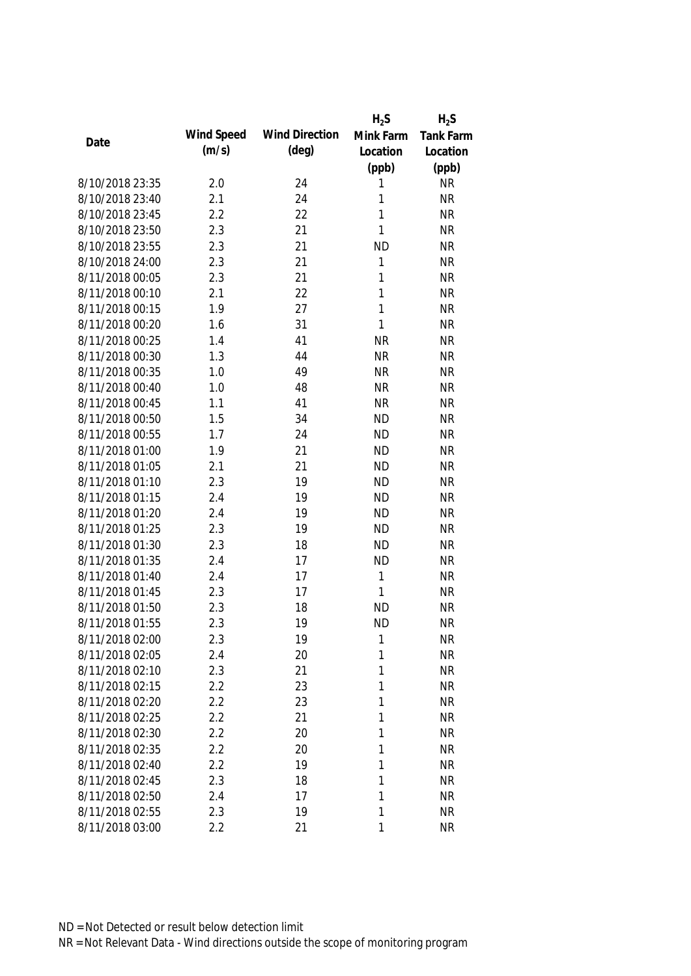|                 |            |                       | $H_2S$       | $H_2S$           |
|-----------------|------------|-----------------------|--------------|------------------|
| Date            | Wind Speed | <b>Wind Direction</b> | Mink Farm    | <b>Tank Farm</b> |
|                 | (m/s)      | $(\text{deg})$        | Location     | Location         |
|                 |            |                       | (ppb)        | (ppb)            |
| 8/10/2018 23:35 | 2.0        | 24                    | 1            | <b>NR</b>        |
| 8/10/2018 23:40 | 2.1        | 24                    | 1            | <b>NR</b>        |
| 8/10/2018 23:45 | 2.2        | 22                    | 1            | <b>NR</b>        |
| 8/10/2018 23:50 | 2.3        | 21                    | 1            | <b>NR</b>        |
| 8/10/2018 23:55 | 2.3        | 21                    | <b>ND</b>    | <b>NR</b>        |
| 8/10/2018 24:00 | 2.3        | 21                    | 1            | <b>NR</b>        |
| 8/11/2018 00:05 | 2.3        | 21                    | 1            | <b>NR</b>        |
| 8/11/2018 00:10 | 2.1        | 22                    | $\mathbf{1}$ | <b>NR</b>        |
| 8/11/2018 00:15 | 1.9        | 27                    | $\mathbf{1}$ | <b>NR</b>        |
| 8/11/2018 00:20 | 1.6        | 31                    | $\mathbf{1}$ | <b>NR</b>        |
| 8/11/2018 00:25 | 1.4        | 41                    | <b>NR</b>    | <b>NR</b>        |
| 8/11/2018 00:30 | 1.3        | 44                    | <b>NR</b>    | <b>NR</b>        |
| 8/11/2018 00:35 | 1.0        | 49                    | <b>NR</b>    | <b>NR</b>        |
| 8/11/2018 00:40 | 1.0        | 48                    | <b>NR</b>    | <b>NR</b>        |
| 8/11/2018 00:45 | 1.1        | 41                    | <b>NR</b>    | <b>NR</b>        |
| 8/11/2018 00:50 | 1.5        | 34                    | <b>ND</b>    | <b>NR</b>        |
| 8/11/2018 00:55 | 1.7        | 24                    | <b>ND</b>    | <b>NR</b>        |
| 8/11/2018 01:00 | 1.9        | 21                    | <b>ND</b>    | <b>NR</b>        |
| 8/11/2018 01:05 | 2.1        | 21                    | <b>ND</b>    | <b>NR</b>        |
| 8/11/2018 01:10 | 2.3        | 19                    | <b>ND</b>    | <b>NR</b>        |
| 8/11/2018 01:15 | 2.4        | 19                    | <b>ND</b>    | <b>NR</b>        |
| 8/11/2018 01:20 | 2.4        | 19                    | <b>ND</b>    | <b>NR</b>        |
| 8/11/2018 01:25 | 2.3        | 19                    | <b>ND</b>    | <b>NR</b>        |
| 8/11/2018 01:30 | 2.3        | 18                    | <b>ND</b>    | <b>NR</b>        |
| 8/11/2018 01:35 | 2.4        | 17                    | <b>ND</b>    | <b>NR</b>        |
| 8/11/2018 01:40 | 2.4        | 17                    | 1            | <b>NR</b>        |
| 8/11/2018 01:45 | 2.3        | 17                    | 1            | <b>NR</b>        |
| 8/11/2018 01:50 | 2.3        | 18                    | <b>ND</b>    | <b>NR</b>        |
| 8/11/2018 01:55 | 2.3        | 19                    | <b>ND</b>    | <b>NR</b>        |
| 8/11/2018 02:00 | 2.3        | 19                    | 1            | <b>NR</b>        |
| 8/11/2018 02:05 | 2.4        | 20                    | 1            | <b>NR</b>        |
| 8/11/2018 02:10 | 2.3        | 21                    | 1            | <b>NR</b>        |
| 8/11/2018 02:15 | 2.2        | 23                    | 1            | <b>NR</b>        |
| 8/11/2018 02:20 | 2.2        | 23                    | 1            | <b>NR</b>        |
| 8/11/2018 02:25 | 2.2        | 21                    | 1            | <b>NR</b>        |
| 8/11/2018 02:30 | 2.2        | 20                    | 1            | <b>NR</b>        |
| 8/11/2018 02:35 | 2.2        | 20                    | 1            | <b>NR</b>        |
| 8/11/2018 02:40 | 2.2        | 19                    | 1            | <b>NR</b>        |
| 8/11/2018 02:45 | 2.3        | 18                    | 1            | <b>NR</b>        |
| 8/11/2018 02:50 | 2.4        | 17                    | 1            | <b>NR</b>        |
| 8/11/2018 02:55 | 2.3        | 19                    | 1            | <b>NR</b>        |
| 8/11/2018 03:00 | 2.2        | 21                    | 1            | <b>NR</b>        |
|                 |            |                       |              |                  |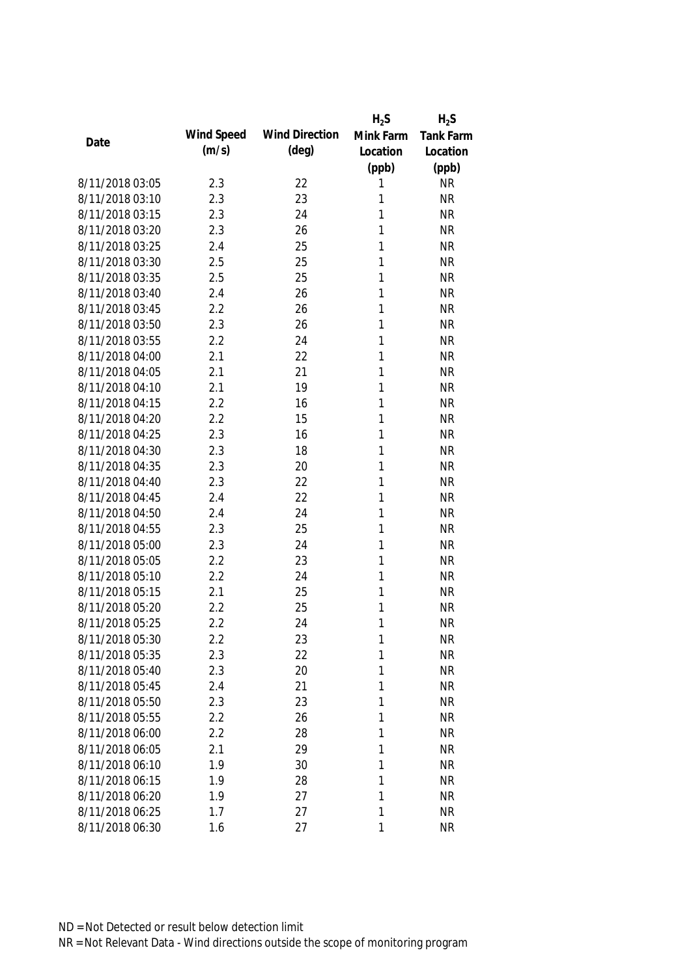|                 |            |                       | $H_2S$    | $H_2S$           |
|-----------------|------------|-----------------------|-----------|------------------|
| Date            | Wind Speed | <b>Wind Direction</b> | Mink Farm | <b>Tank Farm</b> |
|                 | (m/s)      | $(\text{deg})$        | Location  | Location         |
|                 |            |                       | (ppb)     | (ppb)            |
| 8/11/2018 03:05 | 2.3        | 22                    | 1         | <b>NR</b>        |
| 8/11/2018 03:10 | 2.3        | 23                    | 1         | <b>NR</b>        |
| 8/11/2018 03:15 | 2.3        | 24                    | 1         | <b>NR</b>        |
| 8/11/2018 03:20 | 2.3        | 26                    | 1         | <b>NR</b>        |
| 8/11/2018 03:25 | 2.4        | 25                    | 1         | <b>NR</b>        |
| 8/11/2018 03:30 | 2.5        | 25                    | 1         | <b>NR</b>        |
| 8/11/2018 03:35 | 2.5        | 25                    | 1         | <b>NR</b>        |
| 8/11/2018 03:40 | 2.4        | 26                    | 1         | <b>NR</b>        |
| 8/11/2018 03:45 | 2.2        | 26                    | 1         | <b>NR</b>        |
| 8/11/2018 03:50 | 2.3        | 26                    | 1         | <b>NR</b>        |
| 8/11/2018 03:55 | 2.2        | 24                    | 1         | <b>NR</b>        |
| 8/11/2018 04:00 | 2.1        | 22                    | 1         | <b>NR</b>        |
| 8/11/2018 04:05 | 2.1        | 21                    | 1         | <b>NR</b>        |
| 8/11/2018 04:10 | 2.1        | 19                    | 1         | <b>NR</b>        |
| 8/11/2018 04:15 | 2.2        | 16                    | 1         | <b>NR</b>        |
| 8/11/2018 04:20 | 2.2        | 15                    | 1         | <b>NR</b>        |
| 8/11/2018 04:25 | 2.3        | 16                    | 1         | <b>NR</b>        |
| 8/11/2018 04:30 | 2.3        | 18                    | 1         | <b>NR</b>        |
| 8/11/2018 04:35 | 2.3        | 20                    | 1         | <b>NR</b>        |
| 8/11/2018 04:40 | 2.3        | 22                    | 1         | <b>NR</b>        |
| 8/11/2018 04:45 | 2.4        | 22                    | 1         | <b>NR</b>        |
| 8/11/2018 04:50 | 2.4        | 24                    | 1         | <b>NR</b>        |
| 8/11/2018 04:55 | 2.3        | 25                    | 1         | <b>NR</b>        |
| 8/11/2018 05:00 | 2.3        | 24                    | 1         | <b>NR</b>        |
| 8/11/2018 05:05 | 2.2        | 23                    | 1         | <b>NR</b>        |
| 8/11/2018 05:10 | 2.2        | 24                    | 1         | <b>NR</b>        |
| 8/11/2018 05:15 | 2.1        | 25                    | 1         | <b>NR</b>        |
| 8/11/2018 05:20 | 2.2        | 25                    | 1         | <b>NR</b>        |
| 8/11/2018 05:25 | 2.2        | 24                    | 1         | <b>NR</b>        |
| 8/11/2018 05:30 | 2.2        | 23                    | 1         | <b>NR</b>        |
| 8/11/2018 05:35 | 2.3        | 22                    | 1         | <b>NR</b>        |
| 8/11/2018 05:40 | 2.3        | 20                    | 1         | <b>NR</b>        |
| 8/11/2018 05:45 | 2.4        | 21                    | 1         | <b>NR</b>        |
| 8/11/2018 05:50 | 2.3        | 23                    | 1         | <b>NR</b>        |
| 8/11/2018 05:55 | 2.2        | 26                    | 1         | <b>NR</b>        |
| 8/11/2018 06:00 | 2.2        | 28                    | 1         | <b>NR</b>        |
| 8/11/2018 06:05 | 2.1        | 29                    | 1         | <b>NR</b>        |
| 8/11/2018 06:10 | 1.9        | 30                    | 1         | <b>NR</b>        |
| 8/11/2018 06:15 | 1.9        | 28                    | 1         | <b>NR</b>        |
| 8/11/2018 06:20 | 1.9        | 27                    | 1         | <b>NR</b>        |
| 8/11/2018 06:25 | 1.7        | 27                    | 1         | <b>NR</b>        |
| 8/11/2018 06:30 | 1.6        | 27                    | 1         | <b>NR</b>        |
|                 |            |                       |           |                  |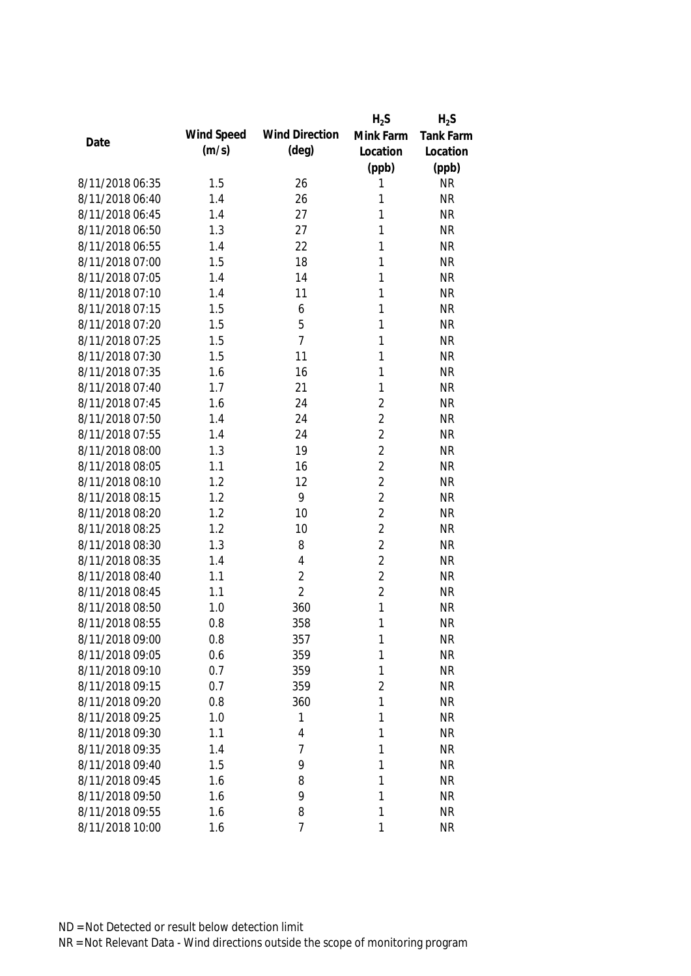|                 |            |                       | $H_2S$         | $H_2S$           |
|-----------------|------------|-----------------------|----------------|------------------|
| Date            | Wind Speed | <b>Wind Direction</b> | Mink Farm      | <b>Tank Farm</b> |
|                 | (m/s)      | $(\text{deg})$        | Location       | Location         |
|                 |            |                       | (ppb)          | (ppb)            |
| 8/11/2018 06:35 | 1.5        | 26                    | 1              | <b>NR</b>        |
| 8/11/2018 06:40 | 1.4        | 26                    | 1              | <b>NR</b>        |
| 8/11/2018 06:45 | 1.4        | 27                    | 1              | <b>NR</b>        |
| 8/11/2018 06:50 | 1.3        | 27                    | 1              | <b>NR</b>        |
| 8/11/2018 06:55 | 1.4        | 22                    | 1              | <b>NR</b>        |
| 8/11/2018 07:00 | 1.5        | 18                    | 1              | <b>NR</b>        |
| 8/11/2018 07:05 | 1.4        | 14                    | 1              | <b>NR</b>        |
| 8/11/2018 07:10 | 1.4        | 11                    | 1              | <b>NR</b>        |
| 8/11/2018 07:15 | 1.5        | 6                     | 1              | <b>NR</b>        |
| 8/11/2018 07:20 | 1.5        | 5                     | 1              | <b>NR</b>        |
| 8/11/2018 07:25 | 1.5        | $\overline{7}$        | 1              | <b>NR</b>        |
| 8/11/2018 07:30 | 1.5        | 11                    | 1              | <b>NR</b>        |
| 8/11/2018 07:35 | 1.6        | 16                    | 1              | <b>NR</b>        |
| 8/11/2018 07:40 | 1.7        | 21                    | 1              | <b>NR</b>        |
| 8/11/2018 07:45 | 1.6        | 24                    | $\overline{2}$ | <b>NR</b>        |
| 8/11/2018 07:50 | 1.4        | 24                    | $\overline{2}$ | <b>NR</b>        |
| 8/11/2018 07:55 | 1.4        | 24                    | $\overline{2}$ | <b>NR</b>        |
| 8/11/2018 08:00 | 1.3        | 19                    | $\overline{2}$ | <b>NR</b>        |
| 8/11/2018 08:05 | 1.1        | 16                    | $\overline{2}$ | <b>NR</b>        |
| 8/11/2018 08:10 | 1.2        | 12                    | $\overline{2}$ | <b>NR</b>        |
| 8/11/2018 08:15 | 1.2        | 9                     | $\overline{2}$ | <b>NR</b>        |
| 8/11/2018 08:20 | 1.2        | 10                    | $\overline{2}$ | <b>NR</b>        |
| 8/11/2018 08:25 | 1.2        | 10                    | $\overline{2}$ | <b>NR</b>        |
| 8/11/2018 08:30 | 1.3        | 8                     | $\overline{2}$ | <b>NR</b>        |
| 8/11/2018 08:35 | 1.4        | 4                     | $\overline{2}$ | <b>NR</b>        |
| 8/11/2018 08:40 | 1.1        | $\overline{2}$        | $\overline{2}$ | <b>NR</b>        |
| 8/11/2018 08:45 | 1.1        | $\overline{2}$        | $\overline{2}$ | <b>NR</b>        |
| 8/11/2018 08:50 | 1.0        | 360                   | 1              | <b>NR</b>        |
| 8/11/2018 08:55 | 0.8        | 358                   | 1              | <b>NR</b>        |
| 8/11/2018 09:00 | 0.8        | 357                   | 1              | NR               |
| 8/11/2018 09:05 | 0.6        | 359                   | $\mathbf 1$    | <b>NR</b>        |
| 8/11/2018 09:10 | 0.7        | 359                   | 1              | <b>NR</b>        |
| 8/11/2018 09:15 | 0.7        | 359                   | $\overline{2}$ | <b>NR</b>        |
| 8/11/2018 09:20 | 0.8        | 360                   | 1              | <b>NR</b>        |
| 8/11/2018 09:25 | 1.0        | 1                     | 1              | <b>NR</b>        |
| 8/11/2018 09:30 | 1.1        | 4                     | 1              | <b>NR</b>        |
| 8/11/2018 09:35 | 1.4        | 7                     | 1              | <b>NR</b>        |
| 8/11/2018 09:40 | 1.5        | 9                     | 1              | <b>NR</b>        |
| 8/11/2018 09:45 | 1.6        | 8                     | 1              | <b>NR</b>        |
| 8/11/2018 09:50 | 1.6        | 9                     | 1              | <b>NR</b>        |
| 8/11/2018 09:55 | 1.6        | 8                     | 1              | <b>NR</b>        |
| 8/11/2018 10:00 | 1.6        | 7                     | 1              | <b>NR</b>        |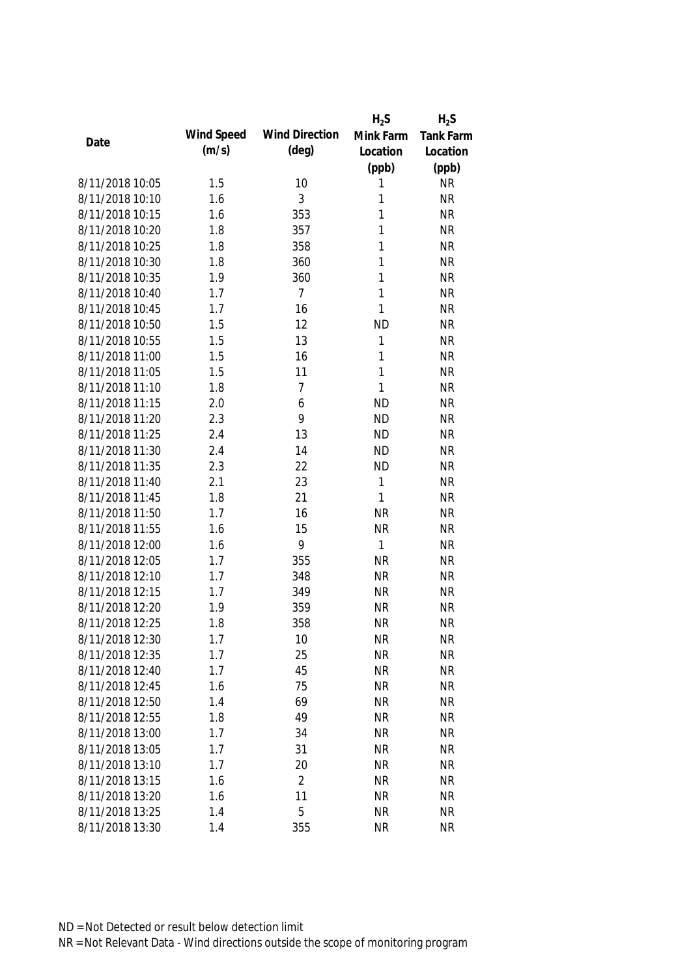|                 |            |                       | $H_2S$       | $H_2S$           |
|-----------------|------------|-----------------------|--------------|------------------|
|                 | Wind Speed | <b>Wind Direction</b> | Mink Farm    | <b>Tank Farm</b> |
| Date            | (m/s)      | $(\text{deg})$        | Location     | Location         |
|                 |            |                       | (ppb)        | (ppb)            |
| 8/11/2018 10:05 | 1.5        | 10                    | 1            | <b>NR</b>        |
| 8/11/2018 10:10 | 1.6        | 3                     | 1            | <b>NR</b>        |
| 8/11/2018 10:15 | 1.6        | 353                   | 1            | <b>NR</b>        |
| 8/11/2018 10:20 | 1.8        | 357                   | 1            | <b>NR</b>        |
| 8/11/2018 10:25 | 1.8        | 358                   | 1            | <b>NR</b>        |
| 8/11/2018 10:30 | 1.8        | 360                   | 1            | <b>NR</b>        |
| 8/11/2018 10:35 | 1.9        | 360                   | 1            | <b>NR</b>        |
| 8/11/2018 10:40 | 1.7        | $\overline{7}$        | 1            | <b>NR</b>        |
| 8/11/2018 10:45 | 1.7        | 16                    | $\mathbf{1}$ | <b>NR</b>        |
| 8/11/2018 10:50 | 1.5        | 12                    | <b>ND</b>    | <b>NR</b>        |
| 8/11/2018 10:55 | 1.5        | 13                    | 1            | <b>NR</b>        |
| 8/11/2018 11:00 | 1.5        | 16                    | 1            | <b>NR</b>        |
| 8/11/2018 11:05 | 1.5        | 11                    | 1            | <b>NR</b>        |
| 8/11/2018 11:10 | 1.8        | $\overline{7}$        | $\mathbf{1}$ | <b>NR</b>        |
| 8/11/2018 11:15 | 2.0        | 6                     | <b>ND</b>    | <b>NR</b>        |
| 8/11/2018 11:20 | 2.3        | 9                     | <b>ND</b>    | <b>NR</b>        |
| 8/11/2018 11:25 | 2.4        | 13                    | <b>ND</b>    | <b>NR</b>        |
| 8/11/2018 11:30 | 2.4        | 14                    | <b>ND</b>    | <b>NR</b>        |
| 8/11/2018 11:35 | 2.3        | 22                    | <b>ND</b>    | <b>NR</b>        |
| 8/11/2018 11:40 | 2.1        | 23                    | 1            | <b>NR</b>        |
| 8/11/2018 11:45 | 1.8        | 21                    | $\mathbf{1}$ | <b>NR</b>        |
| 8/11/2018 11:50 | 1.7        | 16                    | <b>NR</b>    | <b>NR</b>        |
| 8/11/2018 11:55 | 1.6        | 15                    | <b>NR</b>    | <b>NR</b>        |
| 8/11/2018 12:00 | 1.6        | 9                     | $\mathbf{1}$ | <b>NR</b>        |
| 8/11/2018 12:05 | 1.7        | 355                   | <b>NR</b>    | <b>NR</b>        |
| 8/11/2018 12:10 | 1.7        | 348                   | <b>NR</b>    | <b>NR</b>        |
| 8/11/2018 12:15 | 1.7        | 349                   | <b>NR</b>    | <b>NR</b>        |
| 8/11/2018 12:20 | 1.9        | 359                   | <b>NR</b>    | <b>NR</b>        |
| 8/11/2018 12:25 | 1.8        | 358                   | <b>NR</b>    | <b>NR</b>        |
| 8/11/2018 12:30 | 1.7        | 10                    | <b>NR</b>    | <b>NR</b>        |
| 8/11/2018 12:35 | 1.7        | 25                    | <b>NR</b>    | <b>NR</b>        |
| 8/11/2018 12:40 | 1.7        | 45                    | <b>NR</b>    | <b>NR</b>        |
| 8/11/2018 12:45 | 1.6        | 75                    | <b>NR</b>    | <b>NR</b>        |
| 8/11/2018 12:50 | 1.4        | 69                    | <b>NR</b>    | <b>NR</b>        |
| 8/11/2018 12:55 | 1.8        | 49                    | <b>NR</b>    | <b>NR</b>        |
| 8/11/2018 13:00 | 1.7        | 34                    | <b>NR</b>    | <b>NR</b>        |
| 8/11/2018 13:05 | 1.7        | 31                    | <b>NR</b>    | <b>NR</b>        |
| 8/11/2018 13:10 | 1.7        | 20                    | <b>NR</b>    | <b>NR</b>        |
| 8/11/2018 13:15 | 1.6        | $\overline{2}$        | <b>NR</b>    | <b>NR</b>        |
| 8/11/2018 13:20 | 1.6        | 11                    | <b>NR</b>    | <b>NR</b>        |
| 8/11/2018 13:25 | 1.4        | 5                     | <b>NR</b>    | <b>NR</b>        |
| 8/11/2018 13:30 | 1.4        | 355                   | <b>NR</b>    | <b>NR</b>        |
|                 |            |                       |              |                  |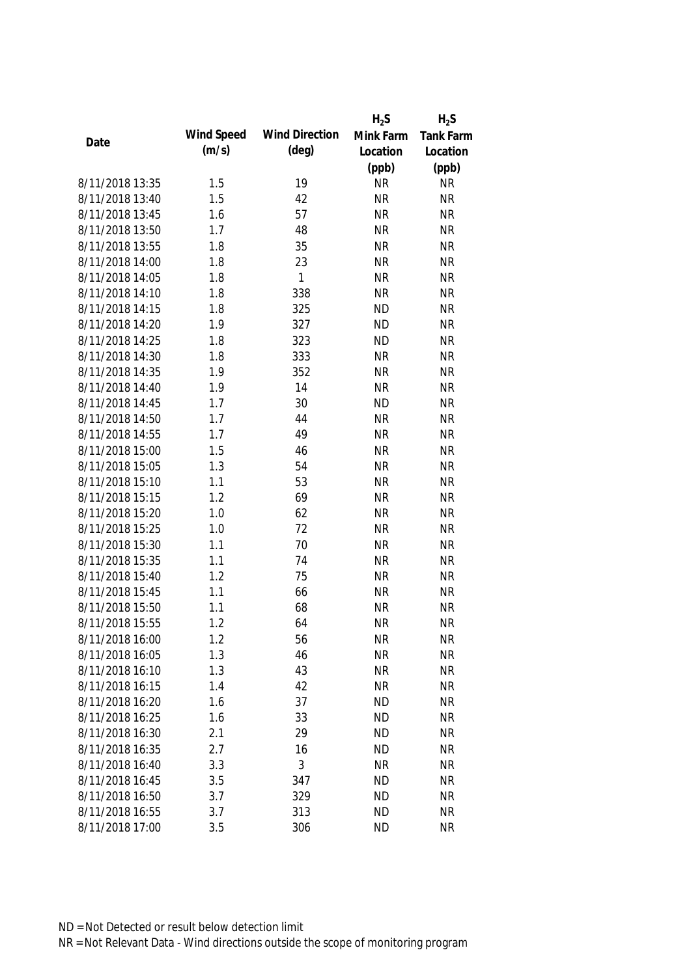|                 |            |                       | $H_2S$    | $H_2S$           |
|-----------------|------------|-----------------------|-----------|------------------|
|                 | Wind Speed | <b>Wind Direction</b> | Mink Farm | <b>Tank Farm</b> |
| Date            | (m/s)      | $(\text{deg})$        | Location  | Location         |
|                 |            |                       | (ppb)     | (ppb)            |
| 8/11/2018 13:35 | 1.5        | 19                    | <b>NR</b> | <b>NR</b>        |
| 8/11/2018 13:40 | 1.5        | 42                    | <b>NR</b> | <b>NR</b>        |
| 8/11/2018 13:45 | 1.6        | 57                    | <b>NR</b> | <b>NR</b>        |
| 8/11/2018 13:50 | 1.7        | 48                    | <b>NR</b> | <b>NR</b>        |
| 8/11/2018 13:55 | 1.8        | 35                    | <b>NR</b> | <b>NR</b>        |
| 8/11/2018 14:00 | 1.8        | 23                    | <b>NR</b> | <b>NR</b>        |
| 8/11/2018 14:05 | 1.8        | $\mathbf{1}$          | <b>NR</b> | <b>NR</b>        |
| 8/11/2018 14:10 | 1.8        | 338                   | <b>NR</b> | <b>NR</b>        |
| 8/11/2018 14:15 | 1.8        | 325                   | <b>ND</b> | <b>NR</b>        |
| 8/11/2018 14:20 | 1.9        | 327                   | <b>ND</b> | <b>NR</b>        |
| 8/11/2018 14:25 | 1.8        | 323                   | <b>ND</b> | <b>NR</b>        |
| 8/11/2018 14:30 | 1.8        | 333                   | <b>NR</b> | <b>NR</b>        |
| 8/11/2018 14:35 | 1.9        | 352                   | <b>NR</b> | <b>NR</b>        |
| 8/11/2018 14:40 | 1.9        | 14                    | <b>NR</b> | <b>NR</b>        |
| 8/11/2018 14:45 | 1.7        | 30                    | <b>ND</b> | <b>NR</b>        |
| 8/11/2018 14:50 | 1.7        | 44                    | <b>NR</b> | <b>NR</b>        |
| 8/11/2018 14:55 | 1.7        | 49                    | <b>NR</b> | <b>NR</b>        |
| 8/11/2018 15:00 | 1.5        | 46                    | <b>NR</b> | <b>NR</b>        |
| 8/11/2018 15:05 | 1.3        | 54                    | <b>NR</b> | <b>NR</b>        |
| 8/11/2018 15:10 | 1.1        | 53                    | <b>NR</b> | <b>NR</b>        |
| 8/11/2018 15:15 | 1.2        | 69                    | <b>NR</b> | <b>NR</b>        |
| 8/11/2018 15:20 | 1.0        | 62                    | <b>NR</b> | <b>NR</b>        |
| 8/11/2018 15:25 | 1.0        | 72                    | <b>NR</b> | <b>NR</b>        |
| 8/11/2018 15:30 | 1.1        | 70                    | <b>NR</b> | <b>NR</b>        |
| 8/11/2018 15:35 | 1.1        | 74                    | <b>NR</b> | <b>NR</b>        |
| 8/11/2018 15:40 | 1.2        | 75                    | <b>NR</b> | <b>NR</b>        |
| 8/11/2018 15:45 | 1.1        | 66                    | <b>NR</b> | <b>NR</b>        |
| 8/11/2018 15:50 | 1.1        | 68                    | <b>NR</b> | <b>NR</b>        |
| 8/11/2018 15:55 | 1.2        | 64                    | <b>NR</b> | <b>NR</b>        |
| 8/11/2018 16:00 | 1.2        | 56                    | <b>NR</b> | <b>NR</b>        |
| 8/11/2018 16:05 | 1.3        | 46                    | <b>NR</b> | <b>NR</b>        |
| 8/11/2018 16:10 | 1.3        | 43                    | <b>NR</b> | <b>NR</b>        |
| 8/11/2018 16:15 | 1.4        | 42                    | <b>NR</b> | <b>NR</b>        |
| 8/11/2018 16:20 | 1.6        | 37                    | <b>ND</b> | <b>NR</b>        |
| 8/11/2018 16:25 | 1.6        | 33                    | <b>ND</b> | <b>NR</b>        |
| 8/11/2018 16:30 | 2.1        | 29                    | <b>ND</b> | <b>NR</b>        |
| 8/11/2018 16:35 | 2.7        | 16                    | <b>ND</b> | <b>NR</b>        |
| 8/11/2018 16:40 | 3.3        | 3                     | <b>NR</b> | <b>NR</b>        |
| 8/11/2018 16:45 | 3.5        | 347                   | <b>ND</b> | <b>NR</b>        |
| 8/11/2018 16:50 | 3.7        | 329                   | <b>ND</b> | <b>NR</b>        |
|                 |            |                       |           |                  |
| 8/11/2018 16:55 | 3.7        | 313                   | <b>ND</b> | <b>NR</b>        |
| 8/11/2018 17:00 | 3.5        | 306                   | <b>ND</b> | <b>NR</b>        |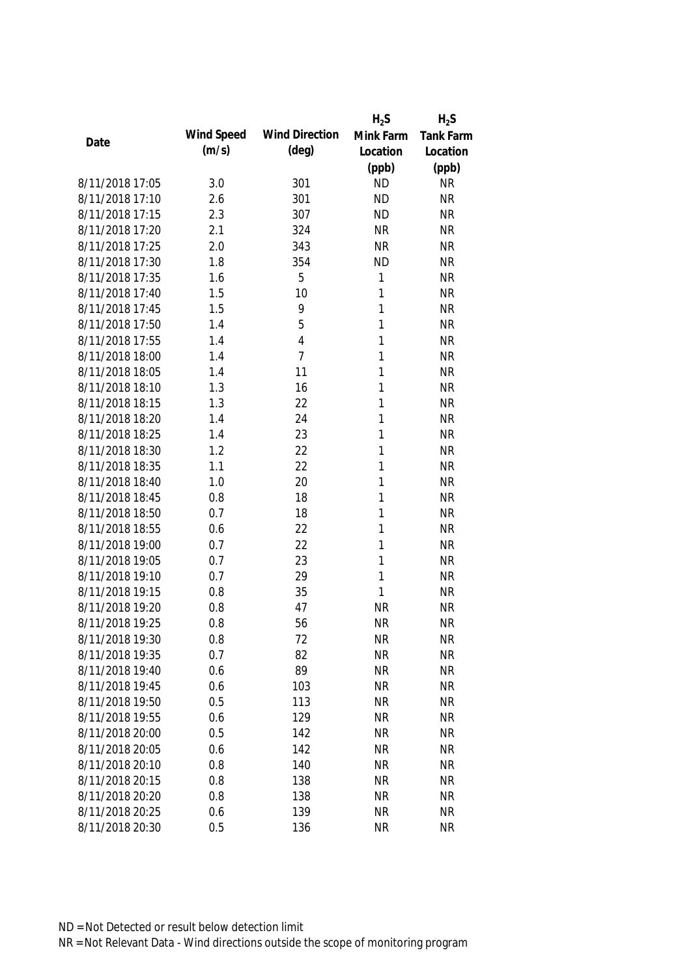|                 |            |                       | $H_2S$      | $H_2S$           |
|-----------------|------------|-----------------------|-------------|------------------|
| Date            | Wind Speed | <b>Wind Direction</b> | Mink Farm   | <b>Tank Farm</b> |
|                 | (m/s)      | $(\text{deg})$        | Location    | Location         |
|                 |            |                       | (ppb)       | (ppb)            |
| 8/11/2018 17:05 | 3.0        | 301                   | <b>ND</b>   | <b>NR</b>        |
| 8/11/2018 17:10 | 2.6        | 301                   | <b>ND</b>   | <b>NR</b>        |
| 8/11/2018 17:15 | 2.3        | 307                   | <b>ND</b>   | <b>NR</b>        |
| 8/11/2018 17:20 | 2.1        | 324                   | <b>NR</b>   | <b>NR</b>        |
| 8/11/2018 17:25 | 2.0        | 343                   | <b>NR</b>   | <b>NR</b>        |
| 8/11/2018 17:30 | 1.8        | 354                   | <b>ND</b>   | <b>NR</b>        |
| 8/11/2018 17:35 | 1.6        | 5                     | $\mathbf 1$ | <b>NR</b>        |
| 8/11/2018 17:40 | 1.5        | 10                    | 1           | <b>NR</b>        |
| 8/11/2018 17:45 | 1.5        | 9                     | 1           | <b>NR</b>        |
| 8/11/2018 17:50 | 1.4        | 5                     | 1           | <b>NR</b>        |
| 8/11/2018 17:55 | 1.4        | $\overline{4}$        | 1           | <b>NR</b>        |
| 8/11/2018 18:00 | 1.4        | $\overline{7}$        | 1           | <b>NR</b>        |
| 8/11/2018 18:05 | 1.4        | 11                    | 1           | <b>NR</b>        |
| 8/11/2018 18:10 | 1.3        | 16                    | 1           | <b>NR</b>        |
| 8/11/2018 18:15 | 1.3        | 22                    | 1           | <b>NR</b>        |
| 8/11/2018 18:20 | 1.4        | 24                    | 1           | <b>NR</b>        |
| 8/11/2018 18:25 | 1.4        | 23                    | 1           | <b>NR</b>        |
| 8/11/2018 18:30 | 1.2        | 22                    | 1           | <b>NR</b>        |
| 8/11/2018 18:35 | 1.1        | 22                    | 1           | <b>NR</b>        |
| 8/11/2018 18:40 | 1.0        | 20                    | 1           | <b>NR</b>        |
| 8/11/2018 18:45 | 0.8        | 18                    | 1           | <b>NR</b>        |
| 8/11/2018 18:50 | 0.7        | 18                    | 1           | <b>NR</b>        |
| 8/11/2018 18:55 | 0.6        | 22                    | 1           | <b>NR</b>        |
| 8/11/2018 19:00 | 0.7        | 22                    | 1           | <b>NR</b>        |
| 8/11/2018 19:05 | 0.7        | 23                    | 1           | <b>NR</b>        |
| 8/11/2018 19:10 | 0.7        | 29                    | 1           | <b>NR</b>        |
| 8/11/2018 19:15 | 0.8        | 35                    | 1           | <b>NR</b>        |
| 8/11/2018 19:20 | 0.8        | 47                    | <b>NR</b>   | <b>NR</b>        |
| 8/11/2018 19:25 | 0.8        | 56                    | <b>NR</b>   | <b>NR</b>        |
| 8/11/2018 19:30 | 0.8        | 72                    | <b>NR</b>   | <b>NR</b>        |
| 8/11/2018 19:35 | 0.7        | 82                    | <b>NR</b>   | <b>NR</b>        |
| 8/11/2018 19:40 | 0.6        | 89                    | <b>NR</b>   | <b>NR</b>        |
| 8/11/2018 19:45 | 0.6        | 103                   | <b>NR</b>   | <b>NR</b>        |
| 8/11/2018 19:50 | 0.5        | 113                   | <b>NR</b>   | <b>NR</b>        |
| 8/11/2018 19:55 | 0.6        | 129                   | <b>NR</b>   | <b>NR</b>        |
| 8/11/2018 20:00 | 0.5        | 142                   | <b>NR</b>   | <b>NR</b>        |
| 8/11/2018 20:05 | 0.6        | 142                   | <b>NR</b>   | <b>NR</b>        |
| 8/11/2018 20:10 | 0.8        | 140                   | <b>NR</b>   | <b>NR</b>        |
| 8/11/2018 20:15 | 0.8        | 138                   | <b>NR</b>   | <b>NR</b>        |
| 8/11/2018 20:20 | 0.8        | 138                   | <b>NR</b>   | <b>NR</b>        |
| 8/11/2018 20:25 | 0.6        | 139                   | <b>NR</b>   | <b>NR</b>        |
| 8/11/2018 20:30 | 0.5        | 136                   | <b>NR</b>   | <b>NR</b>        |
|                 |            |                       |             |                  |